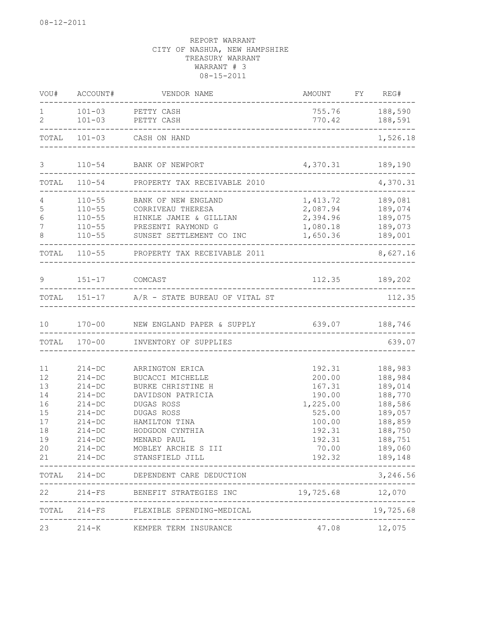|                     |                | VOU# ACCOUNT# VENDOR NAME                           | AMOUNT FY REG#            |                                  |
|---------------------|----------------|-----------------------------------------------------|---------------------------|----------------------------------|
| 1<br>$\overline{2}$ | $101 - 03$     | 101-03 PETTY CASH<br>PETTY CASH                     |                           | 755.76 188,590<br>770.42 188,591 |
|                     |                | TOTAL 101-03 CASH ON HAND                           |                           | ________________<br>1,526.18     |
|                     |                |                                                     |                           |                                  |
| 3                   |                | 110-54 BANK OF NEWPORT                              | 4,370.31 189,190          |                                  |
| TOTAL               | $110 - 54$     | PROPERTY TAX RECEIVABLE 2010                        |                           | 4,370.31                         |
|                     | $110 - 55$     | BANK OF NEW ENGLAND                                 | 1,413.72                  | 189,081                          |
| 5                   |                | 110-55 CORRIVEAU THERESA                            | 2,087.94                  | 189,074                          |
| 6                   | $110 - 55$     | HINKLE JAMIE & GILLIAN                              | 2,394.96                  | 189,075                          |
| $\overline{7}$      | $110 - 55$     | PRESENTI RAYMOND G                                  | 1,080.18                  | 189,073                          |
| 8                   | $110 - 55$     | SUNSET SETTLEMENT CO INC                            | 1,650.36                  | 189,001<br>-------               |
|                     |                | TOTAL 110-55 PROPERTY TAX RECEIVABLE 2011           |                           | 8,627.16                         |
| 9                   | 151-17 COMCAST |                                                     |                           | 112.35 189,202                   |
|                     |                |                                                     |                           |                                  |
|                     |                | TOTAL 151-17 A/R - STATE BUREAU OF VITAL ST         |                           | 112.35                           |
|                     |                | 10 170-00 NEW ENGLAND PAPER & SUPPLY 639.07 188,746 |                           |                                  |
|                     |                | TOTAL 170-00 INVENTORY OF SUPPLIES                  |                           | 639.07                           |
| 11                  | $214 - DC$     | ARRINGTON ERICA                                     | 192.31                    | 188,983                          |
| 12                  | $214 - DC$     | BUCACCI MICHELLE                                    | 200.00                    | 188,984                          |
| 13                  | $214 - DC$     | BURKE CHRISTINE H                                   | 167.31                    | 189,014                          |
| 14                  | $214-DC$       | DAVIDSON PATRICIA                                   | 190.00                    | 188,770                          |
| 16                  | $214-DC$       | DUGAS ROSS                                          | 1,225.00                  | 188,586                          |
| 15                  | $214 - DC$     | DUGAS ROSS                                          | 525.00                    | 189,057                          |
| $17$                | $214 - DC$     | HAMILTON TINA                                       | 100.00                    | 188,859                          |
| 18                  | $214-DC$       | HODGDON CYNTHIA                                     | 192.31                    | 188,750                          |
| 19                  | $214 - DC$     | MENARD PAUL                                         | 192.31                    | 188,751                          |
| 20                  | $214-DC$       | MOBLEY ARCHIE S III                                 | 70.00                     | 189,060                          |
| 21                  | $214 - DC$     | STANSFIELD JILL                                     | 192.32                    | 189,148                          |
|                     |                | TOTAL 214-DC DEPENDENT CARE DEDUCTION               | ------------------------- | 3,246.56                         |
| 22                  |                | 214-FS BENEFIT STRATEGIES INC                       | $19,725.68$ 12,070        |                                  |
|                     | TOTAL 214-FS   | FLEXIBLE SPENDING-MEDICAL                           |                           | 19,725.68                        |
| 23                  |                | 214-K KEMPER TERM INSURANCE                         |                           | 47.08 12,075                     |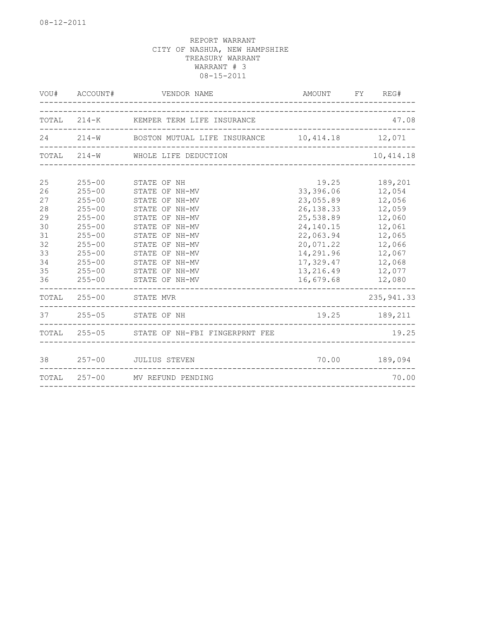|                                                                      |                                                                                                                                                                      | VOU# ACCOUNT# VENDOR NAME                                                                                                                                                                                         |                                                                                                                                                       | AMOUNT FY REG#                                                                                                        |
|----------------------------------------------------------------------|----------------------------------------------------------------------------------------------------------------------------------------------------------------------|-------------------------------------------------------------------------------------------------------------------------------------------------------------------------------------------------------------------|-------------------------------------------------------------------------------------------------------------------------------------------------------|-----------------------------------------------------------------------------------------------------------------------|
|                                                                      |                                                                                                                                                                      | TOTAL 214-K KEMPER TERM LIFE INSURANCE                                                                                                                                                                            |                                                                                                                                                       | 47.08                                                                                                                 |
|                                                                      |                                                                                                                                                                      | 24 214-W BOSTON MUTUAL LIFE INSURANCE 10,414.18 12,071                                                                                                                                                            |                                                                                                                                                       |                                                                                                                       |
|                                                                      |                                                                                                                                                                      | TOTAL 214-W WHOLE LIFE DEDUCTION                                                                                                                                                                                  |                                                                                                                                                       | 10,414.18                                                                                                             |
| 25<br>26<br>27<br>28<br>29<br>30<br>31<br>32<br>33<br>34<br>35<br>36 | $255 - 00$<br>$255 - 00$<br>$255 - 00$<br>$255 - 00$<br>$255 - 00$<br>$255 - 00$<br>$255 - 00$<br>$255 - 00$<br>$255 - 00$<br>$255 - 00$<br>$255 - 00$<br>$255 - 00$ | STATE OF NH<br>STATE OF NH-MV<br>STATE OF NH-MV<br>STATE OF NH-MV<br>STATE OF NH-MV<br>STATE OF NH-MV<br>STATE OF NH-MV<br>STATE OF NH-MV<br>STATE OF NH-MV<br>STATE OF NH-MV<br>STATE OF NH-MV<br>STATE OF NH-MV | 19.25<br>33,396.06<br>23,055.89<br>26, 138.33<br>25,538.89<br>24,140.15<br>22,063.94<br>20,071.22<br>14,291.96<br>17,329.47<br>13,216.49<br>16,679.68 | 189,201<br>12,054<br>12,056<br>12,059<br>12,060<br>12,061<br>12,065<br>12,066<br>12,067<br>12,068<br>12,077<br>12,080 |
|                                                                      | TOTAL 255-00                                                                                                                                                         | STATE MVR                                                                                                                                                                                                         |                                                                                                                                                       | 235, 941.33                                                                                                           |
|                                                                      |                                                                                                                                                                      | 37 255-05 STATE OF NH                                                                                                                                                                                             |                                                                                                                                                       | 19.25 189,211                                                                                                         |
|                                                                      |                                                                                                                                                                      | TOTAL 255-05 STATE OF NH-FBI FINGERPRNT FEE                                                                                                                                                                       |                                                                                                                                                       | 19.25                                                                                                                 |
| 38                                                                   |                                                                                                                                                                      | 257-00 JULIUS STEVEN                                                                                                                                                                                              |                                                                                                                                                       | 70.00 189,094                                                                                                         |
|                                                                      |                                                                                                                                                                      | TOTAL 257-00 MV REFUND PENDING                                                                                                                                                                                    |                                                                                                                                                       | 70.00                                                                                                                 |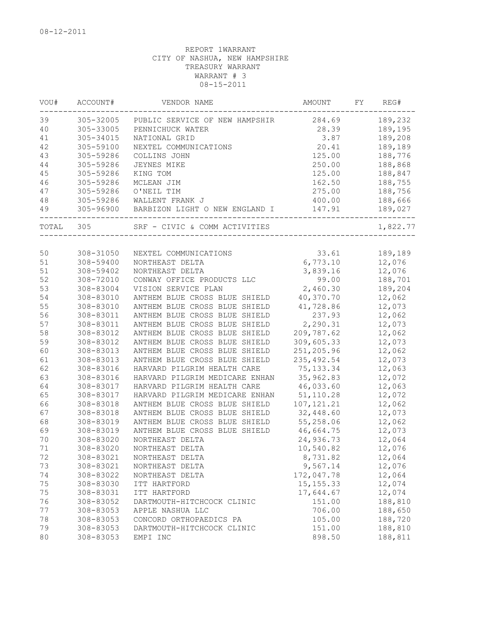| VOU#     | ACCOUNT#  | VENDOR NAME                    | AMOUNT      | FY | REG#     |
|----------|-----------|--------------------------------|-------------|----|----------|
| 39       | 305-32005 | PUBLIC SERVICE OF NEW HAMPSHIR | 284.69      |    | 189,232  |
| 40       | 305-33005 | PENNICHUCK WATER               | 28.39       |    | 189,195  |
| 41       | 305-34015 | NATIONAL GRID                  | 3.87        |    | 189,208  |
| 42       | 305-59100 | NEXTEL COMMUNICATIONS          | 20.41       |    | 189,189  |
| 43       | 305-59286 | COLLINS JOHN                   | 125.00      |    | 188,776  |
| 44       | 305-59286 | <b>JEYNES MIKE</b>             | 250.00      |    | 188,868  |
| 45       | 305-59286 | KING TOM                       | 125.00      |    | 188,847  |
| 46       | 305-59286 | MCLEAN JIM                     | 162.50      |    | 188,755  |
| 47       | 305-59286 | O'NEIL TIM                     | 275.00      |    | 188,756  |
| 48       | 305-59286 | WALLENT FRANK J                | 400.00      |    | 188,666  |
| 49       | 305-96900 | BARBIZON LIGHT O NEW ENGLAND I | 147.91      |    | 189,027  |
| TOTAL    | 305       | SRF - CIVIC & COMM ACTIVITIES  |             |    | 1,822.77 |
|          |           |                                |             |    |          |
| 50       | 308-31050 | NEXTEL COMMUNICATIONS          | 33.61       |    | 189,189  |
| 51       | 308-59400 | NORTHEAST DELTA                | 6,773.10    |    | 12,076   |
| 51       | 308-59402 | NORTHEAST DELTA                | 3,839.16    |    | 12,076   |
| 52       | 308-72010 | CONWAY OFFICE PRODUCTS LLC     | 99.00       |    | 188,701  |
| 53       | 308-83004 | VISION SERVICE PLAN            | 2,460.30    |    | 189,204  |
| 54       | 308-83010 | ANTHEM BLUE CROSS BLUE SHIELD  | 40,370.70   |    | 12,062   |
| 55       | 308-83010 | ANTHEM BLUE CROSS BLUE SHIELD  | 41,728.86   |    | 12,073   |
| 56       | 308-83011 | ANTHEM BLUE CROSS BLUE SHIELD  | 237.93      |    | 12,062   |
| 57       | 308-83011 | ANTHEM BLUE CROSS BLUE SHIELD  | 2,290.31    |    | 12,073   |
| 58       | 308-83012 | ANTHEM BLUE CROSS BLUE SHIELD  | 209,787.62  |    | 12,062   |
| 59       | 308-83012 | ANTHEM BLUE CROSS BLUE SHIELD  | 309,605.33  |    | 12,073   |
| 60       | 308-83013 | ANTHEM BLUE CROSS BLUE SHIELD  | 251,205.96  |    | 12,062   |
| 61       | 308-83013 | ANTHEM BLUE CROSS BLUE SHIELD  | 235, 492.54 |    | 12,073   |
| 62       | 308-83016 | HARVARD PILGRIM HEALTH CARE    | 75, 133.34  |    | 12,063   |
| 63       | 308-83016 | HARVARD PILGRIM MEDICARE ENHAN | 35,962.83   |    | 12,072   |
| 64       | 308-83017 | HARVARD PILGRIM HEALTH CARE    | 46,033.60   |    | 12,063   |
| 65       | 308-83017 | HARVARD PILGRIM MEDICARE ENHAN | 51,110.28   |    | 12,072   |
| 66       | 308-83018 | ANTHEM BLUE CROSS BLUE SHIELD  | 107, 121.21 |    | 12,062   |
| 67       | 308-83018 | ANTHEM BLUE CROSS BLUE SHIELD  | 32,448.60   |    | 12,073   |
| 68       | 308-83019 | ANTHEM BLUE CROSS BLUE SHIELD  | 55,258.06   |    | 12,062   |
| 69       | 308-83019 | ANTHEM BLUE CROSS BLUE SHIELD  | 46,664.75   |    | 12,073   |
| 70       | 308-83020 | NORTHEAST DELTA                | 24,936.73   |    | 12,064   |
| 71       | 308-83020 | NORTHEAST DELTA                | 10,540.82   |    | 12,076   |
|          | 308-83021 | NORTHEAST DELTA                | 8,731.82    |    | 12,064   |
| 72<br>73 | 308-83021 |                                | 9,567.14    |    | 12,076   |
|          |           | NORTHEAST DELTA                |             |    |          |
| 74       | 308-83022 | NORTHEAST DELTA                | 172,047.78  |    | 12,064   |
| 75       | 308-83030 | ITT HARTFORD                   | 15, 155. 33 |    | 12,074   |
| 75       | 308-83031 | ITT HARTFORD                   | 17,644.67   |    | 12,074   |
| 76       | 308-83052 | DARTMOUTH-HITCHCOCK CLINIC     | 151.00      |    | 188,810  |
| 77       | 308-83053 | APPLE NASHUA LLC               | 706.00      |    | 188,650  |
| 78       | 308-83053 | CONCORD ORTHOPAEDICS PA        | 105.00      |    | 188,720  |
| 79       | 308-83053 | DARTMOUTH-HITCHCOCK CLINIC     | 151.00      |    | 188,810  |
| 80       | 308-83053 | EMPI INC                       | 898.50      |    | 188,811  |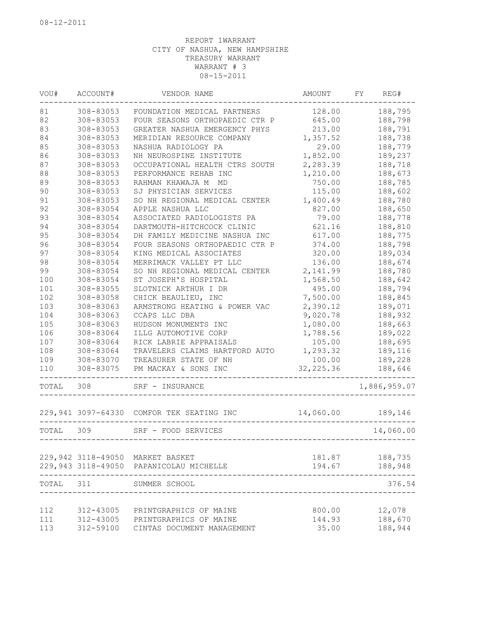| VOU#      | ACCOUNT#  | VENDOR NAME                                                                 | AMOUNT           | FY. | REG#               |
|-----------|-----------|-----------------------------------------------------------------------------|------------------|-----|--------------------|
| 81        | 308-83053 | FOUNDATION MEDICAL PARTNERS                                                 | 128.00           |     | 188,795            |
| 82        | 308-83053 | FOUR SEASONS ORTHOPAEDIC CTR P                                              | 645.00           |     | 188,798            |
| 83        | 308-83053 | GREATER NASHUA EMERGENCY PHYS                                               | 213.00           |     | 188,791            |
| 84        | 308-83053 | MERIDIAN RESOURCE COMPANY                                                   | 1,357.52         |     | 188,738            |
| 85        | 308-83053 | NASHUA RADIOLOGY PA                                                         | 29.00            |     | 188,779            |
| 86        | 308-83053 | NH NEUROSPINE INSTITUTE                                                     | 1,852.00         |     | 189,237            |
| 87        | 308-83053 | OCCUPATIONAL HEALTH CTRS SOUTH                                              | 2,283.39         |     | 188,718            |
| 88        | 308-83053 | PERFORMANCE REHAB INC                                                       | 1,210.00         |     | 188,673            |
| 89        | 308-83053 | RAHMAN KHAWAJA M<br>MD                                                      | 750.00           |     | 188,785            |
| 90        | 308-83053 | SJ PHYSICIAN SERVICES                                                       | 115.00           |     | 188,602            |
| 91        | 308-83053 | SO NH REGIONAL MEDICAL CENTER                                               | 1,400.49         |     | 188,780            |
| 92        | 308-83054 | APPLE NASHUA LLC                                                            | 827.00           |     | 188,650            |
| 93        | 308-83054 | ASSOCIATED RADIOLOGISTS PA                                                  | 79.00            |     | 188,778            |
| 94        | 308-83054 | DARTMOUTH-HITCHCOCK CLINIC                                                  | 621.16           |     | 188,810            |
| 95        | 308-83054 | DH FAMILY MEDICINE NASHUA INC                                               | 617.00           |     | 188,775            |
| 96        | 308-83054 | FOUR SEASONS ORTHOPAEDIC CTR P                                              | 374.00           |     | 188,798            |
| 97        | 308-83054 | KING MEDICAL ASSOCIATES                                                     | 320.00           |     | 189,034            |
| 98        | 308-83054 | MERRIMACK VALLEY PT LLC                                                     | 136.00           |     | 188,674            |
| 99        | 308-83054 | SO NH REGIONAL MEDICAL CENTER                                               | 2,141.99         |     | 188,780            |
| 100       | 308-83054 | ST JOSEPH'S HOSPITAL                                                        | 1,568.50         |     | 188,642            |
| 101       | 308-83055 | SLOTNICK ARTHUR I DR                                                        | 495.00           |     | 188,794            |
| 102       | 308-83058 | CHICK BEAULIEU, INC                                                         | 7,500.00         |     | 188,845            |
| 103       | 308-83063 | ARMSTRONG HEATING & POWER VAC                                               | 2,390.12         |     | 189,071            |
| 104       | 308-83063 | CCAPS LLC DBA                                                               | 9,020.78         |     | 188,932            |
| 105       | 308-83063 | HUDSON MONUMENTS INC                                                        | 1,080.00         |     | 188,663            |
| 106       | 308-83064 | ILLG AUTOMOTIVE CORP                                                        | 1,788.56         |     | 189,022            |
| 107       | 308-83064 | RICK LABRIE APPRAISALS                                                      | 105.00           |     | 188,695            |
| 108       | 308-83064 | TRAVELERS CLAIMS HARTFORD AUTO                                              | 1,293.32         |     | 189,116            |
| 109       | 308-83070 | TREASURER STATE OF NH                                                       | 100.00           |     | 189,228            |
| 110       | 308-83075 | PM MACKAY & SONS INC                                                        | 32, 225.36       |     | 188,646            |
| TOTAL     | 308       | SRF - INSURANCE                                                             |                  |     | 1,886,959.07       |
|           |           | 229,941 3097-64330 COMFOR TEK SEATING INC<br>__________                     | 14,060.00        |     | 189,146            |
| TOTAL     | 309       | SRF - FOOD SERVICES                                                         |                  |     | 14,060.00          |
|           |           |                                                                             |                  |     |                    |
|           |           | 229,942 3118-49050 MARKET BASKET<br>229,943 3118-49050 PAPANICOLAU MICHELLE | 181.87<br>194.67 |     | 188,735<br>188,948 |
| TOTAL 311 |           | SUMMER SCHOOL                                                               |                  |     | 376.54             |
|           |           |                                                                             |                  |     |                    |
| 112       | 312-43005 | PRINTGRAPHICS OF MAINE                                                      | 800.00           |     | 12,078             |
| 111       | 312-43005 | PRINTGRAPHICS OF MAINE                                                      | 144.93           |     | 188,670            |
| 113       | 312-59100 | CINTAS DOCUMENT MANAGEMENT                                                  | 35.00            |     | 188,944            |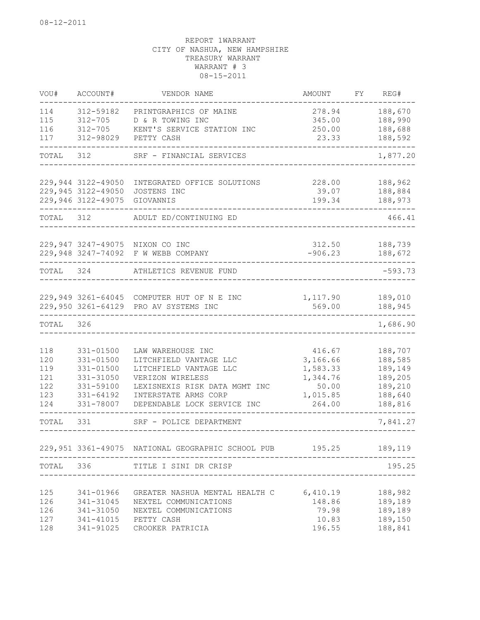| VOU#       | ACCOUNT#                   | VENDOR NAME                                       | AMOUNT               | FY. | REG#               |
|------------|----------------------------|---------------------------------------------------|----------------------|-----|--------------------|
| 114        | 312-59182                  | PRINTGRAPHICS OF MAINE                            | 278.94               |     | 188,670            |
| 115        | 312-705                    | D & R TOWING INC                                  | 345.00               |     | 188,990            |
| 116        | $312 - 705$                | KENT'S SERVICE STATION INC                        | 250.00               |     | 188,688            |
| 117        | 312-98029                  | PETTY CASH                                        | 23.33                |     | 188,592            |
| TOTAL      | 312                        | SRF - FINANCIAL SERVICES                          |                      |     | 1,877.20           |
|            | 229,944 3122-49050         | INTEGRATED OFFICE SOLUTIONS                       | 228.00               |     | 188,962            |
|            | 229,945 3122-49050         | JOSTENS INC                                       | 39.07                |     | 188,884            |
|            | 229,946 3122-49075         | GIOVANNIS                                         | 199.34               |     | 188,973            |
| TOTAL      | 312                        | ADULT ED/CONTINUING ED                            |                      |     | 466.41             |
|            | 229,947 3247-49075         | NIXON CO INC                                      | 312.50               |     | 188,739            |
|            | 229,948 3247-74092         | F W WEBB COMPANY                                  | $-906.23$            |     | 188,672            |
| TOTAL 324  |                            | ATHLETICS REVENUE FUND                            |                      |     | $-593.73$          |
|            |                            | 229,949 3261-64045 COMPUTER HUT OF N E INC        | 1,117.90             |     | 189,010            |
|            |                            | 229,950 3261-64129 PRO AV SYSTEMS INC             | 569.00               |     | 188,945            |
| TOTAL      | 326                        |                                                   |                      |     | 1,686.90           |
|            |                            |                                                   |                      |     |                    |
| 118        | 331-01500                  | LAW WAREHOUSE INC                                 | 416.67               |     | 188,707            |
| 120<br>119 | 331-01500<br>$331 - 01500$ | LITCHFIELD VANTAGE LLC<br>LITCHFIELD VANTAGE LLC  | 3,166.66<br>1,583.33 |     | 188,585<br>189,149 |
| 121        | 331-31050                  | VERIZON WIRELESS                                  | 1,344.76             |     | 189,205            |
| 122        | 331-59100                  | LEXISNEXIS RISK DATA MGMT INC                     | 50.00                |     | 189,210            |
| 123        | 331-64192                  | INTERSTATE ARMS CORP                              | 1,015.85             |     | 188,640            |
| 124        | 331-78007                  | DEPENDABLE LOCK SERVICE INC                       | 264.00               |     | 188,816            |
| TOTAL      | 331                        | SRF - POLICE DEPARTMENT                           |                      |     | 7,841.27           |
|            |                            | 229,951 3361-49075 NATIONAL GEOGRAPHIC SCHOOL PUB |                      |     | 195.25 189,119     |
|            |                            |                                                   |                      |     |                    |
| TOTAL      | 336                        | TITLE I SINI DR CRISP                             |                      |     | 195.25             |
| 125        | 341-01966                  | GREATER NASHUA MENTAL HEALTH C                    | 6,410.19             |     | 188,982            |
| 126        | 341-31045                  | NEXTEL COMMUNICATIONS                             | 148.86               |     | 189,189            |
| 126        | 341-31050                  | NEXTEL COMMUNICATIONS                             | 79.98                |     | 189,189            |
| 127        | 341-41015                  | PETTY CASH                                        | 10.83                |     | 189,150            |
| 128        | 341-91025                  | CROOKER PATRICIA                                  | 196.55               |     | 188,841            |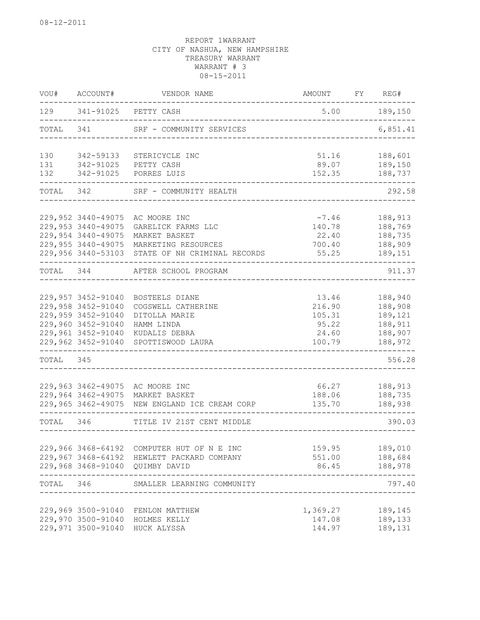| WOU#      | ACCOUNT#           | VENDOR NAME                                     | AMOUNT          | FY | REG#               |
|-----------|--------------------|-------------------------------------------------|-----------------|----|--------------------|
| 129       |                    | 341-91025 PETTY CASH                            | 5.00            |    | 189,150            |
| TOTAL     | 341                | SRF - COMMUNITY SERVICES                        |                 |    | 6,851.41           |
| 130       | 342-59133          | STERICYCLE INC                                  | 51.16           |    | 188,601            |
| 131       |                    | 342-91025 PETTY CASH                            | 89.07           |    | 189,150            |
| 132       | 342-91025          | PORRES LUIS                                     | 152.35          |    | 188,737            |
| TOTAL     | 342                | SRF - COMMUNITY HEALTH                          |                 |    | 292.58             |
|           |                    |                                                 |                 |    |                    |
|           | 229,952 3440-49075 | AC MOORE INC                                    | $-7.46$         |    | 188,913            |
|           | 229,953 3440-49075 | GARELICK FARMS LLC                              | 140.78          |    | 188,769            |
|           | 229,954 3440-49075 | MARKET BASKET                                   | 22.40           |    | 188,735            |
|           | 229,955 3440-49075 | MARKETING RESOURCES                             | 700.40          |    | 188,909            |
|           |                    | 229,956 3440-53103 STATE OF NH CRIMINAL RECORDS | 55.25           |    | 189,151            |
| TOTAL 344 |                    | AFTER SCHOOL PROGRAM                            |                 |    | 911.37             |
|           | 229,957 3452-91040 | <b>BOSTEELS DIANE</b>                           |                 |    |                    |
|           | 229,958 3452-91040 | COGSWELL CATHERINE                              | 13.46<br>216.90 |    | 188,940<br>188,908 |
|           | 229,959 3452-91040 | DITOLLA MARIE                                   |                 |    | 189,121            |
|           | 229,960 3452-91040 | HAMM LINDA                                      | 105.31<br>95.22 |    | 188,911            |
|           | 229,961 3452-91040 | KUDALIS DEBRA                                   | 24.60           |    | 188,907            |
|           | 229,962 3452-91040 | SPOTTISWOOD LAURA                               | 100.79          |    | 188,972            |
| TOTAL     | 345                |                                                 |                 |    | 556.28             |
|           |                    |                                                 |                 |    |                    |
|           | 229,963 3462-49075 | AC MOORE INC                                    | 66.27           |    | 188,913            |
|           | 229,964 3462-49075 | MARKET BASKET                                   | 188.06          |    | 188,735            |
|           | 229,965 3462-49075 | NEW ENGLAND ICE CREAM CORP                      | 135.70          |    | 188,938            |
| TOTAL 346 |                    | TITLE IV 21ST CENT MIDDLE                       |                 |    | 390.03             |
|           |                    |                                                 |                 |    |                    |
|           | 229,966 3468-64192 | COMPUTER HUT OF N E INC                         | 159.95          |    | 189,010            |
|           | 229,967 3468-64192 | HEWLETT PACKARD COMPANY                         | 551.00          |    | 188,684            |
|           |                    | 229,968 3468-91040 QUIMBY DAVID                 | 86.45           |    | 188,978            |
|           |                    | TOTAL 346 SMALLER LEARNING COMMUNITY            |                 |    | 797.40             |
|           | 229,969 3500-91040 | FENLON MATTHEW                                  | 1,369.27        |    | 189,145            |
|           | 229,970 3500-91040 | HOLMES KELLY                                    | 147.08          |    | 189,133            |
|           | 229,971 3500-91040 | HUCK ALYSSA                                     | 144.97          |    | 189,131            |
|           |                    |                                                 |                 |    |                    |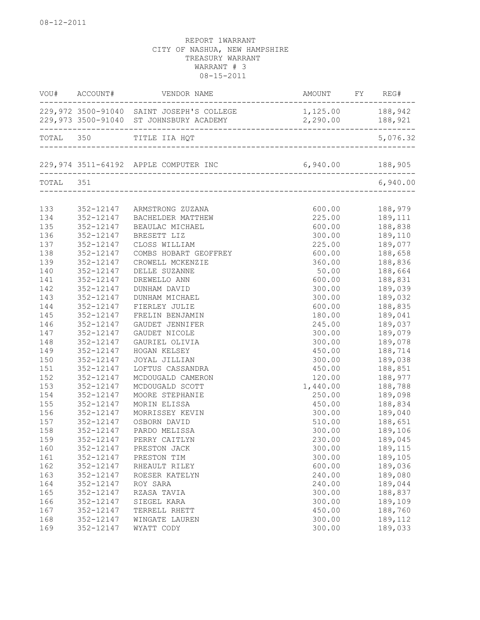| 1,125.00 188,942<br>229,972 3500-91040 SAINT JOSEPH'S COLLEGE<br>2,290.00 188,921<br>TOTAL 350 TITLE IIA HQT<br>TOTAL 351<br>133<br>352-12147 ARMSTRONG ZUZANA<br>600.00 188,979<br>225.00 189,111<br>134<br>352-12147 BACHELDER MATTHEW<br>135<br>600.00 188,838<br>352-12147<br>BEAULAC MICHAEL<br>136<br>352-12147<br>300.00    189,110<br>BRESETT LIZ<br>137<br>352-12147<br>225.00 189,077<br>CLOSS WILLIAM<br>138<br>188,658<br>352-12147<br>COMBS HOBART GEOFFREY<br>600.00<br>139<br>188,836<br>352-12147<br>CROWELL MCKENZIE<br>360.00<br>188,850<br>188,664<br>140<br>352-12147<br>DELLE SUZANNE<br>50.00<br>188,831<br>141<br>352-12147<br>600.00<br>DREWELLO ANN<br>300.00<br>142<br>189,039<br>352-12147<br>DUNHAM DAVID<br>143<br>300.00<br>189,032<br>352-12147<br>DUNHAM MICHAEL<br>144<br>352-12147<br>FIERLEY JULIE<br>600.00<br>188,835<br>145<br>352-12147<br>189,041<br>FRELIN BENJAMIN<br>180.00<br>146<br>245.00<br>189,037<br>352-12147<br>GAUDET JENNIFER |     | VOU# ACCOUNT# | VENDOR NAME   |        |          |
|------------------------------------------------------------------------------------------------------------------------------------------------------------------------------------------------------------------------------------------------------------------------------------------------------------------------------------------------------------------------------------------------------------------------------------------------------------------------------------------------------------------------------------------------------------------------------------------------------------------------------------------------------------------------------------------------------------------------------------------------------------------------------------------------------------------------------------------------------------------------------------------------------------------------------------------------------------------------------------|-----|---------------|---------------|--------|----------|
|                                                                                                                                                                                                                                                                                                                                                                                                                                                                                                                                                                                                                                                                                                                                                                                                                                                                                                                                                                                    |     |               |               |        |          |
|                                                                                                                                                                                                                                                                                                                                                                                                                                                                                                                                                                                                                                                                                                                                                                                                                                                                                                                                                                                    |     |               |               |        | 5,076.32 |
|                                                                                                                                                                                                                                                                                                                                                                                                                                                                                                                                                                                                                                                                                                                                                                                                                                                                                                                                                                                    |     |               |               |        |          |
|                                                                                                                                                                                                                                                                                                                                                                                                                                                                                                                                                                                                                                                                                                                                                                                                                                                                                                                                                                                    |     |               |               |        | 6,940.00 |
|                                                                                                                                                                                                                                                                                                                                                                                                                                                                                                                                                                                                                                                                                                                                                                                                                                                                                                                                                                                    |     |               |               |        |          |
|                                                                                                                                                                                                                                                                                                                                                                                                                                                                                                                                                                                                                                                                                                                                                                                                                                                                                                                                                                                    |     |               |               |        |          |
|                                                                                                                                                                                                                                                                                                                                                                                                                                                                                                                                                                                                                                                                                                                                                                                                                                                                                                                                                                                    |     |               |               |        |          |
|                                                                                                                                                                                                                                                                                                                                                                                                                                                                                                                                                                                                                                                                                                                                                                                                                                                                                                                                                                                    |     |               |               |        |          |
|                                                                                                                                                                                                                                                                                                                                                                                                                                                                                                                                                                                                                                                                                                                                                                                                                                                                                                                                                                                    |     |               |               |        |          |
|                                                                                                                                                                                                                                                                                                                                                                                                                                                                                                                                                                                                                                                                                                                                                                                                                                                                                                                                                                                    |     |               |               |        |          |
|                                                                                                                                                                                                                                                                                                                                                                                                                                                                                                                                                                                                                                                                                                                                                                                                                                                                                                                                                                                    |     |               |               |        |          |
|                                                                                                                                                                                                                                                                                                                                                                                                                                                                                                                                                                                                                                                                                                                                                                                                                                                                                                                                                                                    |     |               |               |        |          |
|                                                                                                                                                                                                                                                                                                                                                                                                                                                                                                                                                                                                                                                                                                                                                                                                                                                                                                                                                                                    |     |               |               |        |          |
|                                                                                                                                                                                                                                                                                                                                                                                                                                                                                                                                                                                                                                                                                                                                                                                                                                                                                                                                                                                    |     |               |               |        |          |
|                                                                                                                                                                                                                                                                                                                                                                                                                                                                                                                                                                                                                                                                                                                                                                                                                                                                                                                                                                                    |     |               |               |        |          |
|                                                                                                                                                                                                                                                                                                                                                                                                                                                                                                                                                                                                                                                                                                                                                                                                                                                                                                                                                                                    |     |               |               |        |          |
|                                                                                                                                                                                                                                                                                                                                                                                                                                                                                                                                                                                                                                                                                                                                                                                                                                                                                                                                                                                    |     |               |               |        |          |
|                                                                                                                                                                                                                                                                                                                                                                                                                                                                                                                                                                                                                                                                                                                                                                                                                                                                                                                                                                                    |     |               |               |        |          |
|                                                                                                                                                                                                                                                                                                                                                                                                                                                                                                                                                                                                                                                                                                                                                                                                                                                                                                                                                                                    |     |               |               |        |          |
|                                                                                                                                                                                                                                                                                                                                                                                                                                                                                                                                                                                                                                                                                                                                                                                                                                                                                                                                                                                    | 147 | 352-12147     | GAUDET NICOLE | 300.00 | 189,079  |
| 148<br>352-12147<br>189,078<br>GAURIEL OLIVIA<br>300.00<br>$189, 0.14$<br>$188, 714$                                                                                                                                                                                                                                                                                                                                                                                                                                                                                                                                                                                                                                                                                                                                                                                                                                                                                               |     |               |               |        |          |
| 149<br>352-12147<br>HOGAN KELSEY<br>450.00                                                                                                                                                                                                                                                                                                                                                                                                                                                                                                                                                                                                                                                                                                                                                                                                                                                                                                                                         |     |               |               |        |          |
| 150<br>189,038<br>352-12147<br>300.00<br>JOYAL JILLIAN                                                                                                                                                                                                                                                                                                                                                                                                                                                                                                                                                                                                                                                                                                                                                                                                                                                                                                                             |     |               |               |        |          |
| 450.00<br>151<br>188,851<br>352-12147<br>LOFTUS CASSANDRA                                                                                                                                                                                                                                                                                                                                                                                                                                                                                                                                                                                                                                                                                                                                                                                                                                                                                                                          |     |               |               |        |          |
| 152<br>352-12147<br>120.00<br>188,977<br>MCDOUGALD CAMERON                                                                                                                                                                                                                                                                                                                                                                                                                                                                                                                                                                                                                                                                                                                                                                                                                                                                                                                         |     |               |               |        |          |
| 153<br>1,440.00<br>352-12147<br>MCDOUGALD SCOTT<br>188,788                                                                                                                                                                                                                                                                                                                                                                                                                                                                                                                                                                                                                                                                                                                                                                                                                                                                                                                         |     |               |               |        |          |
| 154<br>352-12147<br>MOORE STEPHANIE<br>250.00<br>189,098                                                                                                                                                                                                                                                                                                                                                                                                                                                                                                                                                                                                                                                                                                                                                                                                                                                                                                                           |     |               |               |        |          |
| 155<br>450.00 188,834<br>352-12147<br>MORIN ELISSA                                                                                                                                                                                                                                                                                                                                                                                                                                                                                                                                                                                                                                                                                                                                                                                                                                                                                                                                 |     |               |               |        |          |
| 156<br>352-12147<br>189,040<br>MORRISSEY KEVIN<br>300.00                                                                                                                                                                                                                                                                                                                                                                                                                                                                                                                                                                                                                                                                                                                                                                                                                                                                                                                           |     |               |               |        |          |
| 157<br>352-12147<br>188,651<br>189,106<br>OSBORN DAVID<br>510.00                                                                                                                                                                                                                                                                                                                                                                                                                                                                                                                                                                                                                                                                                                                                                                                                                                                                                                                   |     |               |               |        |          |
| 158<br>352-12147<br>PARDO MELISSA<br>300.00                                                                                                                                                                                                                                                                                                                                                                                                                                                                                                                                                                                                                                                                                                                                                                                                                                                                                                                                        |     |               |               |        |          |
| 159<br>189,045<br>352-12147 PERRY CAITLYN<br>230.00                                                                                                                                                                                                                                                                                                                                                                                                                                                                                                                                                                                                                                                                                                                                                                                                                                                                                                                                |     |               |               |        |          |
| 189,115<br>160<br>352-12147<br>PRESTON JACK<br>300.00                                                                                                                                                                                                                                                                                                                                                                                                                                                                                                                                                                                                                                                                                                                                                                                                                                                                                                                              |     |               |               |        |          |
| 161<br>352-12147<br>300.00<br>189,105<br>PRESTON TIM                                                                                                                                                                                                                                                                                                                                                                                                                                                                                                                                                                                                                                                                                                                                                                                                                                                                                                                               |     |               |               |        |          |
| 162<br>352-12147<br>189,036<br>RHEAULT RILEY<br>600.00                                                                                                                                                                                                                                                                                                                                                                                                                                                                                                                                                                                                                                                                                                                                                                                                                                                                                                                             |     |               |               |        |          |
| 163<br>352-12147<br>240.00<br>189,080<br>ROESER KATELYN                                                                                                                                                                                                                                                                                                                                                                                                                                                                                                                                                                                                                                                                                                                                                                                                                                                                                                                            |     |               |               |        |          |
| 164<br>352-12147<br>240.00<br>ROY SARA<br>189,044                                                                                                                                                                                                                                                                                                                                                                                                                                                                                                                                                                                                                                                                                                                                                                                                                                                                                                                                  |     |               |               |        |          |
| 165<br>352-12147<br>300.00<br>188,837<br>RZASA TAVIA                                                                                                                                                                                                                                                                                                                                                                                                                                                                                                                                                                                                                                                                                                                                                                                                                                                                                                                               |     |               |               |        |          |
| 352-12147<br>166<br>300.00<br>189,109<br>SIEGEL KARA                                                                                                                                                                                                                                                                                                                                                                                                                                                                                                                                                                                                                                                                                                                                                                                                                                                                                                                               |     |               |               |        |          |
| 167<br>352-12147<br>450.00<br>188,760<br>TERRELL RHETT                                                                                                                                                                                                                                                                                                                                                                                                                                                                                                                                                                                                                                                                                                                                                                                                                                                                                                                             |     |               |               |        |          |
| 168<br>352-12147<br>300.00<br>189,112<br>WINGATE LAUREN<br>189,033<br>169<br>352-12147<br>300.00<br>WYATT CODY                                                                                                                                                                                                                                                                                                                                                                                                                                                                                                                                                                                                                                                                                                                                                                                                                                                                     |     |               |               |        |          |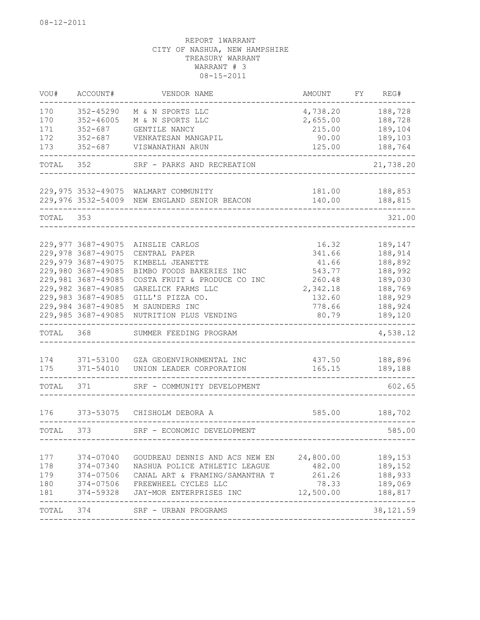| VOU#                            | ACCOUNT#                                                                                                                                                                                           | VENDOR NAME                                                                                                                                                                                           | AMOUNT                                                                                | FY. | REG#                                                                                            |
|---------------------------------|----------------------------------------------------------------------------------------------------------------------------------------------------------------------------------------------------|-------------------------------------------------------------------------------------------------------------------------------------------------------------------------------------------------------|---------------------------------------------------------------------------------------|-----|-------------------------------------------------------------------------------------------------|
| 170<br>170<br>171               | 352-45290<br>$352 - 46005$<br>$352 - 687$                                                                                                                                                          | M & N SPORTS LLC<br>M & N SPORTS LLC<br>GENTILE NANCY                                                                                                                                                 | 4,738.20<br>2,655.00<br>215.00                                                        |     | 188,728<br>188,728<br>189,104                                                                   |
| 172<br>173                      | $352 - 687$<br>$352 - 687$                                                                                                                                                                         | VENKATESAN MANGAPIL<br>VISWANATHAN ARUN                                                                                                                                                               | 90.00<br>125.00                                                                       |     | 189,103<br>188,764                                                                              |
| TOTAL                           | 352                                                                                                                                                                                                | SRF - PARKS AND RECREATION                                                                                                                                                                            |                                                                                       |     | 21,738.20                                                                                       |
|                                 | 229,975 3532-49075<br>229,976 3532-54009                                                                                                                                                           | WALMART COMMUNITY<br>NEW ENGLAND SENIOR BEACON                                                                                                                                                        | 181.00<br>140.00                                                                      |     | 188,853<br>188,815                                                                              |
| TOTAL                           | 353                                                                                                                                                                                                |                                                                                                                                                                                                       |                                                                                       |     | 321.00                                                                                          |
|                                 | 229,977 3687-49075<br>229,978 3687-49075<br>229,979 3687-49075<br>229,980 3687-49085<br>229,981 3687-49085<br>229,982 3687-49085<br>229,983 3687-49085<br>229,984 3687-49085<br>229,985 3687-49085 | AINSLIE CARLOS<br>CENTRAL PAPER<br>KIMBELL JEANETTE<br>BIMBO FOODS BAKERIES INC<br>COSTA FRUIT & PRODUCE CO INC<br>GARELICK FARMS LLC<br>GILL'S PIZZA CO.<br>M SAUNDERS INC<br>NUTRITION PLUS VENDING | 16.32<br>341.66<br>41.66<br>543.77<br>260.48<br>2,342.18<br>132.60<br>778.66<br>80.79 |     | 189,147<br>188,914<br>188,892<br>188,992<br>189,030<br>188,769<br>188,929<br>188,924<br>189,120 |
| TOTAL                           | 368                                                                                                                                                                                                | SUMMER FEEDING PROGRAM                                                                                                                                                                                |                                                                                       |     | 4,538.12                                                                                        |
| 174<br>175                      | 371-53100<br>371-54010                                                                                                                                                                             | GZA GEOENVIRONMENTAL INC<br>UNION LEADER CORPORATION                                                                                                                                                  | 437.50<br>165.15                                                                      |     | 188,896<br>189,188                                                                              |
| TOTAL                           | 371                                                                                                                                                                                                | SRF - COMMUNITY DEVELOPMENT                                                                                                                                                                           |                                                                                       |     | 602.65                                                                                          |
| 176                             | 373-53075                                                                                                                                                                                          | CHISHOLM DEBORA A                                                                                                                                                                                     | 585.00                                                                                |     | 188,702                                                                                         |
| TOTAL                           | 373                                                                                                                                                                                                | SRF - ECONOMIC DEVELOPMENT                                                                                                                                                                            |                                                                                       |     | 585.00                                                                                          |
| 177<br>178<br>179<br>180<br>181 | $374 - 07040$<br>374-07340<br>374-07506<br>$374 - 07506$<br>374-59328                                                                                                                              | GOUDREAU DENNIS AND ACS NEW EN 24,800.00<br>NASHUA POLICE ATHLETIC LEAGUE<br>CANAL ART & FRAMING/SAMANTHA T<br>FREEWHEEL CYCLES LLC<br>JAY-MOR ENTERPRISES INC                                        | 482.00<br>261.26<br>78.33<br>12,500.00                                                |     | 189,153<br>189,152<br>188,933<br>189,069<br>188,817                                             |
| TOTAL                           | 374                                                                                                                                                                                                | SRF - URBAN PROGRAMS                                                                                                                                                                                  |                                                                                       |     | -------<br>38, 121.59                                                                           |
|                                 |                                                                                                                                                                                                    |                                                                                                                                                                                                       |                                                                                       |     |                                                                                                 |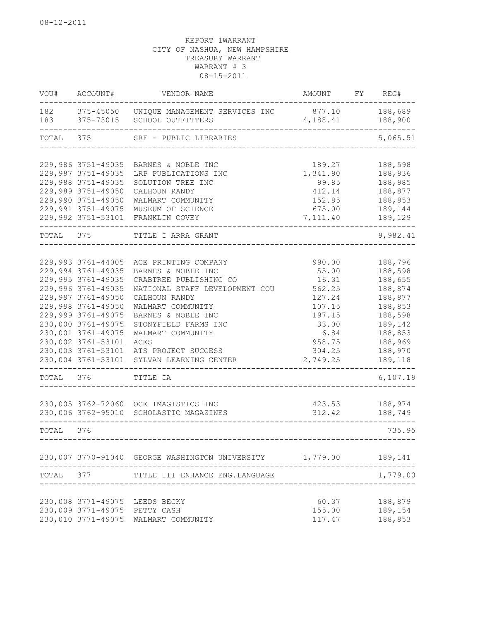| VOU#       | ACCOUNT#                                 | VENDOR NAME                                         | AMOUNT             | REG#<br>FY         |
|------------|------------------------------------------|-----------------------------------------------------|--------------------|--------------------|
| 182<br>183 | 375-45050<br>375-73015                   | UNIQUE MANAGEMENT SERVICES INC<br>SCHOOL OUTFITTERS | 877.10<br>4,188.41 | 188,689<br>188,900 |
| TOTAL      | 375                                      | SRF - PUBLIC LIBRARIES                              |                    | 5,065.51           |
|            | 229,986 3751-49035                       | BARNES & NOBLE INC                                  | 189.27             | 188,598            |
|            | 229,987 3751-49035                       | LRP PUBLICATIONS INC                                | 1,341.90           | 188,936            |
|            | 229,988 3751-49035                       | SOLUTION TREE INC                                   | 99.85              | 188,985            |
|            | 229,989 3751-49050                       | CALHOUN RANDY                                       | 412.14             | 188,877            |
|            | 229,990 3751-49050                       | WALMART COMMUNITY                                   | 152.85             | 188,853            |
|            | 229,991 3751-49075                       | MUSEUM OF SCIENCE                                   | 675.00             | 189,144            |
|            | 229,992 3751-53101                       | FRANKLIN COVEY                                      | 7,111.40           | 189,129            |
| TOTAL      | 375                                      | TITLE I ARRA GRANT                                  |                    | 9,982.41           |
|            |                                          |                                                     |                    |                    |
|            | 229,993 3761-44005<br>229,994 3761-49035 | ACE PRINTING COMPANY<br>BARNES & NOBLE INC          | 990.00<br>55.00    | 188,796<br>188,598 |
|            | 229,995 3761-49035                       | CRABTREE PUBLISHING CO                              | 16.31              | 188,655            |
|            | 229,996 3761-49035                       | NATIONAL STAFF DEVELOPMENT COU                      | 562.25             | 188,874            |
|            | 229,997 3761-49050                       | CALHOUN RANDY                                       | 127.24             | 188,877            |
|            | 229,998 3761-49050                       | WALMART COMMUNITY                                   | 107.15             | 188,853            |
|            | 229,999 3761-49075                       | BARNES & NOBLE INC                                  | 197.15             | 188,598            |
|            | 230,000 3761-49075                       | STONYFIELD FARMS INC                                | 33.00              | 189,142            |
|            | 230,001 3761-49075                       | WALMART COMMUNITY                                   | 6.84               | 188,853            |
|            | 230,002 3761-53101                       | ACES                                                | 958.75             | 188,969            |
|            | 230,003 3761-53101                       | ATS PROJECT SUCCESS                                 | 304.25             | 188,970            |
|            | 230,004 3761-53101                       | SYLVAN LEARNING CENTER                              | 2,749.25           | 189,118            |
| TOTAL      | 376                                      | TITLE IA                                            |                    | 6,107.19           |
|            |                                          | 230,005 3762-72060 OCE IMAGISTICS INC               | 423.53             | 188,974            |
|            | 230,006 3762-95010                       | SCHOLASTIC MAGAZINES                                | 312.42             | 188,749            |
| TOTAL      | 376                                      |                                                     |                    | 735.95             |
|            |                                          |                                                     |                    |                    |
|            |                                          | 230,007 3770-91040 GEORGE WASHINGTON UNIVERSITY     | 1,779.00           | 189,141            |
| TOTAL      | 377                                      | TITLE III ENHANCE ENG. LANGUAGE                     |                    | 1,779.00           |
|            |                                          | 230,008 3771-49075 LEEDS BECKY                      | 60.37              | 188,879            |
|            | 230,009 3771-49075                       | PETTY CASH                                          | 155.00             | 189,154            |
|            | 230,010 3771-49075                       | WALMART COMMUNITY                                   | 117.47             | 188,853            |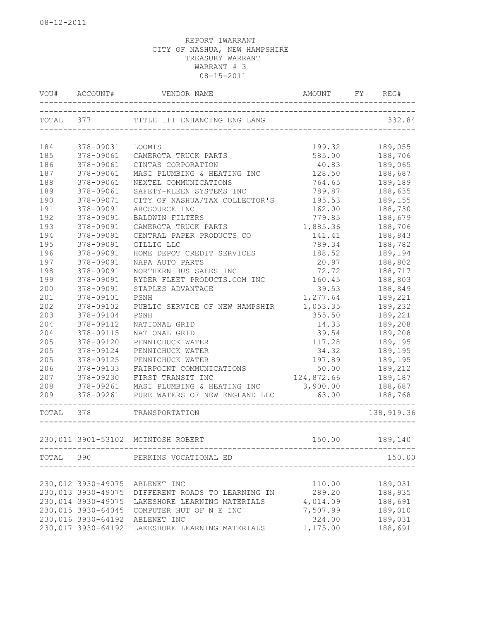|            | VOU# ACCOUNT#          |                                                   |                                       |                    |
|------------|------------------------|---------------------------------------------------|---------------------------------------|--------------------|
| TOTAL 377  |                        | TITLE III ENHANCING ENG LANG                      |                                       | 332.84             |
|            |                        |                                                   |                                       |                    |
| 184        | 378-09031              | LOOMIS                                            | 199.32                                | 189,055            |
| 185        | 378-09061              | CAMEROTA TRUCK PARTS                              | 585.00                                | 188,706            |
| 186<br>187 | 378-09061<br>378-09061 | CINTAS CORPORATION<br>MASI PLUMBING & HEATING INC | 40.83<br>128.50                       | 189,065            |
| 188        | 378-09061              |                                                   | 764.65                                | 188,687<br>189,189 |
| 189        | 378-09061              | NEXTEL COMMUNICATIONS<br>SAFETY-KLEEN SYSTEMS INC | 789.87                                | 188,635            |
| 190        | 378-09071              | CITY OF NASHUA/TAX COLLECTOR'S                    | 195.53                                | 189,155            |
| 191        | 378-09091              | ARCSOURCE INC                                     | 162.00                                |                    |
| 192        | 378-09091              | BALDWIN FILTERS                                   | 779.85                                | 188,730<br>188,679 |
| 193        | 378-09091              | CAMEROTA TRUCK PARTS                              | 1,885.36                              | 188,706            |
| 194        | 378-09091              | CENTRAL PAPER PRODUCTS CO                         | 141.41                                | 188,843            |
| 195        | 378-09091              | GILLIG LLC                                        | 789.34                                | 188,782            |
| 196        | 378-09091              |                                                   | 188.52                                | 189,194            |
| 197        | 378-09091              | HOME DEPOT CREDIT SERVICES<br>NAPA AUTO PARTS     | 20.97                                 | 188,802            |
| 198        | 378-09091              | NORTHERN BUS SALES INC                            | 72.72                                 | 188,717            |
| 199        | 378-09091              | RYDER FLEET PRODUCTS.COM INC 160.45               |                                       | 188,803            |
| 200        | 378-09091              | STAPLES ADVANTAGE                                 | 39.53                                 | 188,849            |
| 201        | 378-09101              | PSNH                                              | 1,277.64                              | 189,221            |
| 202        | 378-09102              | PUBLIC SERVICE OF NEW HAMPSHIR                    | 1,053.35                              | 189,232            |
| 203        | 378-09104              | PSNH                                              | 355.50                                | 189,221            |
| 204        | 378-09112              | NATIONAL GRID                                     | 14.33                                 | 189,208            |
| 204        | 378-09115              | NATIONAL GRID                                     | 39.54                                 | 189,208            |
| 205        | 378-09120              | PENNICHUCK WATER                                  | 117.28                                | 189,195            |
| 205        | 378-09124              | PENNICHUCK WATER                                  | 34.32                                 | 189,195            |
| 205        | 378-09125              | PENNICHUCK WATER                                  | 197.89                                | 189,195            |
| 206        | 378-09133              | FAIRPOINT COMMUNICATIONS                          | 50.00                                 | 189,212            |
| 207        | 378-09230              | FIRST TRANSIT INC                                 | 124,872.66                            | 189,187            |
| 208        | $378 - 09261$          | MASI PLUMBING & HEATING INC                       | 3,900.00                              | 188,687            |
| 209        |                        |                                                   | 63.00                                 | 188,768            |
| TOTAL 378  |                        | TRANSPORTATION                                    |                                       | 138,919.36         |
|            |                        | 230,011 3901-53102 MCINTOSH ROBERT                | 150.00                                | 189,140            |
|            |                        | TOTAL 390 PERKINS VOCATIONAL ED                   |                                       | 150.00             |
|            |                        |                                                   | ------------------------------------- |                    |
|            | 230,012 3930-49075     | ABLENET INC                                       | 110.00                                | 189,031            |
|            | 230,013 3930-49075     | DIFFERENT ROADS TO LEARNING IN                    | 289.20                                | 188,935            |
|            | 230,014 3930-49075     | LAKESHORE LEARNING MATERIALS                      | 4,014.09                              | 188,691            |
|            | 230,015 3930-64045     | COMPUTER HUT OF N E INC                           | 7,507.99                              | 189,010            |
|            | 230,016 3930-64192     | ABLENET INC                                       | 324.00                                | 189,031            |
|            | 230,017 3930-64192     | LAKESHORE LEARNING MATERIALS                      | 1,175.00                              | 188,691            |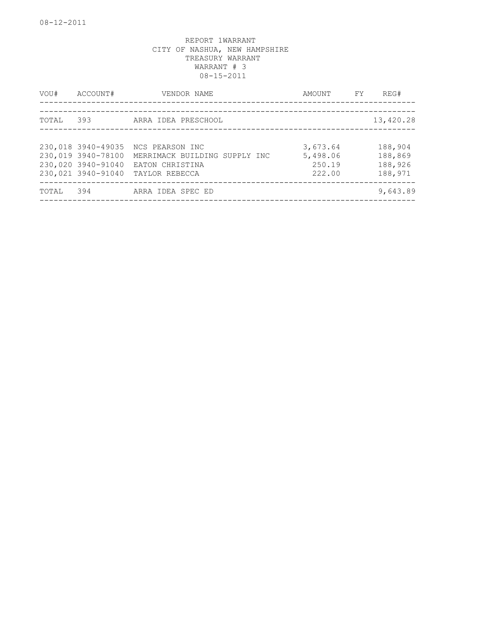| VOU#  | ACCOUNT#                                                                             | VENDOR NAME                                                                           | AMOUNT                                   | FY. | REG#                                     |
|-------|--------------------------------------------------------------------------------------|---------------------------------------------------------------------------------------|------------------------------------------|-----|------------------------------------------|
| TOTAL | 393                                                                                  | ARRA IDEA PRESCHOOL                                                                   |                                          |     | 13,420.28                                |
|       |                                                                                      |                                                                                       |                                          |     |                                          |
|       | 230,018 3940-49035<br>230,019 3940-78100<br>230,020 3940-91040<br>230,021 3940-91040 | NCS PEARSON INC<br>MERRIMACK BUILDING SUPPLY INC<br>EATON CHRISTINA<br>TAYLOR REBECCA | 3,673.64<br>5,498.06<br>250.19<br>222.00 |     | 188,904<br>188,869<br>188,926<br>188,971 |
| TOTAL | 394                                                                                  | ARRA IDEA SPEC ED                                                                     |                                          |     | 9,643.89                                 |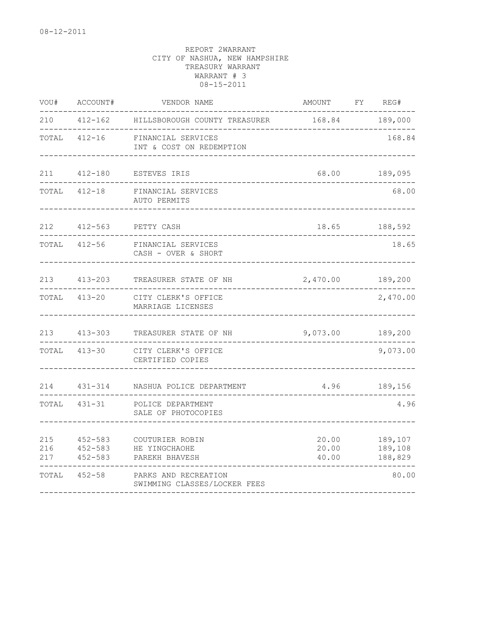| VOU#              | ACCOUNT#                                  | VENDOR NAME                                          | AMOUNT                  | FY REG#                       |
|-------------------|-------------------------------------------|------------------------------------------------------|-------------------------|-------------------------------|
| 210               | $412 - 162$                               | HILLSBOROUGH COUNTY TREASURER                        | 168.84                  | 189,000                       |
| TOTAL             | $412 - 16$                                | FINANCIAL SERVICES<br>INT & COST ON REDEMPTION       |                         | 168.84                        |
| 211               | 412-180                                   | ESTEVES IRIS                                         |                         | 68.00 189,095                 |
| TOTAL             | $412 - 18$                                | FINANCIAL SERVICES<br>AUTO PERMITS                   |                         | 68.00                         |
| 212               | $412 - 563$                               | PETTY CASH                                           |                         | 18.65 188,592                 |
| TOTAL             | $412 - 56$                                | FINANCIAL SERVICES<br>CASH - OVER & SHORT            |                         | 18.65                         |
| 213               | $413 - 203$                               | TREASURER STATE OF NH                                | 2,470.00 189,200        |                               |
| TOTAL             | $413 - 20$                                | CITY CLERK'S OFFICE<br>MARRIAGE LICENSES             |                         | 2,470.00                      |
| 213               | $413 - 303$                               | TREASURER STATE OF NH                                | 9,073.00 189,200        |                               |
| TOTAL             | $413 - 30$                                | CITY CLERK'S OFFICE<br>CERTIFIED COPIES              |                         | 9,073.00                      |
| 214               | $431 - 314$                               | NASHUA POLICE DEPARTMENT                             |                         | 4.96 189,156                  |
| TOTAL             | 431-31                                    | POLICE DEPARTMENT<br>SALE OF PHOTOCOPIES             |                         | 4.96                          |
| 215<br>216<br>217 | $452 - 583$<br>$452 - 583$<br>$452 - 583$ | COUTURIER ROBIN<br>HE YINGCHAOHE<br>PAREKH BHAVESH   | 20.00<br>20.00<br>40.00 | 189,107<br>189,108<br>188,829 |
| TOTAL             | $452 - 58$                                | PARKS AND RECREATION<br>SWIMMING CLASSES/LOCKER FEES |                         | 80.00                         |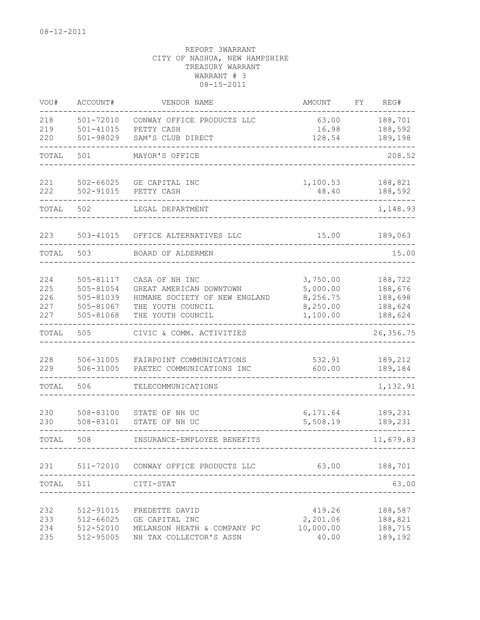| VOU#                            | ACCOUNT#                                                      | VENDOR NAME                                                                                                          | AMOUNT                                                   | FΥ | REG#                                                |
|---------------------------------|---------------------------------------------------------------|----------------------------------------------------------------------------------------------------------------------|----------------------------------------------------------|----|-----------------------------------------------------|
| 218<br>219<br>220               | 501-72010<br>$501 - 41015$<br>501-98029                       | CONWAY OFFICE PRODUCTS LLC<br>PETTY CASH<br>SAM'S CLUB DIRECT                                                        | 63.00<br>16.98<br>128.54                                 |    | 188,701<br>188,592<br>189,198                       |
| TOTAL                           | 501                                                           | MAYOR'S OFFICE                                                                                                       |                                                          |    | 208.52                                              |
| 221<br>222                      | $502 - 66025$<br>502-91015                                    | GE CAPITAL INC<br>PETTY CASH                                                                                         | 1,100.53<br>48.40                                        |    | 188,821<br>188,592                                  |
| TOTAL                           | 502                                                           | LEGAL DEPARTMENT                                                                                                     |                                                          |    | 1,148.93                                            |
| 223                             | 503-41015                                                     | OFFICE ALTERNATIVES LLC                                                                                              | 15.00                                                    |    | 189,063                                             |
| TOTAL                           | 503                                                           | BOARD OF ALDERMEN                                                                                                    |                                                          |    | 15.00                                               |
| 224<br>225<br>226<br>227<br>227 | 505-81117<br>505-81054<br>505-81039<br>505-81067<br>505-81068 | CASA OF NH INC<br>GREAT AMERICAN DOWNTOWN<br>HUMANE SOCIETY OF NEW ENGLAND<br>THE YOUTH COUNCIL<br>THE YOUTH COUNCIL | 3,750.00<br>5,000.00<br>8,256.75<br>8,250.00<br>1,100.00 |    | 188,722<br>188,676<br>188,698<br>188,624<br>188,624 |
| TOTAL                           | 505                                                           | CIVIC & COMM. ACTIVITIES                                                                                             |                                                          |    | 26, 356.75                                          |
| 228<br>229                      | 506-31005<br>506-31005                                        | FAIRPOINT COMMUNICATIONS<br>PAETEC COMMUNICATIONS INC                                                                | 532.91<br>600.00                                         |    | 189,212<br>189,184                                  |
| TOTAL                           | 506                                                           | TELECOMMUNICATIONS                                                                                                   |                                                          |    | 1,132.91                                            |
| 230<br>230                      | 508-83100<br>508-83101                                        | STATE OF NH UC<br>STATE OF NH UC                                                                                     | 6,171.64<br>5,508.19                                     |    | 189,231<br>189,231                                  |
| TOTAL                           | 508                                                           | INSURANCE-EMPLOYEE BENEFITS                                                                                          |                                                          |    | 11,679.83                                           |
| 231                             | 511-72010                                                     | CONWAY OFFICE PRODUCTS LLC                                                                                           | 63.00                                                    |    | 188,701                                             |
| TOTAL                           | 511                                                           | CITI-STAT                                                                                                            |                                                          |    | 63.00                                               |
| 232<br>233<br>234<br>235        | 512-91015<br>512-66025<br>512-52010<br>512-95005              | FREDETTE DAVID<br>GE CAPITAL INC<br>MELANSON HEATH & COMPANY PC<br>NH TAX COLLECTOR'S ASSN                           | 419.26<br>2,201.06<br>10,000.00<br>40.00                 |    | 188,587<br>188,821<br>188,715<br>189,192            |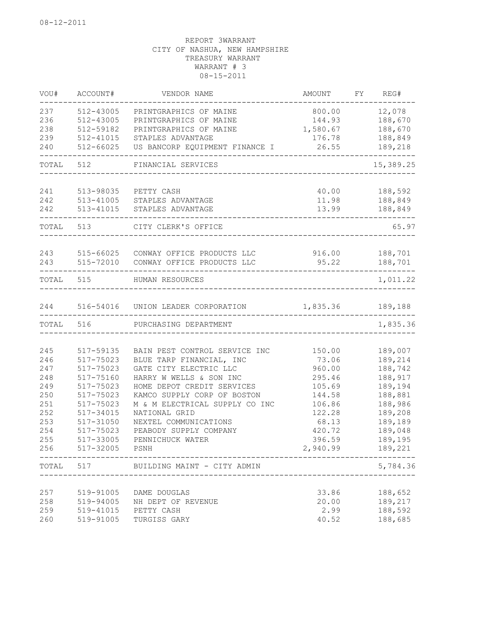| VOU#      | ACCOUNT#  | VENDOR NAME                        | AMOUNT           | FY | REG#      |
|-----------|-----------|------------------------------------|------------------|----|-----------|
| 237       | 512-43005 | PRINTGRAPHICS OF MAINE             | 800.00           |    | 12,078    |
| 236       | 512-43005 | PRINTGRAPHICS OF MAINE             | 144.93           |    | 188,670   |
| 238       | 512-59182 | PRINTGRAPHICS OF MAINE             | 1,580.67         |    | 188,670   |
| 239       | 512-41015 | STAPLES ADVANTAGE                  | 176.78           |    | 188,849   |
| 240       | 512-66025 | US BANCORP EQUIPMENT FINANCE I     | 26.55            |    | 189,218   |
| TOTAL     | 512       | FINANCIAL SERVICES                 |                  |    | 15,389.25 |
| 241       | 513-98035 | PETTY CASH                         | 40.00            |    | 188,592   |
| 242       | 513-41005 | STAPLES ADVANTAGE                  | 11.98            |    | 188,849   |
| 242       | 513-41015 | STAPLES ADVANTAGE                  | 13.99            |    | 188,849   |
| TOTAL 513 |           | CITY CLERK'S OFFICE                |                  |    | 65.97     |
| 243       | 515-66025 | CONWAY OFFICE PRODUCTS LLC         | 916.00           |    | 188,701   |
| 243       | 515-72010 | CONWAY OFFICE PRODUCTS LLC         | 95.22            |    | 188,701   |
| TOTAL     | 515       | HUMAN RESOURCES                    |                  |    | 1,011.22  |
|           |           |                                    |                  |    |           |
| 244       |           | 516-54016 UNION LEADER CORPORATION | 1,835.36 189,188 |    |           |
| TOTAL     | 516       | PURCHASING DEPARTMENT              |                  |    | 1,835.36  |
| 245       | 517-59135 | BAIN PEST CONTROL SERVICE INC      |                  |    | 189,007   |
| 246       | 517-75023 | BLUE TARP FINANCIAL, INC           | 150.00<br>73.06  |    | 189,214   |
| 247       | 517-75023 | GATE CITY ELECTRIC LLC             | 960.00           |    | 188,742   |
| 248       | 517-75160 | HARRY W WELLS & SON INC            | 295.46           |    | 188,917   |
| 249       | 517-75023 | HOME DEPOT CREDIT SERVICES         | 105.69           |    | 189,194   |
| 250       | 517-75023 | KAMCO SUPPLY CORP OF BOSTON        | 144.58           |    | 188,881   |
| 251       | 517-75023 | M & M ELECTRICAL SUPPLY CO INC     | 106.86           |    | 188,986   |
| 252       | 517-34015 | NATIONAL GRID                      | 122.28           |    | 189,208   |
| 253       | 517-31050 | NEXTEL COMMUNICATIONS              | 68.13            |    | 189,189   |
| 254       | 517-75023 | PEABODY SUPPLY COMPANY             | 420.72           |    | 189,048   |
| 255       | 517-33005 | PENNICHUCK WATER                   | 396.59           |    | 189,195   |
| 256       | 517-32005 | PSNH                               | 2,940.99         |    | 189,221   |
| TOTAL     | 517       | BUILDING MAINT - CITY ADMIN        |                  |    | 5,784.36  |
| 257       | 519-91005 | DAME DOUGLAS                       | 33.86            |    | 188,652   |
| 258       | 519-94005 | NH DEPT OF REVENUE                 | 20.00            |    | 189,217   |
| 259       | 519-41015 | PETTY CASH                         | 2.99             |    | 188,592   |
| 260       | 519-91005 | TURGISS GARY                       | 40.52            |    | 188,685   |
|           |           |                                    |                  |    |           |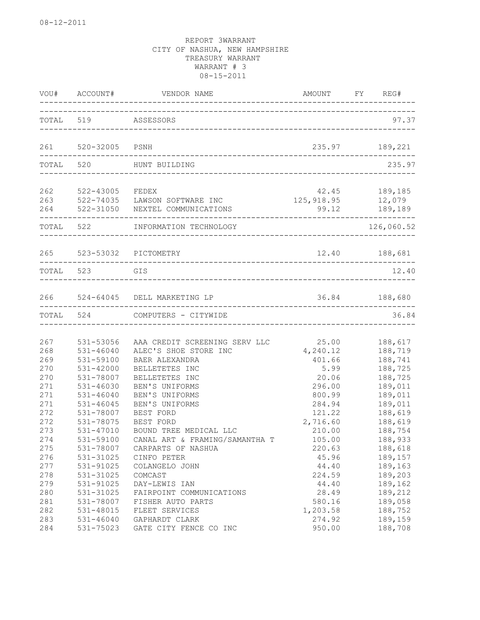|                          | VOU# ACCOUNT#                                            | VENDOR NAME                                                                    | AMOUNT FY REG#                         |                                          |
|--------------------------|----------------------------------------------------------|--------------------------------------------------------------------------------|----------------------------------------|------------------------------------------|
|                          | TOTAL 519 ASSESSORS                                      |                                                                                |                                        | 97.37                                    |
|                          | 261 520-32005                                            | PSNH                                                                           |                                        | 235.97 189,221                           |
|                          | TOTAL 520                                                | HUNT BUILDING<br>--------                                                      |                                        | 235.97                                   |
| 262<br>263<br>264        | 522-43005 FEDEX                                          | 522-74035 LAWSON SOFTWARE INC<br>522-31050 NEXTEL COMMUNICATIONS               | 125,918.95 12,079<br>99.12 189,189     | 42.45 189,185                            |
|                          | TOTAL 522                                                | INFORMATION TECHNOLOGY<br>. <u>.</u> .                                         |                                        | 126,060.52                               |
|                          |                                                          | 265 523-53032 PICTOMETRY                                                       |                                        | 12.40 188,681                            |
| TOTAL 523                |                                                          | GIS                                                                            |                                        | 12.40                                    |
| 266                      |                                                          | 524-64045 DELL MARKETING LP                                                    | 36.84 188,680                          |                                          |
|                          | TOTAL 524                                                | COMPUTERS - CITYWIDE                                                           |                                        | 36.84                                    |
| 267<br>268               | 531-53056<br>$531 - 46040$<br>531-59100                  | AAA CREDIT SCREENING SERV LLC<br>ALEC'S SHOE STORE INC                         | 25.00<br>4,240.12                      | 188,617<br>188,719                       |
| 269<br>270<br>270<br>271 | 531-42000<br>531-78007<br>531-46030                      | BAER ALEXANDRA<br>BELLETETES INC<br>BELLETETES INC<br>BEN'S UNIFORMS           | 401.66<br>5.99<br>20.06<br>296.00      | 188,741<br>188,725<br>188,725<br>189,011 |
| 271<br>271<br>272<br>272 | $531 - 46040$<br>$531 - 46045$<br>531-78007<br>531-78075 | BEN'S UNIFORMS<br>BEN'S UNIFORMS<br>BEST FORD<br>BEST FORD                     | 800.99<br>284.94<br>121.22<br>2,716.60 | 189,011<br>189,011<br>188,619<br>188,619 |
| 273<br>274<br>275        | 531-47010<br>531-59100<br>531-78007                      | BOUND TREE MEDICAL LLC<br>CANAL ART & FRAMING/SAMANTHA T<br>CARPARTS OF NASHUA | 210.00<br>105.00<br>220.63             | 188,754<br>188,933<br>188,618            |
| 276<br>277<br>278        | 531-31025<br>531-91025<br>531-31025                      | CINFO PETER<br>COLANGELO JOHN<br>COMCAST                                       | 45.96<br>44.40<br>224.59               | 189,157<br>189,163<br>189,203            |
| 279<br>280<br>281        | 531-91025<br>531-31025<br>531-78007                      | DAY-LEWIS IAN<br>FAIRPOINT COMMUNICATIONS<br>FISHER AUTO PARTS                 | 44.40<br>28.49<br>580.16               | 189,162<br>189,212<br>189,058            |
| 282<br>283<br>284        | 531-48015<br>531-46040<br>531-75023                      | FLEET SERVICES<br>GAPHARDT CLARK<br>GATE CITY FENCE CO INC                     | 1,203.58<br>274.92<br>950.00           | 188,752<br>189,159<br>188,708            |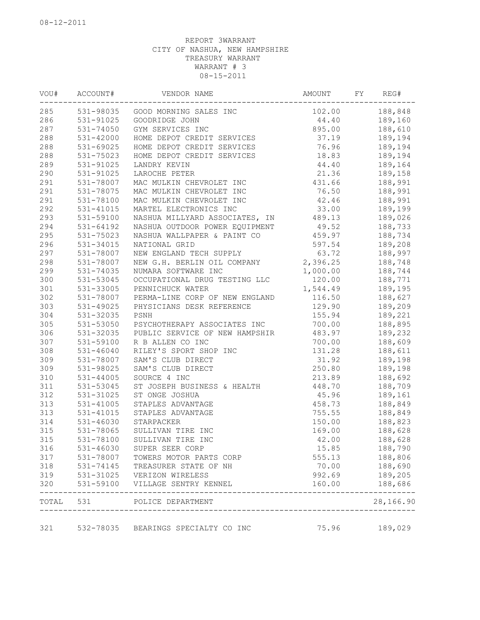| VOU# | ACCOUNT#      | VENDOR NAME                                                         | AMOUNT   | FY | REG#                |
|------|---------------|---------------------------------------------------------------------|----------|----|---------------------|
| 285  |               | 531-98035 GOOD MORNING SALES INC                                    | 102.00   |    | 188,848             |
| 286  | 531-91025     | GOODRIDGE JOHN                                                      | 44.40    |    | 189,160             |
| 287  | 531-74050     | GYM SERVICES INC                                                    | 895.00   |    | 188,610             |
| 288  | 531-42000     | HOME DEPOT CREDIT SERVICES                                          | 37.19    |    | 189,194             |
| 288  | 531-69025     | HOME DEPOT CREDIT SERVICES                                          | 76.96    |    | 189,194             |
| 288  | 531-75023     | HOME DEPOT CREDIT SERVICES                                          | 18.83    |    | 189,194             |
| 289  | 531-91025     | LANDRY KEVIN                                                        | 44.40    |    | 189,164             |
| 290  | 531-91025     | LAROCHE PETER                                                       | 21.36    |    | 189,158             |
| 291  | 531-78007     | MAC MULKIN CHEVROLET INC                                            | 431.66   |    | 188,991             |
| 291  | 531-78075     | MAC MULKIN CHEVROLET INC                                            | 76.50    |    | 188,991             |
| 291  | 531-78100     | MAC MULKIN CHEVROLET INC                                            | 42.46    |    | 188,991             |
| 292  | 531-41015     | MARTEL ELECTRONICS INC                                              | 33.00    |    | 189,199             |
| 293  | 531-59100     | NASHUA MILLYARD ASSOCIATES, IN                                      | 489.13   |    | 189,026             |
| 294  | 531-64192     | NASHUA OUTDOOR POWER EQUIPMENT                                      | 49.52    |    | 188,733             |
| 295  | 531-75023     | NASHUA WALLPAPER & PAINT CO                                         | 459.97   |    | 188,734             |
| 296  | 531-34015     | NATIONAL GRID                                                       | 597.54   |    | 189,208             |
| 297  | 531-78007     | NEW ENGLAND TECH SUPPLY                                             | 63.72    |    | 188,997             |
| 298  | 531-78007     | NEW G.H. BERLIN OIL COMPANY                                         | 2,396.25 |    | 188,748             |
| 299  | 531-74035     | NUMARA SOFTWARE INC                                                 | 1,000.00 |    | 188,744             |
| 300  | 531-53045     | OCCUPATIONAL DRUG TESTING LLC                                       | 120.00   |    | 188,771             |
| 301  | 531-33005     | PENNICHUCK WATER                                                    | 1,544.49 |    | 189,195             |
| 302  | 531-78007     | PERMA-LINE CORP OF NEW ENGLAND                                      | 116.50   |    | 188,627             |
| 303  | 531-49025     | PHYSICIANS DESK REFERENCE                                           | 129.90   |    | 189,209             |
| 304  | 531-32035     | PSNH                                                                | 155.94   |    | 189,221             |
| 305  | 531-53050     | PSYCHOTHERAPY ASSOCIATES INC                                        | 700.00   |    | 188,895             |
| 306  | 531-32035     | PUBLIC SERVICE OF NEW HAMPSHIR                                      | 483.97   |    | 189,232             |
| 307  | 531-59100     | R B ALLEN CO INC                                                    | 700.00   |    | 188,609             |
| 308  | 531-46040     | RILEY'S SPORT SHOP INC                                              | 131.28   |    | 188,611             |
| 309  | 531-78007     | SAM'S CLUB DIRECT                                                   | 31.92    |    | 189,198             |
| 309  | 531-98025     | SAM'S CLUB DIRECT                                                   | 250.80   |    | 189,198             |
| 310  | $531 - 44005$ | SOURCE 4 INC                                                        | 213.89   |    | 188,692             |
| 311  | 531-53045     | ST JOSEPH BUSINESS & HEALTH                                         | 448.70   |    | 188,709             |
| 312  | 531-31025     | ST ONGE JOSHUA                                                      | 45.96    |    | 189,161             |
| 313  | 531-41005     | STAPLES ADVANTAGE                                                   | 458.73   |    | 188,849             |
| 313  | 531-41015     | STAPLES ADVANTAGE                                                   | 755.55   |    | 188,849             |
| 314  | 531-46030     |                                                                     | 150.00   |    |                     |
| 315  | 531-78065     | STARPACKER<br>SULLIVAN TIRE INC                                     |          |    | 188,823             |
| 315  |               |                                                                     | 169.00   |    | 188,628             |
|      | 531-78100     | SULLIVAN TIRE INC                                                   | 42.00    |    | 188,628             |
| 316  | 531-46030     | SUPER SEER CORP                                                     | 15.85    |    | 188,790             |
| 317  | 531-78007     | TOWERS MOTOR PARTS CORP                                             | 555.13   |    | 188,806             |
| 318  | 531-74145     | TREASURER STATE OF NH                                               | 70.00    |    | 188,690             |
| 319  |               | 531-31025    VERIZON WIRELESS<br>531-59100    VILLAGE SENTEL "      | 992.69   |    | 189,205             |
| 320  |               | 531-59100 VILLAGE SENTRY KENNEL                                     | 160.00   |    | 188,686<br>-------- |
|      |               | TOTAL 531 POLICE DEPARTMENT<br>____________________________________ |          |    | 28,166.90           |
| 321  | 532-78035     | BEARINGS SPECIALTY CO INC                                           | 75.96    |    | 189,029             |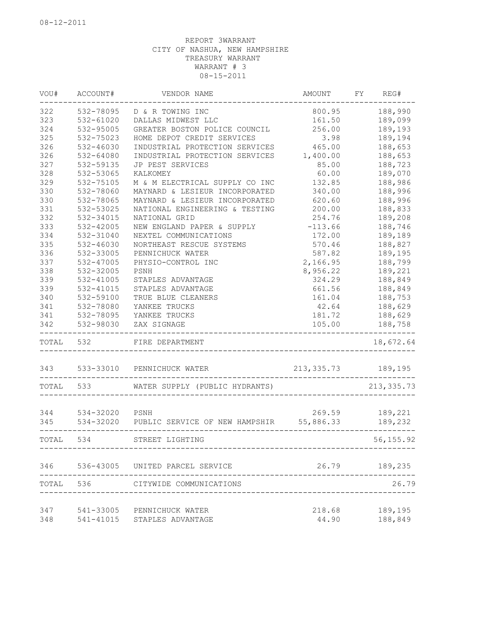| VOU#      | ACCOUNT#       | VENDOR NAME                     | AMOUNT      | FY | REG#        |
|-----------|----------------|---------------------------------|-------------|----|-------------|
| 322       | 532-78095      | D & R TOWING INC                | 800.95      |    | 188,990     |
| 323       | $532 - 61020$  | DALLAS MIDWEST LLC              | 161.50      |    | 189,099     |
| 324       | 532-95005      | GREATER BOSTON POLICE COUNCIL   | 256.00      |    | 189,193     |
| 325       | 532-75023      | HOME DEPOT CREDIT SERVICES      | 3.98        |    | 189,194     |
| 326       | $532 - 46030$  | INDUSTRIAL PROTECTION SERVICES  | 465.00      |    | 188,653     |
| 326       | 532-64080      | INDUSTRIAL PROTECTION SERVICES  | 1,400.00    |    | 188,653     |
| 327       | 532-59135      | JP PEST SERVICES                | 85.00       |    | 188,723     |
| 328       | 532-53065      | KALKOMEY                        | 60.00       |    | 189,070     |
| 329       | 532-75105      | M & M ELECTRICAL SUPPLY CO INC  | 132.85      |    | 188,986     |
| 330       | 532-78060      | MAYNARD & LESIEUR INCORPORATED  | 340.00      |    | 188,996     |
| 330       | 532-78065      | MAYNARD & LESIEUR INCORPORATED  | 620.60      |    | 188,996     |
| 331       | 532-53025      | NATIONAL ENGINEERING & TESTING  | 200.00      |    | 188,833     |
| 332       | 532-34015      | NATIONAL GRID                   | 254.76      |    | 189,208     |
| 333       | 532-42005      | NEW ENGLAND PAPER & SUPPLY      | $-113.66$   |    | 188,746     |
| 334       | 532-31040      | NEXTEL COMMUNICATIONS           | 172.00      |    | 189,189     |
| 335       | $532 - 46030$  | NORTHEAST RESCUE SYSTEMS        | 570.46      |    | 188,827     |
| 336       | 532-33005      | PENNICHUCK WATER                | 587.82      |    | 189,195     |
| 337       | 532-47005      | PHYSIO-CONTROL INC              | 2,166.95    |    | 188,799     |
| 338       | 532-32005      | PSNH                            | 8,956.22    |    | 189,221     |
| 339       | 532-41005      | STAPLES ADVANTAGE               | 324.29      |    | 188,849     |
| 339       | 532-41015      | STAPLES ADVANTAGE               | 661.56      |    | 188,849     |
| 340       | 532-59100      | TRUE BLUE CLEANERS              | 161.04      |    | 188,753     |
| 341       | 532-78080      | YANKEE TRUCKS                   | 42.64       |    | 188,629     |
| 341       | 532-78095      | YANKEE TRUCKS                   | 181.72      |    | 188,629     |
| 342       | 532-98030      | ZAX SIGNAGE                     | 105.00      |    | 188,758     |
| TOTAL     | 532            | FIRE DEPARTMENT                 |             |    | 18,672.64   |
| 343       | 533-33010      | PENNICHUCK WATER                | 213, 335.73 |    | 189,195     |
| TOTAL     | 533            | WATER SUPPLY (PUBLIC HYDRANTS)  |             |    | 213, 335.73 |
|           |                |                                 |             |    |             |
| 344       | 534-32020 PSNH |                                 | 269.59      |    | 189,221     |
| 345       | 534-32020      | PUBLIC SERVICE OF NEW HAMPSHIR  | 55,886.33   |    | 189,232     |
| TOTAL     | 534            | STREET LIGHTING                 |             |    | 56, 155.92  |
| 346       |                | 536-43005 UNITED PARCEL SERVICE | 26.79       |    | 189,235     |
| TOTAL 536 |                | CITYWIDE COMMUNICATIONS         |             |    | 26.79       |
|           |                |                                 |             |    |             |
| 347       |                | 541-33005 PENNICHUCK WATER      | 218.68      |    | 189,195     |
| 348       | 541-41015      | STAPLES ADVANTAGE               | 44.90       |    | 188,849     |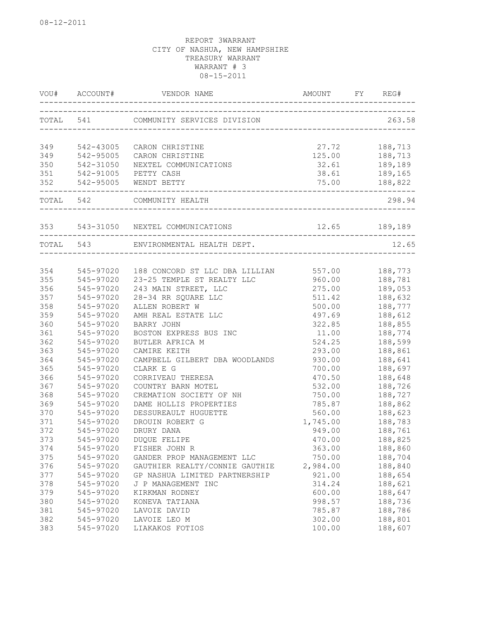|           | VOU# ACCOUNT#                       |                                                          |                                    | REG#                          |
|-----------|-------------------------------------|----------------------------------------------------------|------------------------------------|-------------------------------|
|           |                                     | TOTAL 541 COMMUNITY SERVICES DIVISION                    |                                    | 263.58                        |
|           |                                     | CARON CHRISTINE                                          | 27.72                              | 188,713                       |
| 349       | 349 542-43005                       | CARON CHRISTINE                                          |                                    |                               |
| 350       | 542-95005<br>542-31050<br>542-31050 | NEXTEL COMMUNICATIONS                                    | 125.00<br>32.61                    | 188,713<br>189,189<br>189,165 |
| 351       |                                     | 542-91005 PETTY CASH                                     | 38.61                              |                               |
| 352       |                                     | 542-95005 WENDT BETTY                                    |                                    | 75.00 188,822                 |
| TOTAL 542 |                                     | ____________________________________<br>COMMUNITY HEALTH |                                    | 298.94                        |
|           |                                     | 353 543-31050 NEXTEL COMMUNICATIONS 12.65 189,189        |                                    |                               |
|           | TOTAL 543                           | ENVIRONMENTAL HEALTH DEPT.                               | ---------------------------------- | 12.65                         |
|           |                                     |                                                          |                                    |                               |
| 354       |                                     | 545-97020 188 CONCORD ST LLC DBA LILLIAN 557.00 188,773  |                                    |                               |
| 355       | 545-97020                           | 23-25 TEMPLE ST REALTY LLC                               | 960.00                             | 188,781                       |
| 356       | 545-97020                           | 243 MAIN STREET, LLC                                     | 275.00                             | 189,053                       |
| 357       | 545-97020                           | 28-34 RR SQUARE LLC                                      | 511.42                             | 188,632                       |
| 358       | 545-97020                           | ALLEN ROBERT W                                           | 500.00                             | 188,777                       |
| 359       | 545-97020                           | AMH REAL ESTATE LLC                                      | 497.69                             | 188,612                       |
| 360       | 545-97020                           | BARRY JOHN                                               | 322.85                             | 188,855                       |
| 361       | 545-97020                           | BOSTON EXPRESS BUS INC                                   | 11.00                              | 188,774                       |
| 362       | 545-97020                           | BUTLER AFRICA M                                          | 524.25                             | 188,599                       |
| 363       | 545-97020                           | CAMIRE KEITH                                             | 293.00                             | 188,861                       |
| 364       | 545-97020                           | CAMPBELL GILBERT DBA WOODLANDS                           | 930.00                             | 188,641                       |
| 365       | 545-97020                           | CLARK E G                                                | 700.00                             | 188,697                       |
| 366       | 545-97020                           | CORRIVEAU THERESA                                        | 470.50                             | 188,648                       |
| 367       | 545-97020                           | COUNTRY BARN MOTEL                                       | 532.00                             | 188,726                       |
| 368       | 545-97020                           | CREMATION SOCIETY OF NH                                  | 750.00                             | 188,727                       |
| 369       | 545-97020                           | DAME HOLLIS PROPERTIES                                   | 785.87                             | 188,862                       |
| 370       | 545-97020                           | DESSUREAULT HUGUETTE                                     | 560.00                             | 188,623                       |
| 371       | 545-97020                           | DROUIN ROBERT G                                          | 1,745.00                           | 188,783                       |
| 372       | 545-97020                           | DRURY DANA                                               | 949.00                             | 188,761                       |
| 373       | 545-97020                           | DUQUE FELIPE                                             | 470.00                             | 188,825                       |
| 374       | 545-97020                           | FISHER JOHN R                                            | 363.00                             | 188,860                       |
| 375       | 545-97020                           | GANDER PROP MANAGEMENT LLC                               | 750.00                             | 188,704                       |
| 376       | 545-97020                           | GAUTHIER REALTY/CONNIE GAUTHIE                           | 2,984.00                           | 188,840                       |
| 377       | 545-97020                           | GP NASHUA LIMITED PARTNERSHIP                            | 921.00                             | 188,654                       |
| 378       | 545-97020                           | J P MANAGEMENT INC                                       | 314.24                             | 188,621                       |
| 379       | 545-97020                           | KIRKMAN RODNEY                                           | 600.00                             | 188,647                       |
| 380       | 545-97020                           | KONEVA TATIANA                                           | 998.57                             | 188,736                       |
| 381       | 545-97020                           | LAVOIE DAVID                                             | 785.87                             | 188,786                       |
| 382       | 545-97020                           | LAVOIE LEO M                                             | 302.00                             | 188,801                       |
| 383       | 545-97020                           | LIAKAKOS FOTIOS                                          | 100.00                             | 188,607                       |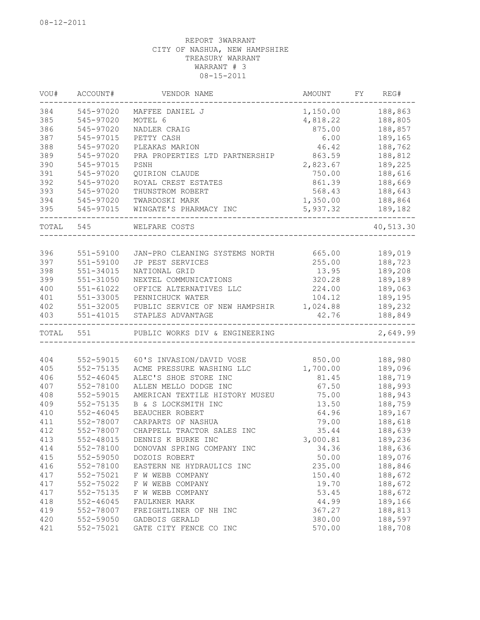| VOU#  | ACCOUNT#      | VENDOR NAME                    | AMOUNT   | FY | REG#      |
|-------|---------------|--------------------------------|----------|----|-----------|
| 384   | 545-97020     | MAFFEE DANIEL J                | 1,150.00 |    | 188,863   |
| 385   | 545-97020     | MOTEL 6                        | 4,818.22 |    | 188,805   |
| 386   | 545-97020     | NADLER CRAIG                   | 875.00   |    | 188,857   |
| 387   | 545-97015     | PETTY CASH                     | 6.00     |    | 189,165   |
| 388   | 545-97020     | PLEAKAS MARION                 | 46.42    |    | 188,762   |
| 389   | 545-97020     | PRA PROPERTIES LTD PARTNERSHIP | 863.59   |    | 188,812   |
| 390   | 545-97015     | PSNH                           | 2,823.67 |    | 189,225   |
| 391   | 545-97020     | QUIRION CLAUDE                 | 750.00   |    | 188,616   |
| 392   | 545-97020     | ROYAL CREST ESTATES            | 861.39   |    | 188,669   |
| 393   | 545-97020     | THUNSTROM ROBERT               | 568.43   |    | 188,643   |
| 394   | 545-97020     | TWARDOSKI MARK                 | 1,350.00 |    | 188,864   |
| 395   | 545-97015     | WINGATE'S PHARMACY INC         | 5,937.32 |    | 189,182   |
| TOTAL | 545           | WELFARE COSTS                  |          |    | 40,513.30 |
|       |               |                                |          |    |           |
| 396   | 551-59100     | JAN-PRO CLEANING SYSTEMS NORTH | 665.00   |    | 189,019   |
| 397   | 551-59100     | JP PEST SERVICES               | 255.00   |    | 188,723   |
| 398   | $551 - 34015$ | NATIONAL GRID                  | 13.95    |    | 189,208   |
| 399   | 551-31050     | NEXTEL COMMUNICATIONS          | 320.28   |    | 189,189   |
| 400   | $551 - 61022$ | OFFICE ALTERNATIVES LLC        | 224.00   |    | 189,063   |
| 401   | 551-33005     | PENNICHUCK WATER               | 104.12   |    | 189,195   |
| 402   | 551-32005     | PUBLIC SERVICE OF NEW HAMPSHIR | 1,024.88 |    | 189,232   |
| 403   | $551 - 41015$ | STAPLES ADVANTAGE              | 42.76    |    | 188,849   |
| TOTAL | 551           | PUBLIC WORKS DIV & ENGINEERING |          |    | 2,649.99  |
|       |               |                                |          |    |           |
| 404   | 552-59015     | 60'S INVASION/DAVID VOSE       | 850.00   |    | 188,980   |
| 405   | 552-75135     | ACME PRESSURE WASHING LLC      | 1,700.00 |    | 189,096   |
| 406   | $552 - 46045$ | ALEC'S SHOE STORE INC          | 81.45    |    | 188,719   |
| 407   | 552-78100     | ALLEN MELLO DODGE INC          | 67.50    |    | 188,993   |
| 408   | 552-59015     | AMERICAN TEXTILE HISTORY MUSEU | 75.00    |    | 188,943   |
| 409   | 552-75135     | B & S LOCKSMITH INC            | 13.50    |    | 188,759   |
| 410   | $552 - 46045$ | BEAUCHER ROBERT                | 64.96    |    | 189,167   |
| 411   | 552-78007     | CARPARTS OF NASHUA             | 79.00    |    | 188,618   |
| 412   | 552-78007     | CHAPPELL TRACTOR SALES INC     | 35.44    |    | 188,639   |
| 413   | 552-48015     | DENNIS K BURKE INC             | 3,000.81 |    | 189,236   |
| 414   | 552-78100     | DONOVAN SPRING COMPANY INC     | 34.36    |    | 188,636   |
| 415   | 552-59050     | DOZOIS ROBERT                  | 50.00    |    | 189,076   |
| 416   | 552-78100     | EASTERN NE HYDRAULICS INC      | 235.00   |    | 188,846   |
| 417   | 552-75021     | F W WEBB COMPANY               | 150.40   |    | 188,672   |
| 417   | 552-75022     | F W WEBB COMPANY               | 19.70    |    | 188,672   |
| 417   | 552-75135     | F W WEBB COMPANY               | 53.45    |    | 188,672   |
| 418   | $552 - 46045$ | FAULKNER MARK                  | 44.99    |    | 189,166   |
| 419   | 552-78007     | FREIGHTLINER OF NH INC         | 367.27   |    | 188,813   |
| 420   | 552-59050     | GADBOIS GERALD                 | 380.00   |    | 188,597   |
| 421   | 552-75021     | GATE CITY FENCE CO INC         | 570.00   |    | 188,708   |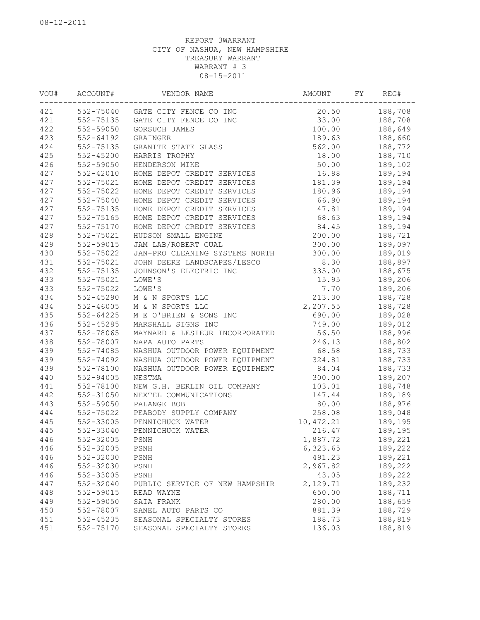| VOU# | ACCOUNT#      | VENDOR NAME                    | AMOUNT             | FY | REG#    |
|------|---------------|--------------------------------|--------------------|----|---------|
| 421  | 552-75040     | GATE CITY FENCE CO INC         | 20.50              |    | 188,708 |
| 421  | 552-75135     | GATE CITY FENCE CO INC         | 33.00              |    | 188,708 |
| 422  | 552-59050     | GORSUCH JAMES                  | 100.00             |    | 188,649 |
| 423  | $552 - 64192$ | GRAINGER                       | 189.63             |    | 188,660 |
| 424  | 552-75135     | GRANITE STATE GLASS            | 562.00             |    | 188,772 |
| 425  | $552 - 45200$ | HARRIS TROPHY                  | 18.00              |    | 188,710 |
| 426  | 552-59050     | HENDERSON MIKE                 | 50.00              |    | 189,102 |
| 427  | $552 - 42010$ | HOME DEPOT CREDIT SERVICES     | 16.88              |    | 189,194 |
| 427  | 552-75021     | HOME DEPOT CREDIT SERVICES     | 181.39             |    | 189,194 |
| 427  | 552-75022     | HOME DEPOT CREDIT SERVICES     | 180.96             |    | 189,194 |
| 427  | 552-75040     | HOME DEPOT CREDIT SERVICES     | 66.90              |    | 189,194 |
| 427  | 552-75135     | HOME DEPOT CREDIT SERVICES     | 47.81              |    | 189,194 |
| 427  | 552-75165     | HOME DEPOT CREDIT SERVICES     | 68.63              |    | 189,194 |
| 427  | 552-75170     | HOME DEPOT CREDIT SERVICES     | 84.45              |    | 189,194 |
| 428  | 552-75021     | HUDSON SMALL ENGINE            | 200.00             |    | 188,721 |
| 429  | 552-59015     | JAM LAB/ROBERT GUAL            | 300.00             |    | 189,097 |
| 430  | 552-75022     | JAN-PRO CLEANING SYSTEMS NORTH | 300.00             |    | 189,019 |
| 431  | 552-75021     | JOHN DEERE LANDSCAPES/LESCO    | 8.30               |    | 188,897 |
| 432  | 552-75135     | JOHNSON'S ELECTRIC INC         | 335.00             |    | 188,675 |
| 433  | 552-75021     | LOWE'S                         | 15.95              |    | 189,206 |
| 433  | 552-75022     | LOWE'S                         | 7.70               |    | 189,206 |
| 434  | $552 - 45290$ | M & N SPORTS LLC               | 213.30             |    | 188,728 |
| 434  | $552 - 46005$ | M & N SPORTS LLC               | 2,207.55           |    | 188,728 |
| 435  | $552 - 64225$ | M E O'BRIEN & SONS INC         | 690.00             |    | 189,028 |
| 436  | $552 - 45285$ | MARSHALL SIGNS INC             | 749.00             |    | 189,012 |
| 437  | 552-78065     | MAYNARD & LESIEUR INCORPORATED | 56.50              |    | 188,996 |
| 438  | 552-78007     | NAPA AUTO PARTS                | 246.13             |    | 188,802 |
| 439  | 552-74085     | NASHUA OUTDOOR POWER EQUIPMENT | 68.58              |    | 188,733 |
| 439  | 552-74092     | NASHUA OUTDOOR POWER EQUIPMENT | 324.81             |    | 188,733 |
| 439  | 552-78100     | NASHUA OUTDOOR POWER EQUIPMENT | 84.04              |    | 188,733 |
| 440  | 552-94005     | NESTMA                         | 300.00             |    | 189,207 |
| 441  | 552-78100     | NEW G.H. BERLIN OIL COMPANY    | 103.01             |    | 188,748 |
| 442  | 552-31050     | NEXTEL COMMUNICATIONS          | 147.44             |    | 189,189 |
| 443  | 552-59050     | PALANGE BOB                    | 80.00              |    | 188,976 |
| 444  | 552-75022     | PEABODY SUPPLY COMPANY         | 258.08             |    | 189,048 |
| 445  | 552-33005     | PENNICHUCK WATER               | 10,472.21          |    | 189,195 |
| 445  | 552-33040     | PENNICHUCK WATER               | 216.47             |    | 189,195 |
| 446  | 552-32005     | PSNH                           | 1,887.72           |    | 189,221 |
| 446  | 552-32005     | PSNH                           |                    |    | 189,222 |
| 446  | 552-32030     | $\texttt{PSNH}{}$              | 6,323.65<br>491.23 |    | 189,221 |
| 446  | 552-32030     | PSNH                           | 2,967.82           |    | 189,222 |
|      |               |                                | 43.05              |    | 189,222 |
| 446  | 552-33005     | PSNH                           |                    |    | 189,232 |
| 447  | 552-32040     | PUBLIC SERVICE OF NEW HAMPSHIR | 2,129.71           |    |         |
| 448  | 552-59015     | READ WAYNE                     | 650.00             |    | 188,711 |
| 449  | 552-59050     | SAIA FRANK                     | 280.00             |    | 188,659 |
| 450  | 552-78007     | SANEL AUTO PARTS CO            | 881.39             |    | 188,729 |
| 451  | 552-45235     | SEASONAL SPECIALTY STORES      | 188.73             |    | 188,819 |
| 451  | 552-75170     | SEASONAL SPECIALTY STORES      | 136.03             |    | 188,819 |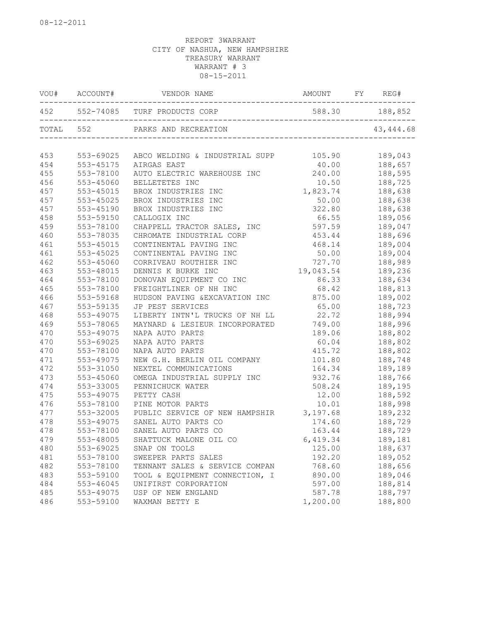|     |             | VOU# ACCOUNT# VENDOR NAME                                                      | AMOUNT FY REG# |            |
|-----|-------------|--------------------------------------------------------------------------------|----------------|------------|
|     | ----------- | 452   552-74085   TURF PRODUCTS CORP   588.30   552-74085   TURF PRODUCTS CORP |                |            |
|     |             |                                                                                |                | 43, 444.68 |
| 453 | 553-69025   | ABCO WELDING & INDUSTRIAL SUPP 105.90 189,043                                  |                |            |
| 454 | 553-45175   | AIRGAS EAST                                                                    | 40.00          | 188,657    |
| 455 | 553-78100   | AUTO ELECTRIC WAREHOUSE INC                                                    | 240.00         | 188,595    |
| 456 | 553-45060   | BELLETETES INC                                                                 | 10.50          | 188,725    |
| 457 | 553-45015   | BROX INDUSTRIES INC                                                            | 1,823.74       | 188,638    |
| 457 | 553-45025   | BROX INDUSTRIES INC                                                            | 50.00          | 188,638    |
| 457 | 553-45190   | BROX INDUSTRIES INC                                                            | 322.80         | 188,638    |
| 458 | 553-59150   | CALLOGIX INC                                                                   | 66.55          | 189,056    |
| 459 | 553-78100   | CHAPPELL TRACTOR SALES, INC 597.59                                             |                | 189,047    |
| 460 | 553-78035   | CHROMATE INDUSTRIAL CORP                                                       | 453.44         | 188,696    |
| 461 | 553-45015   | CONTINENTAL PAVING INC                                                         | 468.14         | 189,004    |
| 461 | 553-45025   | CONTINENTAL PAVING INC                                                         | 50.00          | 189,004    |
| 462 | 553-45060   | CORRIVEAU ROUTHIER INC                                                         | 727.70         | 188,989    |
| 463 | 553-48015   | DENNIS K BURKE INC                                                             | 19,043.54      | 189,236    |
| 464 | 553-78100   | DONOVAN EQUIPMENT CO INC                                                       | 86.33          | 188,634    |
| 465 | 553-78100   | FREIGHTLINER OF NH INC                                                         | 68.42          | 188,813    |
| 466 | 553-59168   | HUDSON PAVING & EXCAVATION INC                                                 | 875.00         | 189,002    |
| 467 | 553-59135   | JP PEST SERVICES                                                               | 65.00          | 188,723    |
| 468 | 553-49075   | LIBERTY INTN'L TRUCKS OF NH LL 22.72                                           |                | 188,994    |
| 469 | 553-78065   | MAYNARD & LESIEUR INCORPORATED 749.00                                          |                | 188,996    |
| 470 | 553-49075   | NAPA AUTO PARTS                                                                | 189.06         | 188,802    |
| 470 | 553-69025   | NAPA AUTO PARTS                                                                | 60.04          | 188,802    |
| 470 | 553-78100   | NAPA AUTO PARTS                                                                | 415.72         | 188,802    |
| 471 | 553-49075   | NEW G.H. BERLIN OIL COMPANY                                                    | 101.80         | 188,748    |
| 472 | 553-31050   | NEXTEL COMMUNICATIONS                                                          | 164.34         | 189,189    |
| 473 | 553-45060   | OMEGA INDUSTRIAL SUPPLY INC                                                    | 932.76         | 188,766    |
| 474 | 553-33005   | PENNICHUCK WATER                                                               | 508.24         | 189,195    |
| 475 | 553-49075   | PETTY CASH                                                                     | 12.00          | 188,592    |
| 476 | 553-78100   | PINE MOTOR PARTS                                                               | 10.01          | 188,998    |
| 477 | 553-32005   | PUBLIC SERVICE OF NEW HAMPSHIR 3,197.68                                        |                | 189,232    |
| 478 | 553-49075   | SANEL AUTO PARTS CO                                                            | 174.60         | 188,729    |
| 478 | 553-78100   | SANEL AUTO PARTS CO                                                            | 163.44         | 188,729    |
| 479 | 553-48005   | SHATTUCK MALONE OIL CO                                                         | 6,419.34       | 189,181    |
| 480 | 553-69025   | SNAP ON TOOLS                                                                  | 125.00         | 188,637    |
| 481 | 553-78100   | SWEEPER PARTS SALES                                                            | 192.20         | 189,052    |
| 482 | 553-78100   | TENNANT SALES & SERVICE COMPAN                                                 | 768.60         | 188,656    |
| 483 | 553-59100   | TOOL & EQUIPMENT CONNECTION, I                                                 | 890.00         | 189,046    |
| 484 | 553-46045   | UNIFIRST CORPORATION                                                           | 597.00         | 188,814    |
| 485 | 553-49075   | USP OF NEW ENGLAND                                                             | 587.78         | 188,797    |
| 486 | 553-59100   | WAXMAN BETTY E                                                                 | 1,200.00       | 188,800    |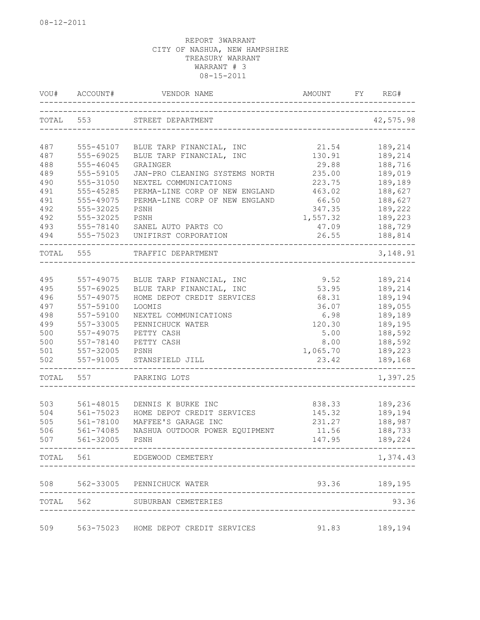| VOU#      | ACCOUNT#  | VENDOR NAME                                           | <b>AMOUNT</b><br>________________________ | FY | REG#          |
|-----------|-----------|-------------------------------------------------------|-------------------------------------------|----|---------------|
| TOTAL 553 |           | STREET DEPARTMENT<br>________________________________ |                                           |    | 42,575.98     |
| 487       | 555-45107 | BLUE TARP FINANCIAL, INC                              | 21.54                                     |    | 189,214       |
| 487       | 555-69025 | BLUE TARP FINANCIAL, INC                              | 130.91                                    |    | 189,214       |
| 488       | 555-46045 | GRAINGER                                              | 29.88                                     |    | 188,716       |
| 489       | 555-59105 | JAN-PRO CLEANING SYSTEMS NORTH                        | 235.00                                    |    | 189,019       |
| 490       | 555-31050 | NEXTEL COMMUNICATIONS                                 | 223.75                                    |    | 189,189       |
|           | 555-45285 |                                                       |                                           |    |               |
| 491       |           | PERMA-LINE CORP OF NEW ENGLAND                        | 463.02                                    |    | 188,627       |
| 491       | 555-49075 | PERMA-LINE CORP OF NEW ENGLAND                        | 66.50                                     |    | 188,627       |
| 492       | 555-32025 | PSNH                                                  | 347.35                                    |    | 189,222       |
| 492       | 555-32025 | PSNH                                                  | 1,557.32                                  |    | 189,223       |
| 493       | 555-78140 | SANEL AUTO PARTS CO                                   | 47.09                                     |    | 188,729       |
| 494       | 555-75023 | UNIFIRST CORPORATION                                  | 26.55                                     |    | 188,814       |
| TOTAL     | 555       | TRAFFIC DEPARTMENT                                    |                                           |    | 3, 148.91     |
|           |           |                                                       |                                           |    |               |
| 495       | 557-49075 | BLUE TARP FINANCIAL, INC                              | 9.52                                      |    | 189,214       |
| 495       | 557-69025 | BLUE TARP FINANCIAL, INC                              | 53.95                                     |    | 189,214       |
| 496       | 557-49075 | HOME DEPOT CREDIT SERVICES                            | 68.31                                     |    | 189,194       |
| 497       | 557-59100 | LOOMIS                                                | 36.07                                     |    | 189,055       |
| 498       | 557-59100 | NEXTEL COMMUNICATIONS                                 | 6.98                                      |    | 189,189       |
| 499       | 557-33005 | PENNICHUCK WATER                                      | 120.30                                    |    | 189,195       |
| 500       | 557-49075 | PETTY CASH                                            | 5.00                                      |    | 188,592       |
| 500       | 557-78140 | PETTY CASH                                            | 8.00                                      |    | 188,592       |
| 501       | 557-32005 | PSNH                                                  | 1,065.70                                  |    | 189,223       |
| 502       | 557-91005 | STANSFIELD JILL                                       | 23.42                                     |    | 189,168       |
| TOTAL     | 557       | PARKING LOTS                                          |                                           |    | 1,397.25      |
|           |           |                                                       |                                           |    |               |
| 503       | 561-48015 | DENNIS K BURKE INC                                    | 838.33                                    |    | 189,236       |
| 504       | 561-75023 | HOME DEPOT CREDIT SERVICES                            | 145.32                                    |    | 189,194       |
| 505       | 561-78100 | MAFFEE'S GARAGE INC                                   | 231.27                                    |    | 188,987       |
| 506       | 561-74085 | NASHUA OUTDOOR POWER EQUIPMENT                        | 11.56                                     |    | 188,733       |
| 507       | 561-32005 | $_{\rm{PSNH}}$                                        | 147.95                                    |    | 189,224       |
|           |           | TOTAL 561 EDGEWOOD CEMETERY                           |                                           |    | 1,374.43      |
|           |           | 508 562-33005 PENNICHUCK WATER                        |                                           |    | 93.36 189,195 |
|           |           | TOTAL 562 SUBURBAN CEMETERIES                         |                                           |    | 93.36         |
|           |           |                                                       |                                           |    |               |
| 509       |           | 563-75023 HOME DEPOT CREDIT SERVICES                  | 91.83                                     |    | 189,194       |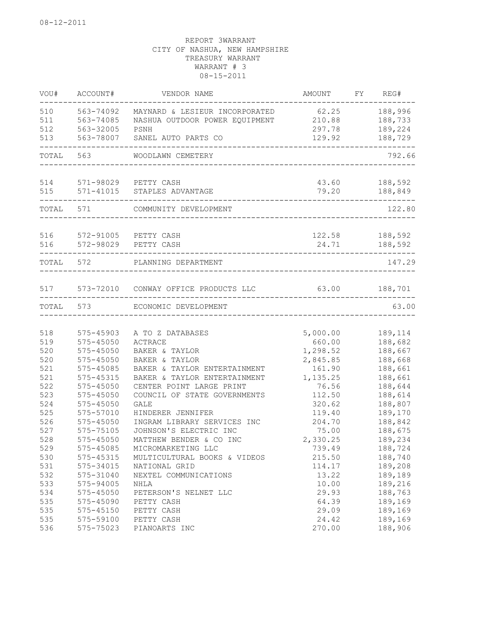| VOU#       | ACCOUNT#               | VENDOR NAME                                                  | AMOUNT             | FY | REG#               |
|------------|------------------------|--------------------------------------------------------------|--------------------|----|--------------------|
| 510        | 563-74092              | MAYNARD & LESIEUR INCORPORATED                               | 62.25              |    | 188,996            |
| 511        | 563-74085              | NASHUA OUTDOOR POWER EQUIPMENT                               | 210.88             |    | 188,733            |
| 512        | 563-32005              | PSNH                                                         | 297.78             |    | 189,224            |
| 513        | 563-78007              | SANEL AUTO PARTS CO                                          | 129.92             |    | 188,729            |
| TOTAL      | 563                    | WOODLAWN CEMETERY                                            |                    |    | 792.66             |
| 514        |                        | 571-98029 PETTY CASH                                         | 43.60              |    | 188,592            |
| 515        |                        | 571-41015 STAPLES ADVANTAGE                                  | 79.20              |    | 188,849            |
| TOTAL      | 571                    | COMMUNITY DEVELOPMENT                                        |                    |    | 122.80             |
| 516        | 572-91005              | PETTY CASH                                                   | 122.58             |    | 188,592            |
| 516        | 572-98029              | PETTY CASH                                                   | 24.71              |    | 188,592            |
| TOTAL 572  |                        | PLANNING DEPARTMENT                                          |                    |    | 147.29             |
| 517        |                        | 573-72010 CONWAY OFFICE PRODUCTS LLC                         | 63.00              |    | 188,701            |
| TOTAL      | 573                    | ECONOMIC DEVELOPMENT                                         |                    |    | 63.00              |
|            |                        |                                                              |                    |    |                    |
| 518        | 575-45903              | A TO Z DATABASES                                             | 5,000.00           |    | 189,114            |
| 519        | $575 - 45050$          | ACTRACE                                                      | 660.00             |    | 188,682            |
| 520        | $575 - 45050$          | BAKER & TAYLOR                                               | 1,298.52           |    | 188,667            |
| 520        | $575 - 45050$          | BAKER & TAYLOR                                               | 2,845.85           |    | 188,668            |
| 521<br>521 | 575-45085<br>575-45315 | BAKER & TAYLOR ENTERTAINMENT<br>BAKER & TAYLOR ENTERTAINMENT | 161.90<br>1,135.25 |    | 188,661<br>188,661 |
| 522        | $575 - 45050$          | CENTER POINT LARGE PRINT                                     | 76.56              |    | 188,644            |
| 523        | 575-45050              | COUNCIL OF STATE GOVERNMENTS                                 | 112.50             |    | 188,614            |
| 524        | 575-45050              | <b>GALE</b>                                                  | 320.62             |    | 188,807            |
| 525        | 575-57010              | HINDERER JENNIFER                                            | 119.40             |    | 189,170            |
| 526        | 575-45050              | INGRAM LIBRARY SERVICES INC                                  | 204.70             |    | 188,842            |
| 527        | 575-75105              | JOHNSON'S ELECTRIC INC                                       | 75.00              |    | 188,675            |
| 528        | 575-45050              | MATTHEW BENDER & CO INC                                      | 2,330.25           |    | 189,234            |
| 529        | 575-45085              | MICROMARKETING LLC                                           | 739.49             |    | 188,724            |
| 530        | 575-45315              | MULTICULTURAL BOOKS & VIDEOS                                 | 215.50             |    | 188,740            |
| 531        | 575-34015              | NATIONAL GRID                                                | 114.17             |    | 189,208            |
| 532        | 575-31040              | NEXTEL COMMUNICATIONS                                        | 13.22              |    | 189,189            |
|            |                        |                                                              |                    |    | 189,216            |
| 533        | 575-94005              | NHLA                                                         | 10.00              |    |                    |
| 534        | 575-45050              | PETERSON'S NELNET LLC                                        | 29.93              |    | 188,763            |
| 535        | 575-45090              | PETTY CASH                                                   | 64.39              |    | 189,169            |
| 535        | 575-45150              | PETTY CASH                                                   | 29.09              |    | 189,169            |
| 535        | 575-59100              | PETTY CASH                                                   | 24.42              |    | 189,169            |
| 536        | 575-75023              | PIANOARTS INC                                                | 270.00             |    | 188,906            |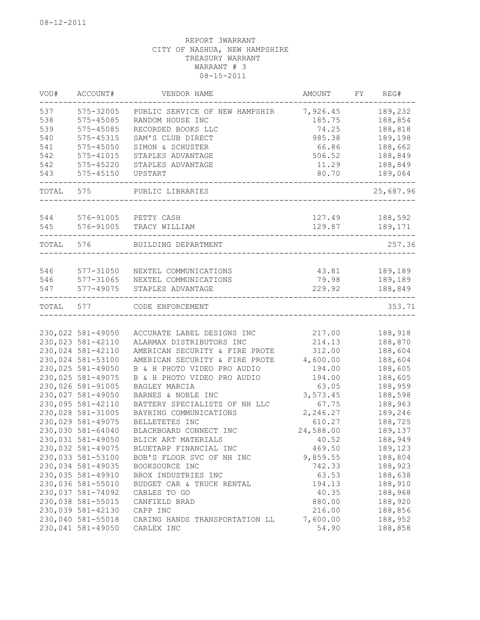| VOU#      | ACCOUNT#          | VENDOR NAME                    | AMOUNT    | FY | REG#      |
|-----------|-------------------|--------------------------------|-----------|----|-----------|
| 537       | 575-32005         | PUBLIC SERVICE OF NEW HAMPSHIR | 7,926.45  |    | 189,232   |
| 538       | 575-45085         | RANDOM HOUSE INC               | 185.75    |    | 188,854   |
| 539       | 575-45085         | RECORDED BOOKS LLC             | 74.25     |    | 188,818   |
| 540       | 575-45315         | SAM'S CLUB DIRECT              | 985.38    |    | 189,198   |
| 541       | $575 - 45050$     | SIMON & SCHUSTER               | 66.86     |    | 188,662   |
| 542       | 575-41015         | STAPLES ADVANTAGE              | 506.52    |    | 188,849   |
| 542       | 575-45220         | STAPLES ADVANTAGE              | 11.29     |    | 188,849   |
| 543       | $575 - 45150$     | UPSTART                        | 80.70     |    | 189,064   |
| TOTAL     | 575               | PUBLIC LIBRARIES               |           |    | 25,687.96 |
|           |                   |                                |           |    |           |
| 544       |                   | 576-91005 PETTY CASH           | 127.49    |    | 188,592   |
| 545       | 576-91005         | TRACY WILLIAM                  | 129.87    |    | 189,171   |
| TOTAL 576 |                   | BUILDING DEPARTMENT            |           |    | 257.36    |
|           |                   |                                |           |    |           |
| 546       | 577-31050         | NEXTEL COMMUNICATIONS          | 43.81     |    | 189,189   |
| 546       | 577-31065         | NEXTEL COMMUNICATIONS          | 79.98     |    | 189,189   |
| 547       | 577-49075         | STAPLES ADVANTAGE              | 229.92    |    | 188,849   |
| TOTAL     | 577               | CODE ENFORCEMENT               |           |    | 353.71    |
|           |                   |                                |           |    |           |
|           | 230,022 581-49050 | ACCURATE LABEL DESIGNS INC     | 217.00    |    | 188,918   |
|           | 230,023 581-42110 | ALARMAX DISTRIBUTORS INC       | 214.13    |    | 188,870   |
|           | 230,024 581-42110 | AMERICAN SECURITY & FIRE PROTE | 312.00    |    | 188,604   |
|           | 230,024 581-53100 | AMERICAN SECURITY & FIRE PROTE | 4,600.00  |    | 188,604   |
|           | 230,025 581-49050 | B & H PHOTO VIDEO PRO AUDIO    | 194.00    |    | 188,605   |
|           | 230,025 581-49075 | B & H PHOTO VIDEO PRO AUDIO    | 194.00    |    | 188,605   |
|           | 230,026 581-91005 | BAGLEY MARCIA                  | 63.05     |    | 188,959   |
|           | 230,027 581-49050 | BARNES & NOBLE INC             | 3,573.45  |    | 188,598   |
|           | 230,095 581-42110 | BATTERY SPECIALISTS OF NH LLC  | 67.75     |    | 188,963   |
|           | 230,028 581-31005 | BAYRING COMMUNICATIONS         | 2,246.27  |    | 189,246   |
|           | 230,029 581-49075 | BELLETETES INC                 | 610.27    |    | 188,725   |
|           | 230,030 581-64040 | BLACKBOARD CONNECT INC         | 24,588.00 |    | 189,137   |
|           | 230,031 581-49050 | BLICK ART MATERIALS            | 40.52     |    | 188,949   |
|           | 230,032 581-49075 | BLUETARP FINANCIAL INC         | 469.50    |    | 189,123   |
|           | 230,033 581-53100 | BOB'S FLOOR SVC OF NH INC      | 9,859.55  |    | 188,804   |
|           | 230,034 581-49035 | BOOKSOURCE INC                 | 742.33    |    | 188,923   |
|           | 230,035 581-49910 | BROX INDUSTRIES INC            | 63.53     |    | 188,638   |
|           | 230,036 581-55010 | BUDGET CAR & TRUCK RENTAL      | 194.13    |    | 188,910   |
|           | 230,037 581-74092 | CABLES TO GO                   | 40.35     |    | 188,968   |
|           | 230,038 581-55015 | CANFIELD BRAD                  | 880.00    |    | 188,920   |
|           | 230,039 581-42130 | CAPP INC                       | 216.00    |    | 188,856   |
|           | 230,040 581-55018 | CARING HANDS TRANSPORTATION LL | 7,600.00  |    | 188,952   |
|           | 230,041 581-49050 | CARLEX INC                     | 54.90     |    | 188,858   |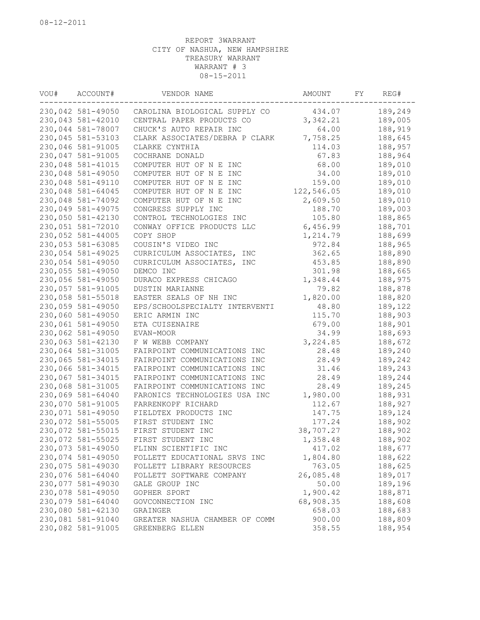| VOU# | ACCOUNT#          | VENDOR NAME                    | AMOUNT     | FY | REG#    |
|------|-------------------|--------------------------------|------------|----|---------|
|      | 230,042 581-49050 | CAROLINA BIOLOGICAL SUPPLY CO  | 434.07     |    | 189,249 |
|      | 230,043 581-42010 | CENTRAL PAPER PRODUCTS CO      | 3,342.21   |    | 189,005 |
|      | 230,044 581-78007 | CHUCK'S AUTO REPAIR INC        | 64.00      |    | 188,919 |
|      | 230,045 581-53103 | CLARK ASSOCIATES/DEBRA P CLARK | 7,758.25   |    | 188,645 |
|      | 230,046 581-91005 | CLARKE CYNTHIA                 | 114.03     |    | 188,957 |
|      | 230,047 581-91005 | COCHRANE DONALD                | 67.83      |    | 188,964 |
|      | 230,048 581-41015 | COMPUTER HUT OF N E INC        | 68.00      |    | 189,010 |
|      | 230,048 581-49050 | COMPUTER HUT OF N E INC        | 34.00      |    | 189,010 |
|      | 230,048 581-49110 | COMPUTER HUT OF N E INC        | 159.00     |    | 189,010 |
|      | 230,048 581-64045 | COMPUTER HUT OF N E INC        | 122,546.05 |    | 189,010 |
|      | 230,048 581-74092 | COMPUTER HUT OF N E INC        | 2,609.50   |    | 189,010 |
|      | 230,049 581-49075 | CONGRESS SUPPLY INC            | 188.70     |    | 189,003 |
|      | 230,050 581-42130 | CONTROL TECHNOLOGIES INC       | 105.80     |    | 188,865 |
|      | 230,051 581-72010 | CONWAY OFFICE PRODUCTS LLC     | 6,456.99   |    | 188,701 |
|      | 230,052 581-44005 | COPY SHOP                      | 1,214.79   |    | 188,699 |
|      | 230,053 581-63085 | COUSIN'S VIDEO INC             | 972.84     |    | 188,965 |
|      | 230,054 581-49025 | CURRICULUM ASSOCIATES, INC     | 362.65     |    | 188,890 |
|      | 230,054 581-49050 | CURRICULUM ASSOCIATES, INC     | 453.85     |    | 188,890 |
|      | 230,055 581-49050 | DEMCO INC                      | 301.98     |    | 188,665 |
|      | 230,056 581-49050 | DURACO EXPRESS CHICAGO         | 1,348.44   |    | 188,975 |
|      | 230,057 581-91005 | DUSTIN MARIANNE                | 79.82      |    | 188,878 |
|      | 230,058 581-55018 | EASTER SEALS OF NH INC         | 1,820.00   |    | 188,820 |
|      | 230,059 581-49050 | EPS/SCHOOLSPECIALTY INTERVENTI | 48.80      |    | 189,122 |
|      | 230,060 581-49050 | ERIC ARMIN INC                 | 115.70     |    | 188,903 |
|      | 230,061 581-49050 | ETA CUISENAIRE                 | 679.00     |    | 188,901 |
|      | 230,062 581-49050 | EVAN-MOOR                      | 34.99      |    | 188,693 |
|      | 230,063 581-42130 | F W WEBB COMPANY               | 3,224.85   |    | 188,672 |
|      | 230,064 581-31005 | FAIRPOINT COMMUNICATIONS INC   | 28.48      |    | 189,240 |
|      | 230,065 581-34015 | FAIRPOINT COMMUNICATIONS INC   | 28.49      |    | 189,242 |
|      | 230,066 581-34015 | FAIRPOINT COMMUNICATIONS INC   | 31.46      |    | 189,243 |
|      | 230,067 581-34015 | FAIRPOINT COMMUNICATIONS INC   | 28.49      |    | 189,244 |
|      | 230,068 581-31005 | FAIRPOINT COMMUNICATIONS INC   | 28.49      |    | 189,245 |
|      | 230,069 581-64040 | FARONICS TECHNOLOGIES USA INC  | 1,980.00   |    | 188,931 |
|      | 230,070 581-91005 | FARRENKOPF RICHARD             | 112.67     |    | 188,927 |
|      | 230,071 581-49050 | FIELDTEX PRODUCTS INC          | 147.75     |    | 189,124 |
|      | 230,072 581-55005 | FIRST STUDENT INC              | 177.24     |    | 188,902 |
|      | 230,072 581-55015 | FIRST STUDENT INC              | 38,707.27  |    | 188,902 |
|      | 230,072 581-55025 | FIRST STUDENT INC              | 1,358.48   |    | 188,902 |
|      | 230,073 581-49050 | FLINN SCIENTIFIC INC           | 417.02     |    | 188,677 |
|      | 230,074 581-49050 | FOLLETT EDUCATIONAL SRVS INC   | 1,804.80   |    | 188,622 |
|      | 230,075 581-49030 | FOLLETT LIBRARY RESOURCES      | 763.05     |    | 188,625 |
|      | 230,076 581-64040 | FOLLETT SOFTWARE COMPANY       | 26,085.48  |    | 189,017 |
|      | 230,077 581-49030 | GALE GROUP INC                 | 50.00      |    | 189,196 |
|      | 230,078 581-49050 | GOPHER SPORT                   | 1,900.42   |    | 188,871 |
|      | 230,079 581-64040 | GOVCONNECTION INC              | 68,908.35  |    | 188,608 |
|      | 230,080 581-42130 | GRAINGER                       | 658.03     |    | 188,683 |
|      | 230,081 581-91040 | GREATER NASHUA CHAMBER OF COMM | 900.00     |    | 188,809 |
|      | 230,082 581-91005 | GREENBERG ELLEN                | 358.55     |    | 188,954 |
|      |                   |                                |            |    |         |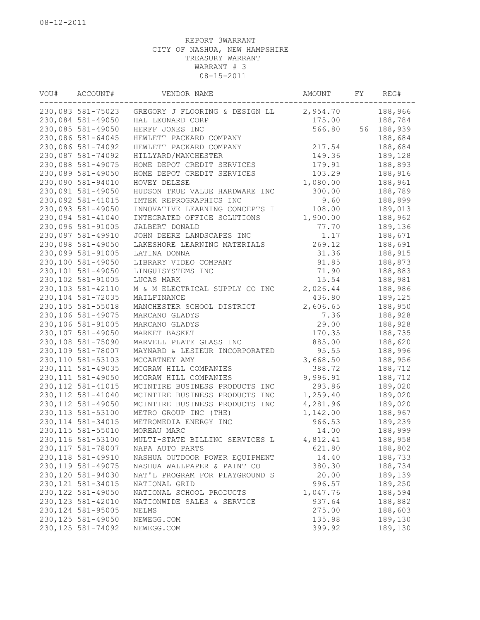| VOU# | ACCOUNT#           | VENDOR NAME                    | AMOUNT           | FY | REG#    |
|------|--------------------|--------------------------------|------------------|----|---------|
|      | 230,083 581-75023  | GREGORY J FLOORING & DESIGN LL | 2,954.70         |    | 188,966 |
|      | 230,084 581-49050  | HAL LEONARD CORP               | 175.00           |    | 188,784 |
|      | 230,085 581-49050  | HERFF JONES INC                | 566.80           | 56 | 188,939 |
|      | 230,086 581-64045  | HEWLETT PACKARD COMPANY        |                  |    | 188,684 |
|      | 230,086 581-74092  | HEWLETT PACKARD COMPANY        | 217.54           |    | 188,684 |
|      | 230,087 581-74092  | HILLYARD/MANCHESTER            | 149.36           |    | 189,128 |
|      | 230,088 581-49075  | HOME DEPOT CREDIT SERVICES     | 179.91           |    | 188,893 |
|      | 230,089 581-49050  | HOME DEPOT CREDIT SERVICES     | 103.29           |    | 188,916 |
|      | 230,090 581-94010  | HOVEY DELESE                   | 1,080.00         |    | 188,961 |
|      | 230,091 581-49050  | HUDSON TRUE VALUE HARDWARE INC | 300.00           |    | 188,789 |
|      | 230,092 581-41015  | IMTEK REPROGRAPHICS INC        | 9.60             |    | 188,899 |
|      | 230,093 581-49050  | INNOVATIVE LEARNING CONCEPTS I | 108.00           |    | 189,013 |
|      | 230,094 581-41040  | INTEGRATED OFFICE SOLUTIONS    | 1,900.00         |    | 188,962 |
|      | 230,096 581-91005  | JALBERT DONALD                 | 77.70            |    | 189,136 |
|      | 230,097 581-49910  | JOHN DEERE LANDSCAPES INC      | 1.17             |    | 188,671 |
|      | 230,098 581-49050  | LAKESHORE LEARNING MATERIALS   | 269.12           |    | 188,691 |
|      | 230,099 581-91005  | LATINA DONNA                   | 31.36            |    | 188,915 |
|      | 230,100 581-49050  | LIBRARY VIDEO COMPANY          | 91.85            |    | 188,873 |
|      | 230,101 581-49050  | LINGUISYSTEMS INC              | 71.90            |    | 188,883 |
|      | 230,102 581-91005  | LUCAS MARK                     | 15.54            |    | 188,981 |
|      | 230, 103 581-42110 | M & M ELECTRICAL SUPPLY CO INC | 2,026.44         |    | 188,986 |
|      | 230,104 581-72035  | MAILFINANCE                    | 436.80           |    | 189,125 |
|      | 230, 105 581-55018 | MANCHESTER SCHOOL DISTRICT     | 2,606.65         |    | 188,950 |
|      | 230,106 581-49075  | MARCANO GLADYS                 | 7.36             |    | 188,928 |
|      | 230,106 581-91005  | MARCANO GLADYS                 | 29.00            |    | 188,928 |
|      | 230,107 581-49050  |                                |                  |    | 188,735 |
|      | 230,108 581-75090  | MARKET BASKET                  | 170.35<br>885.00 |    |         |
|      |                    | MARVELL PLATE GLASS INC        |                  |    | 188,620 |
|      | 230,109 581-78007  | MAYNARD & LESIEUR INCORPORATED | 95.55            |    | 188,996 |
|      | 230, 110 581-53103 | MCCARTNEY AMY                  | 3,668.50         |    | 188,956 |
|      | 230, 111 581-49035 | MCGRAW HILL COMPANIES          | 388.72           |    | 188,712 |
|      | 230, 111 581-49050 | MCGRAW HILL COMPANIES          | 9,996.91         |    | 188,712 |
|      | 230, 112 581-41015 | MCINTIRE BUSINESS PRODUCTS INC | 293.86           |    | 189,020 |
|      | 230, 112 581-41040 | MCINTIRE BUSINESS PRODUCTS INC | 1,259.40         |    | 189,020 |
|      | 230, 112 581-49050 | MCINTIRE BUSINESS PRODUCTS INC | 4,281.96         |    | 189,020 |
|      | 230, 113 581-53100 | METRO GROUP INC (THE)          | 1,142.00         |    | 188,967 |
|      | 230, 114 581-34015 | METROMEDIA ENERGY INC          | 966.53           |    | 189,239 |
|      | 230, 115 581-55010 | MOREAU MARC                    | 14.00            |    | 188,999 |
|      | 230, 116 581-53100 | MULTI-STATE BILLING SERVICES L | 4,812.41         |    | 188,958 |
|      | 230,117 581-78007  | NAPA AUTO PARTS                | 621.80           |    | 188,802 |
|      | 230, 118 581-49910 | NASHUA OUTDOOR POWER EQUIPMENT | 14.40            |    | 188,733 |
|      | 230, 119 581-49075 | NASHUA WALLPAPER & PAINT CO    | 380.30           |    | 188,734 |
|      | 230,120 581-94030  | NAT'L PROGRAM FOR PLAYGROUND S | 20.00            |    | 189,139 |
|      | 230, 121 581-34015 | NATIONAL GRID                  | 996.57           |    | 189,250 |
|      | 230, 122 581-49050 | NATIONAL SCHOOL PRODUCTS       | 1,047.76         |    | 188,594 |
|      | 230, 123 581-42010 | NATIONWIDE SALES & SERVICE     | 937.64           |    | 188,882 |
|      | 230, 124 581-95005 | NELMS                          | 275.00           |    | 188,603 |
|      | 230, 125 581-49050 | NEWEGG.COM                     | 135.98           |    | 189,130 |
|      | 230, 125 581-74092 | NEWEGG.COM                     | 399.92           |    | 189,130 |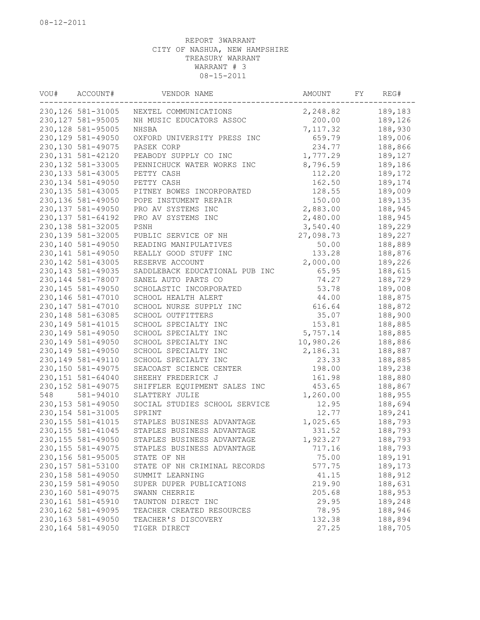| VOU# | ACCOUNT#           | VENDOR NAME                    | AMOUNT    | FY | REG#    |
|------|--------------------|--------------------------------|-----------|----|---------|
|      | 230, 126 581-31005 | NEXTEL COMMUNICATIONS          | 2,248.82  |    | 189,183 |
|      | 230, 127 581-95005 | NH MUSIC EDUCATORS ASSOC       | 200.00    |    | 189,126 |
|      | 230, 128 581-95005 | NHSBA                          | 7,117.32  |    | 188,930 |
|      | 230, 129 581-49050 | OXFORD UNIVERSITY PRESS INC    | 659.79    |    | 189,006 |
|      | 230, 130 581-49075 | PASEK CORP                     | 234.77    |    | 188,866 |
|      | 230, 131 581-42120 | PEABODY SUPPLY CO INC          | 1,777.29  |    | 189,127 |
|      | 230, 132 581-33005 | PENNICHUCK WATER WORKS INC     | 8,796.59  |    | 189,186 |
|      | 230, 133 581-43005 | PETTY CASH                     | 112.20    |    | 189,172 |
|      | 230, 134 581-49050 | PETTY CASH                     | 162.50    |    | 189,174 |
|      | 230, 135 581-43005 | PITNEY BOWES INCORPORATED      | 128.55    |    | 189,009 |
|      | 230, 136 581-49050 | POPE INSTUMENT REPAIR          | 150.00    |    | 189,135 |
|      | 230, 137 581-49050 | PRO AV SYSTEMS INC             | 2,883.00  |    | 188,945 |
|      | 230, 137 581-64192 | PRO AV SYSTEMS INC             | 2,480.00  |    | 188,945 |
|      | 230, 138 581-32005 | PSNH                           | 3,540.40  |    | 189,229 |
|      | 230, 139 581-32005 | PUBLIC SERVICE OF NH           | 27,098.73 |    | 189,227 |
|      | 230,140 581-49050  | READING MANIPULATIVES          | 50.00     |    | 188,889 |
|      | 230, 141 581-49050 | REALLY GOOD STUFF INC          | 133.28    |    | 188,876 |
|      | 230, 142 581-43005 | RESERVE ACCOUNT                | 2,000.00  |    | 189,226 |
|      | 230, 143 581-49035 | SADDLEBACK EDUCATIONAL PUB INC | 65.95     |    | 188,615 |
|      | 230, 144 581-78007 | SANEL AUTO PARTS CO            | 74.27     |    | 188,729 |
|      | 230, 145 581-49050 | SCHOLASTIC INCORPORATED        | 53.78     |    | 189,008 |
|      | 230, 146 581-47010 | SCHOOL HEALTH ALERT            | 44.00     |    | 188,875 |
|      | 230, 147 581-47010 | SCHOOL NURSE SUPPLY INC        | 616.64    |    | 188,872 |
|      | 230, 148 581-63085 | SCHOOL OUTFITTERS              | 35.07     |    | 188,900 |
|      | 230, 149 581-41015 | SCHOOL SPECIALTY INC           | 153.81    |    | 188,885 |
|      | 230, 149 581-49050 | SCHOOL SPECIALTY INC           | 5,757.14  |    | 188,885 |
|      | 230, 149 581-49050 | SCHOOL SPECIALTY INC           | 10,980.26 |    | 188,886 |
|      | 230, 149 581-49050 | SCHOOL SPECIALTY INC           | 2,186.31  |    | 188,887 |
|      | 230, 149 581-49110 | SCHOOL SPECIALTY INC           | 23.33     |    | 188,885 |
|      | 230,150 581-49075  | SEACOAST SCIENCE CENTER        | 198.00    |    | 189,238 |
|      | 230, 151 581-64040 | SHEEHY FREDERICK J             | 161.98    |    | 188,880 |
|      | 230, 152 581-49075 | SHIFFLER EQUIPMENT SALES INC   | 453.65    |    | 188,867 |
| 548  | 581-94010          | SLATTERY JULIE                 | 1,260.00  |    | 188,955 |
|      | 230, 153 581-49050 | SOCIAL STUDIES SCHOOL SERVICE  | 12.95     |    | 188,694 |
|      | 230, 154 581-31005 | SPRINT                         | 12.77     |    | 189,241 |
|      | 230, 155 581-41015 | STAPLES BUSINESS ADVANTAGE     | 1,025.65  |    | 188,793 |
|      | 230, 155 581-41045 | STAPLES BUSINESS ADVANTAGE     | 331.52    |    | 188,793 |
|      | 230, 155 581-49050 | STAPLES BUSINESS ADVANTAGE     | 1,923.27  |    | 188,793 |
|      | 230, 155 581-49075 | STAPLES BUSINESS ADVANTAGE     | 717.16    |    | 188,793 |
|      | 230, 156 581-95005 | STATE OF NH                    | 75.00     |    | 189,191 |
|      | 230, 157 581-53100 | STATE OF NH CRIMINAL RECORDS   | 577.75    |    | 189,173 |
|      | 230, 158 581-49050 | SUMMIT LEARNING                | 41.15     |    | 188,912 |
|      | 230, 159 581-49050 | SUPER DUPER PUBLICATIONS       | 219.90    |    | 188,631 |
|      | 230,160 581-49075  | SWANN CHERRIE                  | 205.68    |    | 188,953 |
|      | 230,161 581-45910  | TAUNTON DIRECT INC             | 29.95     |    | 189,248 |
|      | 230, 162 581-49095 | TEACHER CREATED RESOURCES      | 78.95     |    | 188,946 |
|      | 230,163 581-49050  | TEACHER'S DISCOVERY            | 132.38    |    | 188,894 |
|      | 230,164 581-49050  | TIGER DIRECT                   | 27.25     |    | 188,705 |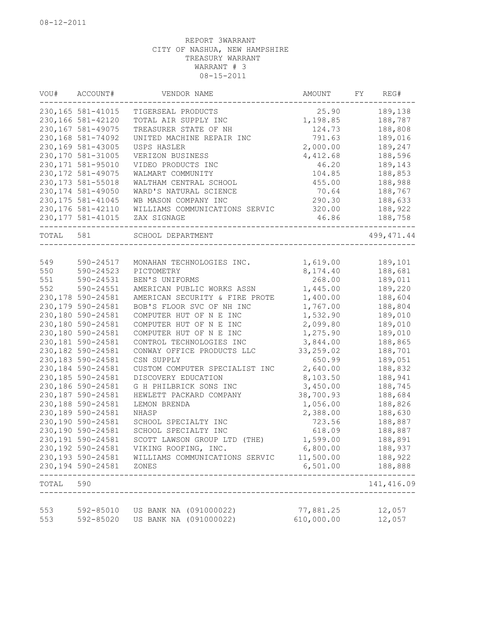| VOU#  | ACCOUNT#           | VENDOR NAME                            | AMOUNT     | FY | REG#                    |
|-------|--------------------|----------------------------------------|------------|----|-------------------------|
|       | 230, 165 581-41015 | TIGERSEAL PRODUCTS                     | 25.90      |    | 189,138                 |
|       | 230,166 581-42120  | TOTAL AIR SUPPLY INC                   | 1,198.85   |    | 188,787                 |
|       | 230,167 581-49075  | TREASURER STATE OF NH                  | 124.73     |    | 188,808                 |
|       | 230,168 581-74092  | UNITED MACHINE REPAIR INC              | 791.63     |    | 189,016                 |
|       | 230,169 581-43005  | USPS HASLER                            | 2,000.00   |    | 189,247                 |
|       | 230,170 581-31005  | VERIZON BUSINESS                       | 4,412.68   |    | 188,596                 |
|       | 230, 171 581-95010 | VIDEO PRODUCTS INC                     | 46.20      |    | 189,143                 |
|       | 230, 172 581-49075 | WALMART COMMUNITY                      | 104.85     |    | 188,853                 |
|       | 230, 173 581-55018 | WALTHAM CENTRAL SCHOOL                 | 455.00     |    | 188,988                 |
|       | 230, 174 581-49050 | WARD'S NATURAL SCIENCE                 | 70.64      |    | 188,767                 |
|       | 230, 175 581-41045 | WB MASON COMPANY INC                   | 290.30     |    | 188,633                 |
|       | 230, 176 581-42110 | WILLIAMS COMMUNICATIONS SERVIC         | 320.00     |    | 188,922                 |
|       | 230, 177 581-41015 | ZAX SIGNAGE                            | 46.86      |    | 188,758                 |
| TOTAL | 581                | SCHOOL DEPARTMENT                      |            |    | 499, 471.44             |
|       |                    |                                        |            |    |                         |
| 549   | 590-24517          | MONAHAN TECHNOLOGIES INC.              | 1,619.00   |    | 189,101                 |
| 550   | 590-24523          | PICTOMETRY                             | 8,174.40   |    | 188,681                 |
| 551   | 590-24531          | BEN'S UNIFORMS                         | 268.00     |    | 189,011                 |
| 552   | 590-24551          | AMERICAN PUBLIC WORKS ASSN             | 1,445.00   |    | 189,220                 |
|       | 230,178 590-24581  | AMERICAN SECURITY & FIRE PROTE         | 1,400.00   |    | 188,604                 |
|       | 230,179 590-24581  | BOB'S FLOOR SVC OF NH INC              | 1,767.00   |    | 188,804                 |
|       | 230,180 590-24581  | COMPUTER HUT OF N E INC                | 1,532.90   |    | 189,010                 |
|       | 230,180 590-24581  | COMPUTER HUT OF N E INC                | 2,099.80   |    | 189,010                 |
|       | 230,180 590-24581  | COMPUTER HUT OF N E INC                | 1,275.90   |    | 189,010                 |
|       | 230,181 590-24581  | CONTROL TECHNOLOGIES INC               | 3,844.00   |    | 188,865                 |
|       | 230,182 590-24581  | CONWAY OFFICE PRODUCTS LLC             | 33,259.02  |    | 188,701                 |
|       | 230, 183 590-24581 | CSN SUPPLY                             | 650.99     |    | 189,051                 |
|       | 230,184 590-24581  | CUSTOM COMPUTER SPECIALIST INC         | 2,640.00   |    | 188,832                 |
|       | 230,185 590-24581  | DISCOVERY EDUCATION                    | 8,103.50   |    | 188,941                 |
|       | 230,186 590-24581  | G H PHILBRICK SONS INC                 | 3,450.00   |    | 188,745                 |
|       | 230,187 590-24581  | HEWLETT PACKARD COMPANY                | 38,700.93  |    | 188,684                 |
|       | 230,188 590-24581  | LEMON BRENDA                           | 1,056.00   |    | 188,826                 |
|       | 230,189 590-24581  | NHASP                                  | 2,388.00   |    | 188,630                 |
|       | 230,190 590-24581  | SCHOOL SPECIALTY INC                   | 723.56     |    | 188,887                 |
|       | 230,190 590-24581  | SCHOOL SPECIALTY INC                   | 618.09     |    | 188,887                 |
|       | 230,191 590-24581  | SCOTT LAWSON GROUP LTD (THE)           | 1,599.00   |    | 188,891                 |
|       | 230,192 590-24581  | VIKING ROOFING, INC.                   | 6,800.00   |    | 188,937                 |
|       | 230,193 590-24581  | WILLIAMS COMMUNICATIONS SERVIC         | 11,500.00  |    | 188,922                 |
|       | 230,194 590-24581  | ZONES                                  | 6,501.00   |    | 188,888                 |
| TOTAL | 590                | -------------------------------------- |            |    | --------<br>141, 416.09 |
|       |                    |                                        |            |    |                         |
| 553   |                    | 592-85010 US BANK NA (091000022)       | 77,881.25  |    | 12,057                  |
| 553   | 592-85020          | US BANK NA (091000022)                 | 610,000.00 |    | 12,057                  |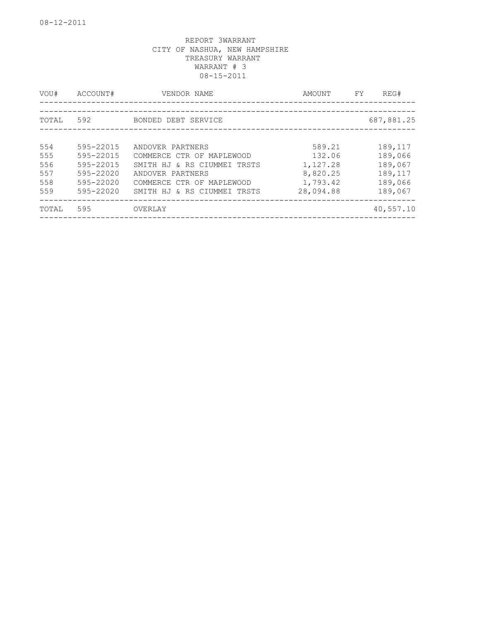| VOU#  | ACCOUNT#  | VENDOR NAME                 | AMOUNT    | FY. | REG#       |
|-------|-----------|-----------------------------|-----------|-----|------------|
|       |           |                             |           |     |            |
| TOTAL | 592       | BONDED DEBT SERVICE         |           |     | 687,881.25 |
|       |           |                             |           |     |            |
| 554   | 595-22015 | ANDOVER PARTNERS            | 589.21    |     | 189,117    |
| 555   | 595-22015 | COMMERCE CTR OF MAPLEWOOD   | 132.06    |     | 189,066    |
| 556   | 595-22015 | SMITH HJ & RS CIUMMEI TRSTS | 1,127.28  |     | 189,067    |
| 557   | 595-22020 | ANDOVER PARTNERS            | 8,820.25  |     | 189,117    |
| 558   | 595-22020 | COMMERCE CTR OF MAPLEWOOD   | 1,793.42  |     | 189,066    |
| 559   | 595-22020 | SMITH HJ & RS CIUMMEI TRSTS | 28,094.88 |     | 189,067    |
| TOTAL | 595       | OVERLAY                     |           |     | 40,557.10  |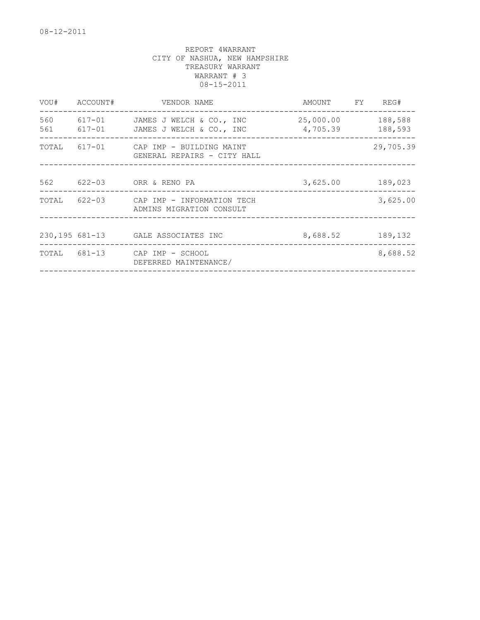| VOU# | ACCOUNT# | VENDOR NAME                                                            | AMOUNT FY REG#        |                    |
|------|----------|------------------------------------------------------------------------|-----------------------|--------------------|
| 560  |          | 617-01 JAMES J WELCH & CO., INC<br>561 617-01 JAMES J WELCH & CO., INC | 25,000.00<br>4,705.39 | 188,588<br>188,593 |
|      |          | TOTAL 617-01 CAP IMP - BUILDING MAINT<br>GENERAL REPAIRS - CITY HALL   |                       | 29,705.39          |
|      |          | 562 622-03 ORR & RENO PA                                               | 3,625.00              | 189,023            |
|      |          | TOTAL 622-03 CAP IMP - INFORMATION TECH<br>ADMINS MIGRATION CONSULT    |                       | 3,625.00           |
|      |          | 230,195 681-13 GALE ASSOCIATES INC                                     | 8,688.52 189,132      |                    |
|      |          | TOTAL 681-13 CAP IMP - SCHOOL<br>DEFERRED MAINTENANCE/                 |                       | 8,688.52           |
|      |          |                                                                        |                       |                    |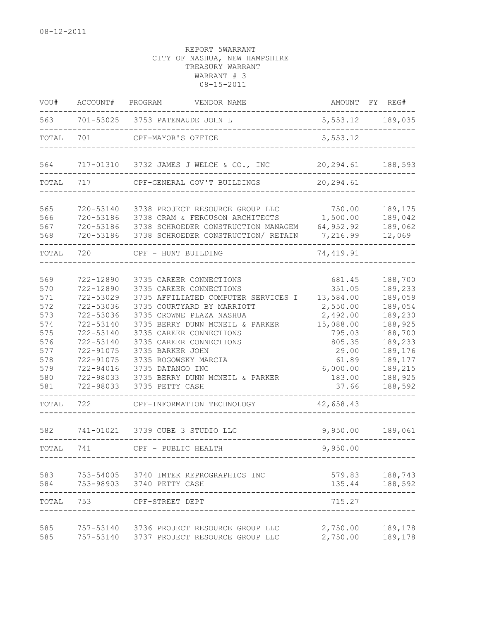| VOU#                                                                                             | ACCOUNT#                                                                                                                                                                     | PROGRAM<br>VENDOR NAME                                                                                                                                                                                                                                                                                                                                                                           |                                                                                                                                                      | AMOUNT FY REG#                                                                                                                              |
|--------------------------------------------------------------------------------------------------|------------------------------------------------------------------------------------------------------------------------------------------------------------------------------|--------------------------------------------------------------------------------------------------------------------------------------------------------------------------------------------------------------------------------------------------------------------------------------------------------------------------------------------------------------------------------------------------|------------------------------------------------------------------------------------------------------------------------------------------------------|---------------------------------------------------------------------------------------------------------------------------------------------|
| 563                                                                                              |                                                                                                                                                                              | 701-53025 3753 PATENAUDE JOHN L                                                                                                                                                                                                                                                                                                                                                                  |                                                                                                                                                      | 5,553.12 189,035                                                                                                                            |
| TOTAL                                                                                            | 701                                                                                                                                                                          | CPF-MAYOR'S OFFICE                                                                                                                                                                                                                                                                                                                                                                               | 5,553.12                                                                                                                                             |                                                                                                                                             |
| 564                                                                                              |                                                                                                                                                                              | 717-01310 3732 JAMES J WELCH & CO., INC                                                                                                                                                                                                                                                                                                                                                          | 20, 294.61                                                                                                                                           | 188,593                                                                                                                                     |
| TOTAL                                                                                            | 717                                                                                                                                                                          | CPF-GENERAL GOV'T BUILDINGS                                                                                                                                                                                                                                                                                                                                                                      | 20, 294.61                                                                                                                                           |                                                                                                                                             |
| 565<br>566<br>567<br>568                                                                         | 720-53140<br>720-53186<br>720-53186<br>720-53186                                                                                                                             | 3738 PROJECT RESOURCE GROUP LLC<br>3738 CRAM & FERGUSON ARCHITECTS<br>3738 SCHROEDER CONSTRUCTION MANAGEM<br>3738 SCHROEDER CONSTRUCTION/ RETAIN                                                                                                                                                                                                                                                 | 750.00<br>1,500.00<br>64,952.92<br>7,216.99                                                                                                          | 189,175<br>189,042<br>189,062<br>12,069                                                                                                     |
| TOTAL                                                                                            | 720                                                                                                                                                                          | CPF - HUNT BUILDING                                                                                                                                                                                                                                                                                                                                                                              | 74, 419.91                                                                                                                                           |                                                                                                                                             |
| 569<br>570<br>571<br>572<br>573<br>574<br>575<br>576<br>577<br>578<br>579<br>580<br>581<br>TOTAL | 722-12890<br>722-12890<br>722-53029<br>722-53036<br>722-53036<br>722-53140<br>722-53140<br>722-53140<br>722-91075<br>722-91075<br>722-94016<br>722-98033<br>722-98033<br>722 | 3735 CAREER CONNECTIONS<br>3735 CAREER CONNECTIONS<br>3735 AFFILIATED COMPUTER SERVICES I<br>3735 COURTYARD BY MARRIOTT<br>3735 CROWNE PLAZA NASHUA<br>3735 BERRY DUNN MCNEIL & PARKER<br>3735 CAREER CONNECTIONS<br>3735 CAREER CONNECTIONS<br>3735 BARKER JOHN<br>3735 ROGOWSKY MARCIA<br>3735 DATANGO INC<br>3735 BERRY DUNN MCNEIL & PARKER<br>3735 PETTY CASH<br>CPF-INFORMATION TECHNOLOGY | 681.45<br>351.05<br>13,584.00<br>2,550.00<br>2,492.00<br>15,088.00<br>795.03<br>805.35<br>29.00<br>61.89<br>6,000.00<br>183.00<br>37.66<br>42,658.43 | 188,700<br>189,233<br>189,059<br>189,054<br>189,230<br>188,925<br>188,700<br>189,233<br>189,176<br>189,177<br>189,215<br>188,925<br>188,592 |
| 582                                                                                              |                                                                                                                                                                              | 741-01021 3739 CUBE 3 STUDIO LLC                                                                                                                                                                                                                                                                                                                                                                 | 9,950.00                                                                                                                                             | 189,061                                                                                                                                     |
| TOTAL                                                                                            | 741                                                                                                                                                                          | CPF - PUBLIC HEALTH                                                                                                                                                                                                                                                                                                                                                                              | 9,950.00                                                                                                                                             |                                                                                                                                             |
| 583                                                                                              |                                                                                                                                                                              | 753-54005 3740 IMTEK REPROGRAPHICS INC<br>584 753-98903 3740 PETTY CASH                                                                                                                                                                                                                                                                                                                          | 579.83<br>135.44                                                                                                                                     | 188,743<br>188,592                                                                                                                          |
| TOTAL 753                                                                                        |                                                                                                                                                                              | CPF-STREET DEPT                                                                                                                                                                                                                                                                                                                                                                                  | 715.27                                                                                                                                               |                                                                                                                                             |
| 585<br>585                                                                                       |                                                                                                                                                                              | 757-53140 3736 PROJECT RESOURCE GROUP LLC<br>757-53140 3737 PROJECT RESOURCE GROUP LLC                                                                                                                                                                                                                                                                                                           | 2,750.00<br>2,750.00                                                                                                                                 | 189,178<br>189,178                                                                                                                          |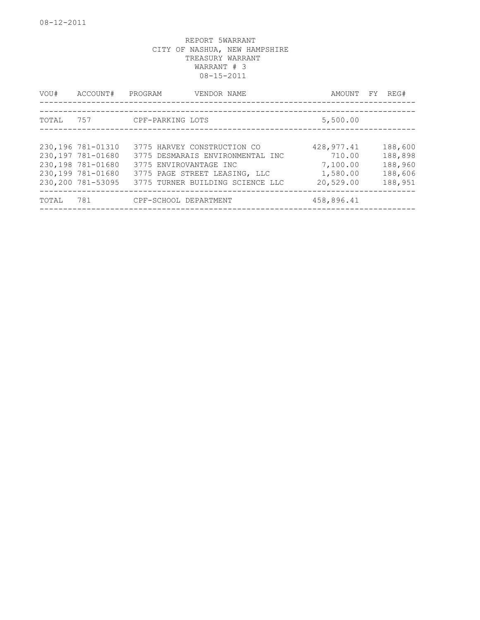| VOU#  | ACCOUNT#                                                                                              | PROGRAM                                               | VENDOR NAME                                                                                           | AMOUNT                                                     | FY | REG#                                                |
|-------|-------------------------------------------------------------------------------------------------------|-------------------------------------------------------|-------------------------------------------------------------------------------------------------------|------------------------------------------------------------|----|-----------------------------------------------------|
| TOTAL | 757                                                                                                   | CPF-PARKING LOTS                                      | ___________________________________                                                                   | 5,500.00                                                   |    |                                                     |
|       | 230,196 781-01310<br>230,197 781-01680<br>230,198 781-01680<br>230,199 781-01680<br>230,200 781-53095 | 3775 HARVEY CONSTRUCTION CO<br>3775 ENVIROVANTAGE INC | 3775 DESMARAIS ENVIRONMENTAL INC<br>3775 PAGE STREET LEASING, LLC<br>3775 TURNER BUILDING SCIENCE LLC | 428, 977.41<br>710.00<br>7,100.00<br>1,580.00<br>20,529.00 |    | 188,600<br>188,898<br>188,960<br>188,606<br>188,951 |
| TOTAL | 781                                                                                                   | CPF-SCHOOL DEPARTMENT                                 |                                                                                                       | 458,896.41                                                 |    |                                                     |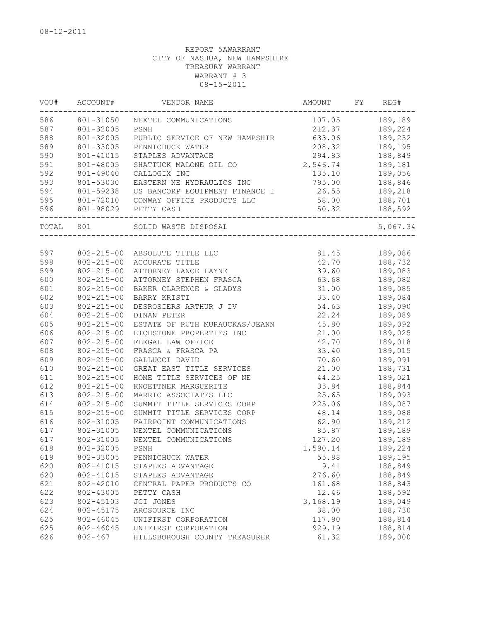| VOU#  | ACCOUNT#         | VENDOR NAME                    | AMOUNT   | FY | REG#     |
|-------|------------------|--------------------------------|----------|----|----------|
| 586   | 801-31050        | NEXTEL COMMUNICATIONS          | 107.05   |    | 189,189  |
| 587   | 801-32005        | PSNH                           | 212.37   |    | 189,224  |
| 588   | 801-32005        | PUBLIC SERVICE OF NEW HAMPSHIR | 633.06   |    | 189,232  |
| 589   | 801-33005        | PENNICHUCK WATER               | 208.32   |    | 189,195  |
| 590   | 801-41015        | STAPLES ADVANTAGE              | 294.83   |    | 188,849  |
| 591   | 801-48005        | SHATTUCK MALONE OIL CO         | 2,546.74 |    | 189,181  |
| 592   | 801-49040        | CALLOGIX INC                   | 135.10   |    | 189,056  |
| 593   | 801-53030        | EASTERN NE HYDRAULICS INC      | 795.00   |    | 188,846  |
| 594   | 801-59238        | US BANCORP EQUIPMENT FINANCE I | 26.55    |    | 189,218  |
| 595   | 801-72010        | CONWAY OFFICE PRODUCTS LLC     | 58.00    |    | 188,701  |
| 596   | 801-98029        | PETTY CASH                     | 50.32    |    | 188,592  |
| TOTAL | 801              | SOLID WASTE DISPOSAL           |          |    | 5,067.34 |
|       |                  |                                |          |    |          |
| 597   |                  | 802-215-00 ABSOLUTE TITLE LLC  | 81.45    |    | 189,086  |
| 598   | $802 - 215 - 00$ | ACCURATE TITLE                 | 42.70    |    | 188,732  |
| 599   | $802 - 215 - 00$ | ATTORNEY LANCE LAYNE           | 39.60    |    | 189,083  |
| 600   | $802 - 215 - 00$ | ATTORNEY STEPHEN FRASCA        | 63.68    |    | 189,082  |
| 601   | $802 - 215 - 00$ | BAKER CLARENCE & GLADYS        | 31.00    |    | 189,085  |
| 602   | $802 - 215 - 00$ | BARRY KRISTI                   | 33.40    |    | 189,084  |
| 603   | $802 - 215 - 00$ | DESROSIERS ARTHUR J IV         | 54.63    |    | 189,090  |
| 604   | $802 - 215 - 00$ | DINAN PETER                    | 22.24    |    | 189,089  |
| 605   | $802 - 215 - 00$ | ESTATE OF RUTH MURAUCKAS/JEANN | 45.80    |    | 189,092  |
| 606   | $802 - 215 - 00$ | ETCHSTONE PROPERTIES INC       | 21.00    |    | 189,025  |
| 607   | $802 - 215 - 00$ | FLEGAL LAW OFFICE              | 42.70    |    | 189,018  |
| 608   | $802 - 215 - 00$ | FRASCA & FRASCA PA             | 33.40    |    | 189,015  |
| 609   | $802 - 215 - 00$ | GALLUCCI DAVID                 | 70.60    |    | 189,091  |
| 610   | $802 - 215 - 00$ | GREAT EAST TITLE SERVICES      | 21.00    |    | 188,731  |
| 611   | $802 - 215 - 00$ | HOME TITLE SERVICES OF NE      | 44.25    |    | 189,021  |
| 612   | $802 - 215 - 00$ | KNOETTNER MARGUERITE           | 35.84    |    | 188,844  |
| 613   | $802 - 215 - 00$ | MARRIC ASSOCIATES LLC          | 25.65    |    | 189,093  |
| 614   | $802 - 215 - 00$ | SUMMIT TITLE SERVICES CORP     | 225.06   |    | 189,087  |
| 615   | $802 - 215 - 00$ | SUMMIT TITLE SERVICES CORP     | 48.14    |    | 189,088  |
| 616   | 802-31005        | FAIRPOINT COMMUNICATIONS       | 62.90    |    | 189,212  |
| 617   | 802-31005        | NEXTEL COMMUNICATIONS          | 85.87    |    | 189,189  |
| 617   | 802-31005        | NEXTEL COMMUNICATIONS          | 127.20   |    | 189,189  |
| 618   | 802-32005        | PSNH                           | 1,590.14 |    | 189,224  |
| 619   | 802-33005        | PENNICHUCK WATER               | 55.88    |    | 189,195  |
| 620   | 802-41015        | STAPLES ADVANTAGE              | 9.41     |    | 188,849  |
| 620   | 802-41015        | STAPLES ADVANTAGE              | 276.60   |    | 188,849  |
|       |                  |                                |          |    |          |
| 621   | 802-42010        | CENTRAL PAPER PRODUCTS CO      | 161.68   |    | 188,843  |
| 622   | 802-43005        | PETTY CASH                     | 12.46    |    | 188,592  |
| 623   | 802-45103        | JCI JONES                      | 3,168.19 |    | 189,049  |
| 624   | 802-45175        | ARCSOURCE INC                  | 38.00    |    | 188,730  |
| 625   | 802-46045        | UNIFIRST CORPORATION           | 117.90   |    | 188,814  |
| 625   | 802-46045        | UNIFIRST CORPORATION           | 929.19   |    | 188,814  |
| 626   | $802 - 467$      | HILLSBOROUGH COUNTY TREASURER  | 61.32    |    | 189,000  |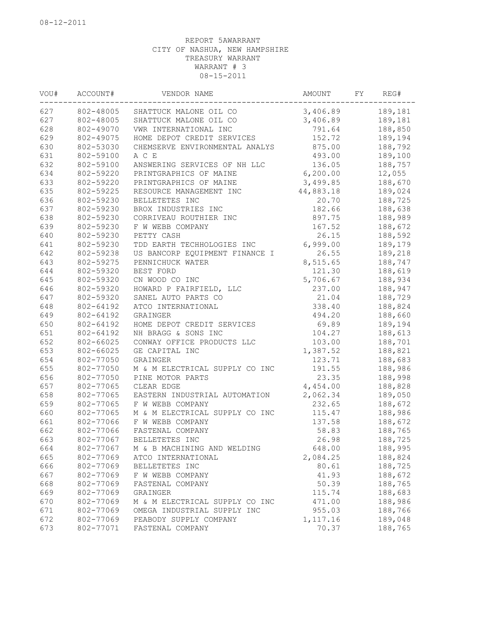| VOU# | ACCOUNT#  | VENDOR NAME                    | AMOUNT    | FY | REG#    |
|------|-----------|--------------------------------|-----------|----|---------|
| 627  | 802-48005 | SHATTUCK MALONE OIL CO         | 3,406.89  |    | 189,181 |
| 627  | 802-48005 | SHATTUCK MALONE OIL CO         | 3,406.89  |    | 189,181 |
| 628  | 802-49070 | VWR INTERNATIONAL INC          | 791.64    |    | 188,850 |
| 629  | 802-49075 | HOME DEPOT CREDIT SERVICES     | 152.72    |    | 189,194 |
| 630  | 802-53030 | CHEMSERVE ENVIRONMENTAL ANALYS | 875.00    |    | 188,792 |
| 631  | 802-59100 | A C E                          | 493.00    |    | 189,100 |
| 632  | 802-59100 | ANSWERING SERVICES OF NH LLC   | 136.05    |    | 188,757 |
| 634  | 802-59220 | PRINTGRAPHICS OF MAINE         | 6, 200.00 |    | 12,055  |
| 633  | 802-59220 | PRINTGRAPHICS OF MAINE         | 3,499.85  |    | 188,670 |
| 635  | 802-59225 | RESOURCE MANAGEMENT INC        | 44,883.18 |    | 189,024 |
| 636  | 802-59230 | BELLETETES INC                 | 20.70     |    | 188,725 |
| 637  | 802-59230 | BROX INDUSTRIES INC            | 182.66    |    | 188,638 |
| 638  | 802-59230 | CORRIVEAU ROUTHIER INC         | 897.75    |    | 188,989 |
| 639  | 802-59230 | F W WEBB COMPANY               | 167.52    |    | 188,672 |
| 640  | 802-59230 | PETTY CASH                     | 26.15     |    | 188,592 |
| 641  | 802-59230 | TDD EARTH TECHHOLOGIES INC     | 6,999.00  |    | 189,179 |
| 642  | 802-59238 | US BANCORP EQUIPMENT FINANCE I | 26.55     |    | 189,218 |
| 643  | 802-59275 | PENNICHUCK WATER               | 8,515.65  |    | 188,747 |
| 644  | 802-59320 | BEST FORD                      | 121.30    |    | 188,619 |
| 645  | 802-59320 | CN WOOD CO INC                 | 5,706.67  |    | 188,934 |
| 646  | 802-59320 | HOWARD P FAIRFIELD, LLC        | 237.00    |    | 188,947 |
| 647  | 802-59320 | SANEL AUTO PARTS CO            | 21.04     |    | 188,729 |
| 648  | 802-64192 | ATCO INTERNATIONAL             | 338.40    |    | 188,824 |
| 649  | 802-64192 | GRAINGER                       | 494.20    |    | 188,660 |
| 650  | 802-64192 |                                | 69.89     |    | 189,194 |
|      |           | HOME DEPOT CREDIT SERVICES     |           |    |         |
| 651  | 802-64192 | NH BRAGG & SONS INC            | 104.27    |    | 188,613 |
| 652  | 802-66025 | CONWAY OFFICE PRODUCTS LLC     | 103.00    |    | 188,701 |
| 653  | 802-66025 | GE CAPITAL INC                 | 1,387.52  |    | 188,821 |
| 654  | 802-77050 | GRAINGER                       | 123.71    |    | 188,683 |
| 655  | 802-77050 | M & M ELECTRICAL SUPPLY CO INC | 191.55    |    | 188,986 |
| 656  | 802-77050 | PINE MOTOR PARTS               | 23.35     |    | 188,998 |
| 657  | 802-77065 | CLEAR EDGE                     | 4,454.00  |    | 188,828 |
| 658  | 802-77065 | EASTERN INDUSTRIAL AUTOMATION  | 2,062.34  |    | 189,050 |
| 659  | 802-77065 | F W WEBB COMPANY               | 232.65    |    | 188,672 |
| 660  | 802-77065 | M & M ELECTRICAL SUPPLY CO INC | 115.47    |    | 188,986 |
| 661  | 802-77066 | F W WEBB COMPANY               | 137.58    |    | 188,672 |
| 662  | 802-77066 | FASTENAL COMPANY               | 58.83     |    | 188,765 |
| 663  | 802-77067 | BELLETETES INC                 | 26.98     |    | 188,725 |
| 664  | 802-77067 | M & B MACHINING AND WELDING    | 648.00    |    | 188,995 |
| 665  | 802-77069 | ATCO INTERNATIONAL             | 2,084.25  |    | 188,824 |
| 666  | 802-77069 | BELLETETES INC                 | 80.61     |    | 188,725 |
| 667  | 802-77069 | F W WEBB COMPANY               | 41.93     |    | 188,672 |
| 668  | 802-77069 | FASTENAL COMPANY               | 50.39     |    | 188,765 |
| 669  | 802-77069 | GRAINGER                       | 115.74    |    | 188,683 |
| 670  | 802-77069 | M & M ELECTRICAL SUPPLY CO INC | 471.00    |    | 188,986 |
| 671  | 802-77069 | OMEGA INDUSTRIAL SUPPLY INC    | 955.03    |    | 188,766 |
| 672  | 802-77069 | PEABODY SUPPLY COMPANY         | 1,117.16  |    | 189,048 |
| 673  | 802-77071 | FASTENAL COMPANY               | 70.37     |    | 188,765 |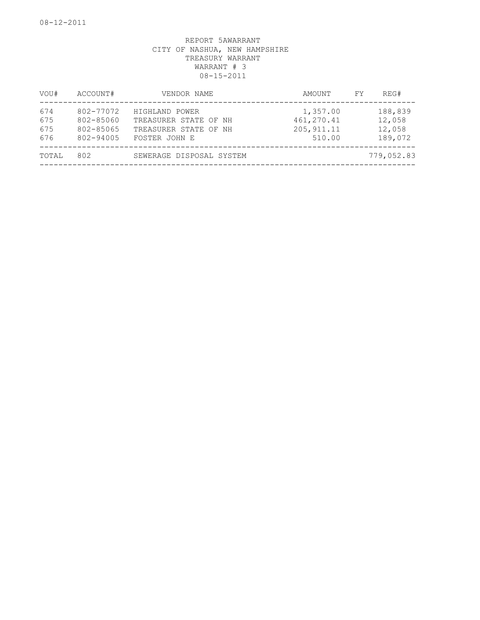| VOU#                     | ACCOUNT#                                         | VENDOR NAME                                                                       | AMOUNT                                           | REG#<br>FY.                            |
|--------------------------|--------------------------------------------------|-----------------------------------------------------------------------------------|--------------------------------------------------|----------------------------------------|
| 674<br>675<br>675<br>676 | 802-77072<br>802-85060<br>802-85065<br>802-94005 | HIGHLAND POWER<br>TREASURER STATE OF NH<br>TREASURER STATE OF NH<br>FOSTER JOHN E | 1,357.00<br>461, 270.41<br>205, 911.11<br>510.00 | 188,839<br>12,058<br>12,058<br>189,072 |
| TOTAL                    | 802                                              | SEWERAGE DISPOSAL SYSTEM                                                          |                                                  | 779,052.83                             |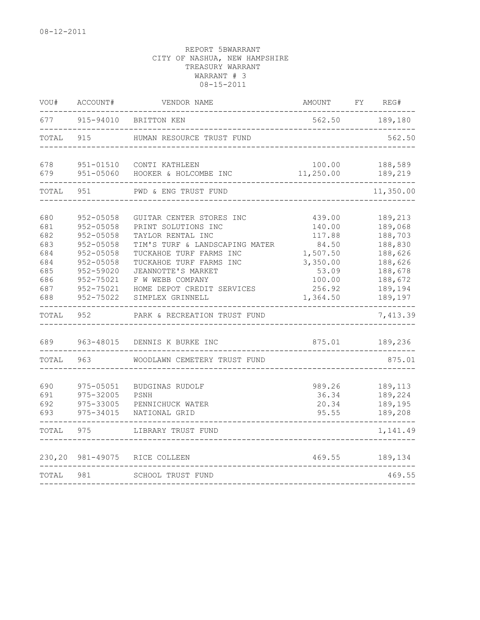| VOU#                                                               | ACCOUNT#                                                                                                                           | VENDOR NAME                                                                                                                                                                                                                                              | <b>AMOUNT</b>                                                                                        | FY | REG#                                                                                                       |
|--------------------------------------------------------------------|------------------------------------------------------------------------------------------------------------------------------------|----------------------------------------------------------------------------------------------------------------------------------------------------------------------------------------------------------------------------------------------------------|------------------------------------------------------------------------------------------------------|----|------------------------------------------------------------------------------------------------------------|
| 677                                                                | 915-94010                                                                                                                          | BRITTON KEN                                                                                                                                                                                                                                              | 562.50                                                                                               |    | 189,180                                                                                                    |
| TOTAL                                                              | 915                                                                                                                                | HUMAN RESOURCE TRUST FUND                                                                                                                                                                                                                                |                                                                                                      |    | 562.50                                                                                                     |
| 678<br>679                                                         | 951-01510<br>951-05060                                                                                                             | CONTI KATHLEEN<br>HOOKER & HOLCOMBE INC                                                                                                                                                                                                                  | 100.00<br>11,250.00                                                                                  |    | 188,589<br>189,219                                                                                         |
| TOTAL                                                              | 951                                                                                                                                | PWD & ENG TRUST FUND                                                                                                                                                                                                                                     |                                                                                                      |    | 11,350.00                                                                                                  |
| 680<br>681<br>682<br>683<br>684<br>684<br>685<br>686<br>687<br>688 | $952 - 05058$<br>952-05058<br>952-05058<br>952-05058<br>952-05058<br>952-05058<br>952-59020<br>952-75021<br>952-75021<br>952-75022 | GUITAR CENTER STORES INC<br>PRINT SOLUTIONS INC<br>TAYLOR RENTAL INC<br>TIM'S TURF & LANDSCAPING MATER<br>TUCKAHOE TURF FARMS INC<br>TUCKAHOE TURF FARMS INC<br>JEANNOTTE'S MARKET<br>F W WEBB COMPANY<br>HOME DEPOT CREDIT SERVICES<br>SIMPLEX GRINNELL | 439.00<br>140.00<br>117.88<br>84.50<br>1,507.50<br>3,350.00<br>53.09<br>100.00<br>256.92<br>1,364.50 |    | 189,213<br>189,068<br>188,703<br>188,830<br>188,626<br>188,626<br>188,678<br>188,672<br>189,194<br>189,197 |
| TOTAL                                                              | 952                                                                                                                                | PARK & RECREATION TRUST FUND                                                                                                                                                                                                                             |                                                                                                      |    | 7,413.39                                                                                                   |
| 689<br>TOTAL                                                       | 963-48015<br>963                                                                                                                   | DENNIS K BURKE INC<br>WOODLAWN CEMETERY TRUST FUND                                                                                                                                                                                                       | 875.01                                                                                               |    | 189,236<br>875.01                                                                                          |
| 690<br>691<br>692<br>693                                           | 975-05051<br>975-32005<br>975-33005<br>975-34015                                                                                   | BUDGINAS RUDOLF<br>PSNH<br>PENNICHUCK WATER<br>NATIONAL GRID                                                                                                                                                                                             | 989.26<br>36.34<br>20.34<br>95.55                                                                    |    | 189,113<br>189,224<br>189,195<br>189,208                                                                   |
| TOTAL                                                              | 975                                                                                                                                | LIBRARY TRUST FUND                                                                                                                                                                                                                                       |                                                                                                      |    | 1,141.49                                                                                                   |
| 230,20                                                             | 981-49075                                                                                                                          | RICE COLLEEN                                                                                                                                                                                                                                             | 469.55                                                                                               |    | 189,134                                                                                                    |
| TOTAL                                                              | 981                                                                                                                                | SCHOOL TRUST FUND                                                                                                                                                                                                                                        |                                                                                                      |    | 469.55                                                                                                     |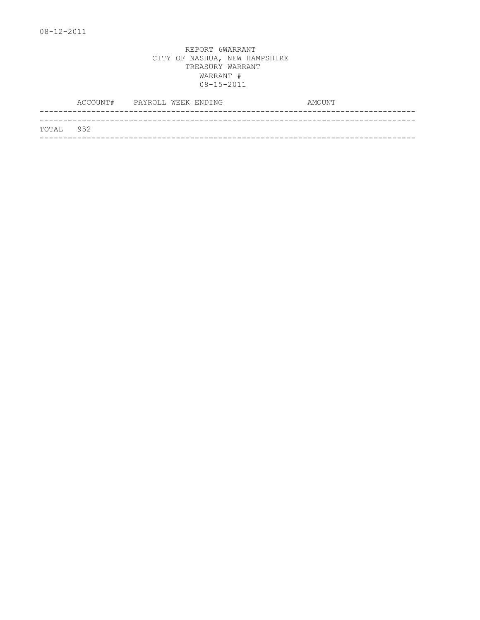|           | ACCOUNT# PAYROLL WEEK ENDING |  | AMOUNT |
|-----------|------------------------------|--|--------|
|           |                              |  |        |
| TOTAL 952 |                              |  |        |
|           |                              |  |        |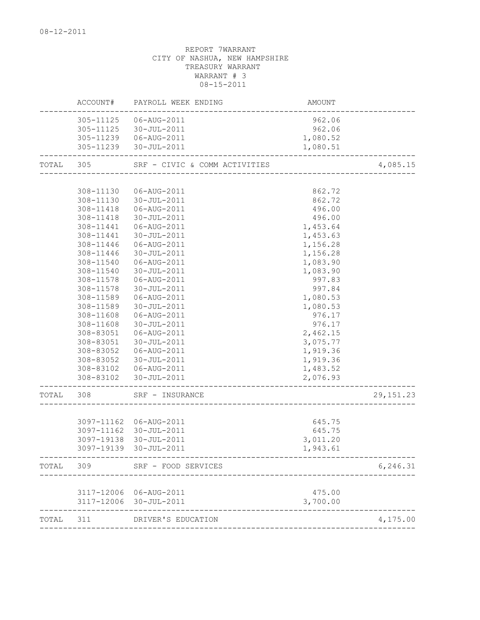|       | ACCOUNT#   | PAYROLL WEEK ENDING           | AMOUNT   |             |
|-------|------------|-------------------------------|----------|-------------|
|       | 305-11125  | 06-AUG-2011                   | 962.06   |             |
|       | 305-11125  | 30-JUL-2011                   | 962.06   |             |
|       |            | 305-11239   06-AUG-2011       | 1,080.52 |             |
|       |            | 305-11239 30-JUL-2011         | 1,080.51 |             |
| TOTAL | 305        | SRF - CIVIC & COMM ACTIVITIES |          | 4,085.15    |
|       |            |                               |          |             |
|       | 308-11130  | 06-AUG-2011                   | 862.72   |             |
|       | 308-11130  | 30-JUL-2011                   | 862.72   |             |
|       | 308-11418  | 06-AUG-2011                   | 496.00   |             |
|       | 308-11418  | 30-JUL-2011                   | 496.00   |             |
|       | 308-11441  | 06-AUG-2011                   | 1,453.64 |             |
|       | 308-11441  | 30-JUL-2011                   | 1,453.63 |             |
|       | 308-11446  | 06-AUG-2011                   | 1,156.28 |             |
|       | 308-11446  | 30-JUL-2011                   | 1,156.28 |             |
|       | 308-11540  | 06-AUG-2011                   | 1,083.90 |             |
|       | 308-11540  | 30-JUL-2011                   | 1,083.90 |             |
|       | 308-11578  | 06-AUG-2011                   | 997.83   |             |
|       | 308-11578  | 30-JUL-2011                   | 997.84   |             |
|       | 308-11589  | 06-AUG-2011                   | 1,080.53 |             |
|       | 308-11589  | 30-JUL-2011                   | 1,080.53 |             |
|       | 308-11608  | 06-AUG-2011                   | 976.17   |             |
|       | 308-11608  | 30-JUL-2011                   | 976.17   |             |
|       | 308-83051  | 06-AUG-2011                   | 2,462.15 |             |
|       | 308-83051  | 30-JUL-2011                   | 3,075.77 |             |
|       | 308-83052  | 06-AUG-2011                   | 1,919.36 |             |
|       | 308-83052  | 30-JUL-2011                   | 1,919.36 |             |
|       |            | 308-83102  06-AUG-2011        | 1,483.52 |             |
|       | 308-83102  | 30-JUL-2011                   | 2,076.93 |             |
| TOTAL | 308        | SRF - INSURANCE               |          | 29, 151. 23 |
|       |            |                               |          |             |
|       |            | 3097-11162 06-AUG-2011        | 645.75   |             |
|       | 3097-11162 | 30-JUL-2011                   | 645.75   |             |
|       | 3097-19138 | 30-JUL-2011                   | 3,011.20 |             |
|       |            | 3097-19139 30-JUL-2011        | 1,943.61 |             |
| TOTAL | 309        | SRF - FOOD SERVICES           |          | 6, 246.31   |
|       |            |                               |          |             |
|       |            | 3117-12006 06-AUG-2011        | 475.00   |             |
|       |            | 3117-12006 30-JUL-2011        | 3,700.00 |             |
| TOTAL | 311        | DRIVER'S EDUCATION            |          | 4,175.00    |
|       |            |                               |          |             |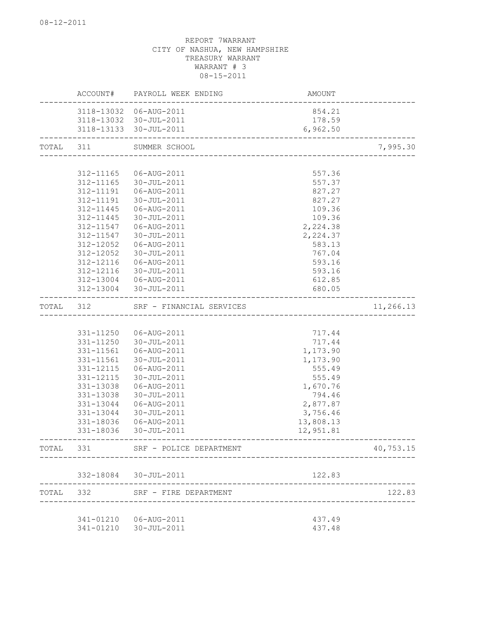|       | ACCOUNT#               | PAYROLL WEEK ENDING        | AMOUNT           |           |
|-------|------------------------|----------------------------|------------------|-----------|
|       |                        | 3118-13032 06-AUG-2011     | 854.21           |           |
|       |                        | 3118-13032 30-JUL-2011     | 178.59           |           |
|       |                        | 3118-13133 30-JUL-2011     | 6,962.50         |           |
| TOTAL | 311                    | SUMMER SCHOOL              |                  | 7,995.30  |
|       |                        |                            |                  |           |
|       | 312-11165              | 06-AUG-2011                | 557.36           |           |
|       | 312-11165              | 30-JUL-2011                | 557.37           |           |
|       | 312-11191              | 06-AUG-2011                | 827.27           |           |
|       | 312-11191              | 30-JUL-2011                | 827.27           |           |
|       | 312-11445              | 06-AUG-2011                | 109.36           |           |
|       | 312-11445              | 30-JUL-2011                | 109.36           |           |
|       | 312-11547              | 06-AUG-2011                | 2,224.38         |           |
|       | 312-11547              | 30-JUL-2011                | 2,224.37         |           |
|       | 312-12052              | 06-AUG-2011                | 583.13           |           |
|       | 312-12052              | 30-JUL-2011                | 767.04           |           |
|       | 312-12116<br>312-12116 | 06-AUG-2011<br>30-JUL-2011 | 593.16<br>593.16 |           |
|       | 312-13004              | 06-AUG-2011                | 612.85           |           |
|       | 312-13004              | 30-JUL-2011                | 680.05           |           |
| TOTAL | 312                    | SRF - FINANCIAL SERVICES   |                  | 11,266.13 |
|       |                        |                            |                  |           |
|       | 331-11250              | 06-AUG-2011                | 717.44           |           |
|       | 331-11250              | 30-JUL-2011                | 717.44           |           |
|       | 331-11561              | 06-AUG-2011                | 1,173.90         |           |
|       | 331-11561              | 30-JUL-2011                | 1,173.90         |           |
|       | 331-12115              | 06-AUG-2011                | 555.49           |           |
|       | 331-12115              | 30-JUL-2011                | 555.49           |           |
|       | 331-13038              | 06-AUG-2011                | 1,670.76         |           |
|       | 331-13038              | 30-JUL-2011                | 794.46           |           |
|       | 331-13044              | 06-AUG-2011                | 2,877.87         |           |
|       | 331-13044              | 30-JUL-2011                | 3,756.46         |           |
|       | 331-18036              | 06-AUG-2011                | 13,808.13        |           |
|       | 331-18036              | 30-JUL-2011                | 12,951.81        |           |
| TOTAL | 331                    | SRF - POLICE DEPARTMENT    |                  | 40,753.15 |
|       |                        | 332-18084 30-JUL-2011      | 122.83           |           |
| TOTAL | 332                    | SRF - FIRE DEPARTMENT      |                  | 122.83    |
|       |                        |                            |                  |           |
|       |                        | 341-01210  06-AUG-2011     | 437.49           |           |
|       |                        |                            | 437.48           |           |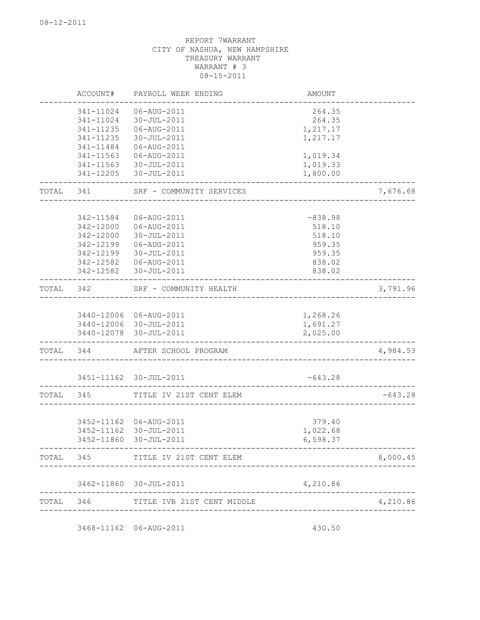| 341-11024    | 06-AUG-2011                                                                              | 264.35                                                                                                                                                                                                                                                                                                                                                                                                        |                                                                                                                                                                                                                 |
|--------------|------------------------------------------------------------------------------------------|---------------------------------------------------------------------------------------------------------------------------------------------------------------------------------------------------------------------------------------------------------------------------------------------------------------------------------------------------------------------------------------------------------------|-----------------------------------------------------------------------------------------------------------------------------------------------------------------------------------------------------------------|
| 341-11024    | 30-JUL-2011                                                                              | 264.35                                                                                                                                                                                                                                                                                                                                                                                                        |                                                                                                                                                                                                                 |
| 341-11235    | 06-AUG-2011                                                                              | 1,217.17                                                                                                                                                                                                                                                                                                                                                                                                      |                                                                                                                                                                                                                 |
| 341-11235    | 30-JUL-2011                                                                              | 1,217.17                                                                                                                                                                                                                                                                                                                                                                                                      |                                                                                                                                                                                                                 |
| 341-11484    | 06-AUG-2011                                                                              |                                                                                                                                                                                                                                                                                                                                                                                                               |                                                                                                                                                                                                                 |
| 341-11563    | 06-AUG-2011                                                                              | 1,019.34                                                                                                                                                                                                                                                                                                                                                                                                      |                                                                                                                                                                                                                 |
| 341-11563    | 30-JUL-2011                                                                              | 1,019.33                                                                                                                                                                                                                                                                                                                                                                                                      |                                                                                                                                                                                                                 |
| 341-12205    | 30-JUL-2011                                                                              | 1,800.00                                                                                                                                                                                                                                                                                                                                                                                                      |                                                                                                                                                                                                                 |
| TOTAL<br>341 | SRF - COMMUNITY SERVICES                                                                 |                                                                                                                                                                                                                                                                                                                                                                                                               | 7,676.68                                                                                                                                                                                                        |
|              |                                                                                          |                                                                                                                                                                                                                                                                                                                                                                                                               |                                                                                                                                                                                                                 |
|              |                                                                                          |                                                                                                                                                                                                                                                                                                                                                                                                               |                                                                                                                                                                                                                 |
|              |                                                                                          |                                                                                                                                                                                                                                                                                                                                                                                                               |                                                                                                                                                                                                                 |
|              |                                                                                          |                                                                                                                                                                                                                                                                                                                                                                                                               |                                                                                                                                                                                                                 |
|              |                                                                                          |                                                                                                                                                                                                                                                                                                                                                                                                               |                                                                                                                                                                                                                 |
|              |                                                                                          |                                                                                                                                                                                                                                                                                                                                                                                                               |                                                                                                                                                                                                                 |
|              |                                                                                          |                                                                                                                                                                                                                                                                                                                                                                                                               |                                                                                                                                                                                                                 |
|              | 30-JUL-2011                                                                              | 838.02                                                                                                                                                                                                                                                                                                                                                                                                        |                                                                                                                                                                                                                 |
| TOTAL<br>342 | SRF - COMMUNITY HEALTH                                                                   |                                                                                                                                                                                                                                                                                                                                                                                                               | 3,791.96                                                                                                                                                                                                        |
|              |                                                                                          |                                                                                                                                                                                                                                                                                                                                                                                                               |                                                                                                                                                                                                                 |
|              |                                                                                          |                                                                                                                                                                                                                                                                                                                                                                                                               |                                                                                                                                                                                                                 |
|              |                                                                                          |                                                                                                                                                                                                                                                                                                                                                                                                               |                                                                                                                                                                                                                 |
|              |                                                                                          |                                                                                                                                                                                                                                                                                                                                                                                                               |                                                                                                                                                                                                                 |
| TOTAL 344    |                                                                                          |                                                                                                                                                                                                                                                                                                                                                                                                               | 4,984.53                                                                                                                                                                                                        |
|              |                                                                                          |                                                                                                                                                                                                                                                                                                                                                                                                               |                                                                                                                                                                                                                 |
|              |                                                                                          |                                                                                                                                                                                                                                                                                                                                                                                                               |                                                                                                                                                                                                                 |
| 345          | TITLE IV 21ST CENT ELEM                                                                  |                                                                                                                                                                                                                                                                                                                                                                                                               | $-643.28$                                                                                                                                                                                                       |
|              |                                                                                          |                                                                                                                                                                                                                                                                                                                                                                                                               |                                                                                                                                                                                                                 |
|              |                                                                                          | 379.40                                                                                                                                                                                                                                                                                                                                                                                                        |                                                                                                                                                                                                                 |
|              |                                                                                          |                                                                                                                                                                                                                                                                                                                                                                                                               |                                                                                                                                                                                                                 |
|              |                                                                                          |                                                                                                                                                                                                                                                                                                                                                                                                               |                                                                                                                                                                                                                 |
|              |                                                                                          |                                                                                                                                                                                                                                                                                                                                                                                                               | 8,000.45                                                                                                                                                                                                        |
|              |                                                                                          | 4,210.86                                                                                                                                                                                                                                                                                                                                                                                                      |                                                                                                                                                                                                                 |
|              |                                                                                          |                                                                                                                                                                                                                                                                                                                                                                                                               | 4,210.86                                                                                                                                                                                                        |
|              | 342-11584<br>342-12000<br>342-12000<br>342-12199<br>342-12199<br>342-12582<br>3452-11162 | 06-AUG-2011<br>06-AUG-2011<br>30-JUL-2011<br>06-AUG-2011<br>30-JUL-2011<br>06-AUG-2011<br>342-12582<br>3440-12006 06-AUG-2011<br>3440-12006 30-JUL-2011<br>3440-12078 30-JUL-2011<br>AFTER SCHOOL PROGRAM<br>3451-11162 30-JUL-2011<br>3452-11162 06-AUG-2011<br>30-JUL-2011<br>3452-11860 30-JUL-2011<br>TOTAL 345 TITLE IV 21ST CENT ELEM<br>3462-11860 30-JUL-2011<br>TOTAL 346 TITLE IVB 21ST CENT MIDDLE | $-838.98$<br>518.10<br>518.10<br>959.35<br>959.35<br>838.02<br>-----------------------------------<br>1,268.26<br>1,691.27<br>2,025.00<br>$-643.28$<br>________________________________<br>1,022.68<br>6,598.37 |

3468-11162 06-AUG-2011 430.50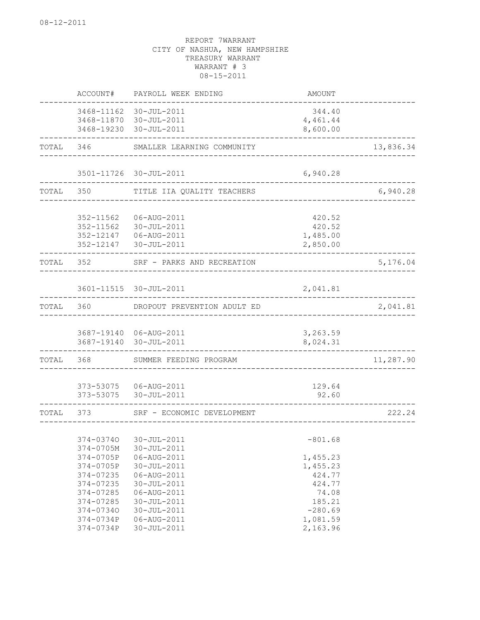|       | ACCOUNT#               | PAYROLL WEEK ENDING                              | AMOUNT               |           |
|-------|------------------------|--------------------------------------------------|----------------------|-----------|
|       |                        | 3468-11162 30-JUL-2011                           | 344.40               |           |
|       |                        | 3468-11870 30-JUL-2011                           | 4,461.44             |           |
|       |                        | 3468-19230 30-JUL-2011                           | 8,600.00             |           |
| TOTAL | 346                    | SMALLER LEARNING COMMUNITY                       |                      | 13,836.34 |
|       |                        |                                                  |                      |           |
|       |                        | 3501-11726 30-JUL-2011                           | 6,940.28             |           |
| TOTAL | 350                    | TITLE IIA QUALITY TEACHERS                       |                      | 6,940.28  |
|       |                        |                                                  |                      |           |
|       | 352-11562              | 06-AUG-2011                                      | 420.52               |           |
|       | 352-11562              | 30-JUL-2011<br>06-AUG-2011                       | 420.52               |           |
|       | 352-12147<br>352-12147 | 30-JUL-2011                                      | 1,485.00<br>2,850.00 |           |
| TOTAL | 352                    | SRF - PARKS AND RECREATION                       |                      | 5,176.04  |
|       |                        |                                                  |                      |           |
|       |                        | 3601-11515 30-JUL-2011                           | 2,041.81             |           |
| TOTAL | 360                    | DROPOUT PREVENTION ADULT ED                      |                      | 2,041.81  |
|       |                        |                                                  |                      |           |
|       |                        | 3687-19140 06-AUG-2011<br>3687-19140 30-JUL-2011 | 3,263.59<br>8,024.31 |           |
| TOTAL | 368                    | SUMMER FEEDING PROGRAM                           |                      | 11,287.90 |
|       |                        |                                                  |                      |           |
|       | 373-53075              | 373-53075   06-AUG-2011<br>30-JUL-2011           | 129.64<br>92.60      |           |
| TOTAL | 373                    | SRF - ECONOMIC DEVELOPMENT                       |                      | 222.24    |
|       |                        |                                                  |                      |           |
|       | 374-03740              | 30-JUL-2011                                      | $-801.68$            |           |
|       | $374 - 0705M$          | $30 - JUL - 2011$                                |                      |           |
|       | 374-0705P              | 06-AUG-2011                                      | 1,455.23             |           |
|       | 374-0705P              | 30-JUL-2011                                      | 1,455.23             |           |
|       | 374-07235              | 06-AUG-2011                                      | 424.77               |           |
|       | 374-07235              | 30-JUL-2011                                      | 424.77               |           |
|       | 374-07285              | 06-AUG-2011                                      | 74.08                |           |
|       | 374-07285              | 30-JUL-2011                                      | 185.21               |           |
|       | 374-07340              | 30-JUL-2011                                      | $-280.69$            |           |
|       | 374-0734P              | 06-AUG-2011                                      | 1,081.59             |           |
|       | 374-0734P              | 30-JUL-2011                                      | 2,163.96             |           |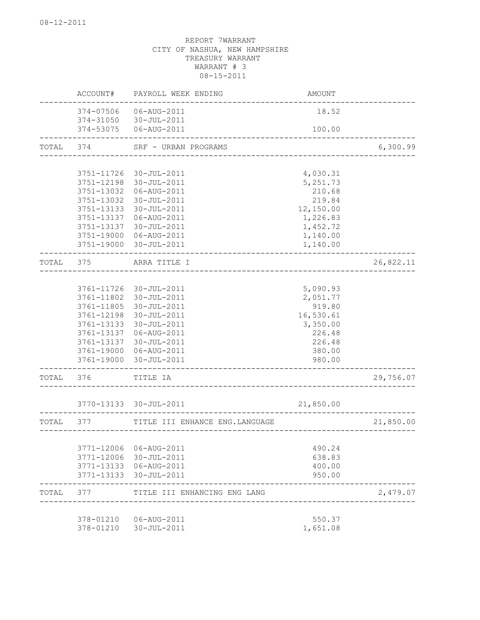|       | ACCOUNT#               | PAYROLL WEEK ENDING             | AMOUNT    |           |
|-------|------------------------|---------------------------------|-----------|-----------|
|       | 374-07506<br>374-31050 | 06-AUG-2011<br>30-JUL-2011      | 18.52     |           |
|       | 374-53075              | 06-AUG-2011                     | 100.00    |           |
| TOTAL | 374                    | SRF - URBAN PROGRAMS            |           | 6,300.99  |
|       |                        | ______________________          |           |           |
|       | 3751-11726             | 30-JUL-2011                     | 4,030.31  |           |
|       | 3751-12198             | 30-JUL-2011                     | 5, 251.73 |           |
|       | 3751-13032             | 06-AUG-2011                     | 210.68    |           |
|       | 3751-13032             | 30-JUL-2011                     | 219.84    |           |
|       | 3751-13133             | 30-JUL-2011                     | 12,150.00 |           |
|       | 3751-13137             | 06-AUG-2011                     | 1,226.83  |           |
|       | 3751-13137             | 30-JUL-2011                     | 1,452.72  |           |
|       | 3751-19000             | 06-AUG-2011                     | 1,140.00  |           |
|       | 3751-19000             | 30-JUL-2011                     | 1,140.00  |           |
| TOTAL | 375                    | ARRA TITLE I                    |           | 26,822.11 |
|       |                        |                                 |           |           |
|       | 3761-11726             | 30-JUL-2011                     | 5,090.93  |           |
|       | 3761-11802             | 30-JUL-2011                     | 2,051.77  |           |
|       | 3761-11805             | 30-JUL-2011                     | 919.80    |           |
|       | 3761-12198             | 30-JUL-2011                     | 16,530.61 |           |
|       | 3761-13133             | 30-JUL-2011                     | 3,350.00  |           |
|       | 3761-13137             | 06-AUG-2011                     | 226.48    |           |
|       | 3761-13137             | 30-JUL-2011                     | 226.48    |           |
|       | 3761-19000             | 06-AUG-2011                     | 380.00    |           |
|       | 3761-19000             | 30-JUL-2011                     | 980.00    |           |
| TOTAL | 376                    | TITLE IA                        |           | 29,756.07 |
|       |                        | 3770-13133 30-JUL-2011          | 21,850.00 |           |
|       |                        |                                 |           |           |
| TOTAL | 377                    | TITLE III ENHANCE ENG. LANGUAGE |           | 21,850.00 |
|       |                        |                                 |           |           |
|       | 3771-12006             | 06-AUG-2011                     | 490.24    |           |
|       | 3771-12006             | 30-JUL-2011                     | 638.83    |           |
|       | 3771-13133             | 06-AUG-2011                     | 400.00    |           |
|       | 3771-13133             | 30-JUL-2011                     | 950.00    |           |
| TOTAL | 377                    | TITLE III ENHANCING ENG LANG    |           | 2,479.07  |
|       | 378-01210              | 06-AUG-2011                     | 550.37    |           |
|       | 378-01210              | 30-JUL-2011                     | 1,651.08  |           |
|       |                        |                                 |           |           |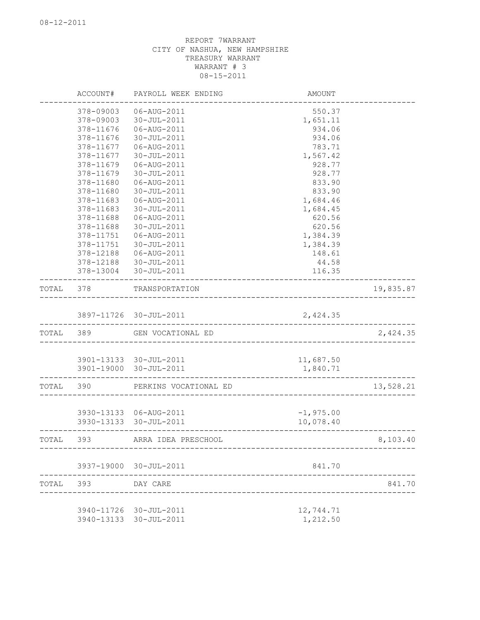|           | ACCOUNT#  | PAYROLL WEEK ENDING    | AMOUNT                                 |           |
|-----------|-----------|------------------------|----------------------------------------|-----------|
|           | 378-09003 | 06-AUG-2011            | 550.37                                 |           |
|           | 378-09003 | 30-JUL-2011            | 1,651.11                               |           |
|           | 378-11676 | 06-AUG-2011            | 934.06                                 |           |
|           | 378-11676 | 30-JUL-2011            | 934.06                                 |           |
|           | 378-11677 | 06-AUG-2011            | 783.71                                 |           |
|           | 378-11677 | 30-JUL-2011            | 1,567.42                               |           |
|           | 378-11679 | 06-AUG-2011            | 928.77                                 |           |
|           | 378-11679 | 30-JUL-2011            | 928.77                                 |           |
|           | 378-11680 | 06-AUG-2011            | 833.90                                 |           |
|           | 378-11680 | 30-JUL-2011            | 833.90                                 |           |
|           | 378-11683 | 06-AUG-2011            | 1,684.46                               |           |
|           | 378-11683 | 30-JUL-2011            | 1,684.45                               |           |
|           | 378-11688 | 06-AUG-2011            | 620.56                                 |           |
|           | 378-11688 | $30 - JUL - 2011$      | 620.56                                 |           |
|           | 378-11751 | 06-AUG-2011            | 1,384.39                               |           |
|           | 378-11751 | 30-JUL-2011            | 1,384.39                               |           |
|           | 378-12188 | 06-AUG-2011            | 148.61                                 |           |
|           | 378-12188 | 30-JUL-2011            | 44.58                                  |           |
|           | 378-13004 | 30-JUL-2011            | 116.35                                 |           |
| TOTAL     | 378       | TRANSPORTATION         | -------------------------------------- | 19,835.87 |
|           |           | 3897-11726 30-JUL-2011 | 2,424.35                               |           |
|           |           |                        |                                        |           |
| TOTAL 389 |           | GEN VOCATIONAL ED      |                                        | 2,424.35  |
|           |           |                        |                                        |           |
|           |           | 3901-13133 30-JUL-2011 | 11,687.50                              |           |
|           |           | 3901-19000 30-JUL-2011 | 1,840.71                               |           |
| TOTAL     | 390       | PERKINS VOCATIONAL ED  |                                        | 13,528.21 |
|           |           |                        |                                        |           |
|           |           | 3930-13133 06-AUG-2011 | $-1,975.00$                            |           |
|           |           | 3930-13133 30-JUL-2011 | 10,078.40                              |           |
| TOTAL     | 393       | ARRA IDEA PRESCHOOL    |                                        | 8,103.40  |
|           |           | 3937-19000 30-JUL-2011 | 841.70                                 |           |
|           |           |                        |                                        |           |
| TOTAL     | 393       | DAY CARE               |                                        | 841.70    |
|           |           | 3940-11726 30-JUL-2011 | 12,744.71                              |           |
|           |           | 3940-13133 30-JUL-2011 | 1,212.50                               |           |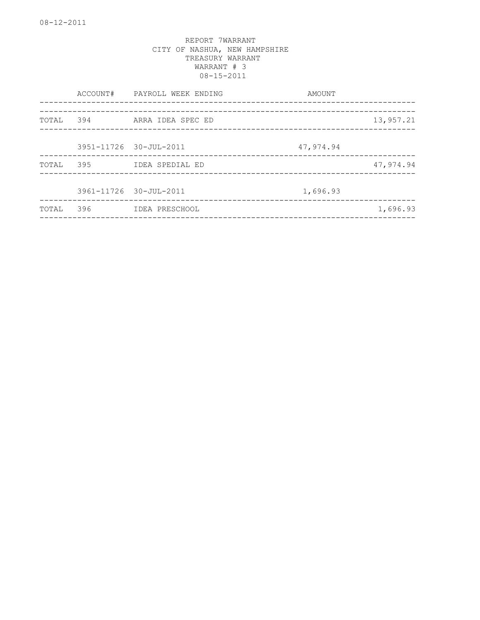|       |                        | ACCOUNT# PAYROLL WEEK ENDING   | AMOUNT    |           |
|-------|------------------------|--------------------------------|-----------|-----------|
| TOTAL | 394                    | ARRA IDEA SPEC ED              |           | 13,957.21 |
|       | 3951-11726 30-JUL-2011 |                                | 47,974.94 |           |
| TOTAL | 395                    | IDEA SPEDIAL ED                |           | 47,974.94 |
|       | 3961-11726 30-JUL-2011 | ------------------------------ | 1,696.93  |           |
| TOTAL | 396                    | IDEA PRESCHOOL                 |           | 1,696.93  |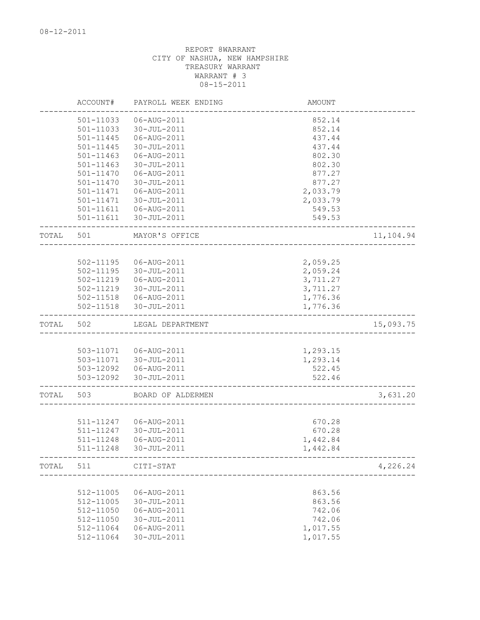|       | ACCOUNT#               | PAYROLL WEEK ENDING              | AMOUNT           |           |
|-------|------------------------|----------------------------------|------------------|-----------|
|       | 501-11033              | 06-AUG-2011                      | 852.14           |           |
|       | 501-11033              | 30-JUL-2011                      | 852.14           |           |
|       | 501-11445              | 06-AUG-2011                      | 437.44           |           |
|       | 501-11445              | 30-JUL-2011                      | 437.44           |           |
|       | 501-11463              | 06-AUG-2011                      | 802.30           |           |
|       | 501-11463              | 30-JUL-2011                      | 802.30           |           |
|       | 501-11470              | 06-AUG-2011                      | 877.27           |           |
|       | 501-11470              | 30-JUL-2011                      | 877.27           |           |
|       | 501-11471              | 06-AUG-2011                      | 2,033.79         |           |
|       | 501-11471              | $30 - JUL - 2011$                | 2,033.79         |           |
|       | 501-11611<br>501-11611 | 06-AUG-2011<br>30-JUL-2011       | 549.53<br>549.53 |           |
| TOTAL | 501                    | MAYOR'S OFFICE                   |                  | 11,104.94 |
|       |                        |                                  |                  |           |
|       | 502-11195              | 06-AUG-2011                      | 2,059.25         |           |
|       | 502-11195              | 30-JUL-2011                      | 2,059.24         |           |
|       | 502-11219              | 06-AUG-2011                      | 3,711.27         |           |
|       | 502-11219              | 30-JUL-2011                      | 3,711.27         |           |
|       |                        | 502-11518   06-AUG-2011          | 1,776.36         |           |
|       | 502-11518              | 30-JUL-2011                      | 1,776.36         |           |
| TOTAL | 502                    | LEGAL DEPARTMENT                 |                  | 15,093.75 |
|       |                        |                                  |                  |           |
|       |                        | 503-11071   06-AUG-2011          | 1,293.15         |           |
|       | 503-11071<br>503-12092 | 30-JUL-2011                      | 1,293.14         |           |
|       | 503-12092              | 06-AUG-2011<br>30-JUL-2011       | 522.45<br>522.46 |           |
|       |                        |                                  |                  |           |
| TOTAL | 503                    | BOARD OF ALDERMEN                |                  | 3,631.20  |
|       |                        |                                  |                  |           |
|       | 511-11247              | 06-AUG-2011                      | 670.28           |           |
|       | 511-11247              | 30-JUL-2011                      | 670.28           |           |
|       | 511-11248              | 06-AUG-2011                      | 1,442.84         |           |
|       | 511-11248              | 30-JUL-2011                      | 1,442.84         |           |
| TOTAL | 511 CITI-STAT          | -------------------------------- |                  | 4,226.24  |
|       |                        |                                  |                  |           |
|       | 512-11005              | 06-AUG-2011                      | 863.56           |           |
|       | 512-11005<br>512-11050 | 30-JUL-2011<br>06-AUG-2011       | 863.56           |           |
|       | 512-11050              | 30-JUL-2011                      | 742.06<br>742.06 |           |
|       | 512-11064              | 06-AUG-2011                      | 1,017.55         |           |
|       | 512-11064              | 30-JUL-2011                      | 1,017.55         |           |
|       |                        |                                  |                  |           |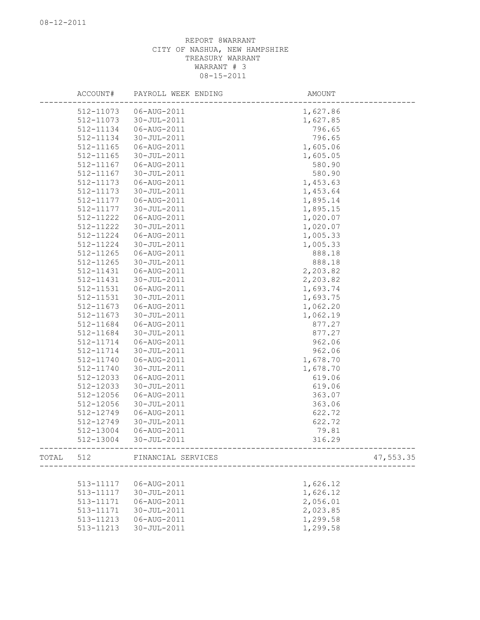| ACCOUNT#  | PAYROLL WEEK ENDING          | AMOUNT                                      |
|-----------|------------------------------|---------------------------------------------|
| 512-11073 | 06-AUG-2011                  | 1,627.86                                    |
| 512-11073 | 30-JUL-2011                  | 1,627.85                                    |
| 512-11134 | 06-AUG-2011                  | 796.65                                      |
| 512-11134 | 30-JUL-2011                  | 796.65                                      |
| 512-11165 | 06-AUG-2011                  | 1,605.06                                    |
| 512-11165 | 30-JUL-2011                  | 1,605.05                                    |
| 512-11167 | 06-AUG-2011                  | 580.90                                      |
| 512-11167 | 30-JUL-2011                  | 580.90                                      |
| 512-11173 | 06-AUG-2011                  | 1,453.63                                    |
| 512-11173 | 30-JUL-2011                  | 1,453.64                                    |
| 512-11177 | 06-AUG-2011                  | 1,895.14                                    |
| 512-11177 | 30-JUL-2011                  | 1,895.15                                    |
| 512-11222 | 06-AUG-2011                  | 1,020.07                                    |
| 512-11222 | 30-JUL-2011                  | 1,020.07                                    |
| 512-11224 | 06-AUG-2011                  | 1,005.33                                    |
| 512-11224 | $30 - JUL - 2011$            | 1,005.33                                    |
| 512-11265 | 06-AUG-2011                  | 888.18                                      |
| 512-11265 | 30-JUL-2011                  | 888.18                                      |
| 512-11431 | 06-AUG-2011                  | 2,203.82                                    |
| 512-11431 | $30 - JUL - 2011$            | 2,203.82                                    |
| 512-11531 | 06-AUG-2011                  | 1,693.74                                    |
| 512-11531 | 30-JUL-2011                  | 1,693.75                                    |
| 512-11673 | 06-AUG-2011                  | 1,062.20                                    |
| 512-11673 | 30-JUL-2011                  | 1,062.19                                    |
| 512-11684 | 06-AUG-2011                  | 877.27                                      |
| 512-11684 | 30-JUL-2011                  | 877.27                                      |
| 512-11714 | 06-AUG-2011                  | 962.06                                      |
| 512-11714 | 30-JUL-2011                  | 962.06                                      |
| 512-11740 | 06-AUG-2011                  | 1,678.70                                    |
| 512-11740 | 30-JUL-2011                  | 1,678.70                                    |
| 512-12033 | 06-AUG-2011                  | 619.06                                      |
| 512-12033 | 30-JUL-2011                  | 619.06                                      |
| 512-12056 | 06-AUG-2011                  | 363.07                                      |
| 512-12056 | 30-JUL-2011                  | 363.06                                      |
| 512-12749 | 06-AUG-2011                  | 622.72                                      |
| 512-12749 | 30-JUL-2011                  | 622.72                                      |
| 512-13004 | 06-AUG-2011                  | 79.81                                       |
| 512-13004 | $30 - JUL - 2011$            | 316.29<br>--------------------------------- |
|           | TOTAL 512 FINANCIAL SERVICES | 47,553.35                                   |
|           |                              |                                             |
| 513-11117 | 06-AUG-2011                  | 1,626.12                                    |
| 513-11117 | 30-JUL-2011                  | 1,626.12                                    |
| 513-11171 | 06-AUG-2011                  | 2,056.01                                    |
| 513-11171 | 30-JUL-2011                  | 2,023.85                                    |
| 513-11213 | 06-AUG-2011                  | 1,299.58                                    |
| 513-11213 | 30-JUL-2011                  | 1,299.58                                    |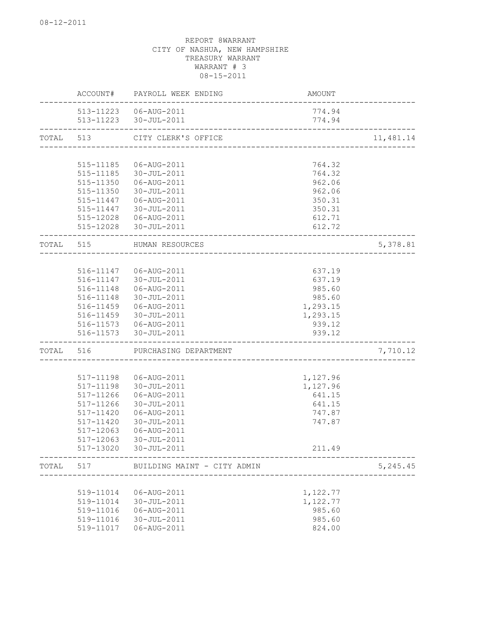|       | ACCOUNT#      | PAYROLL WEEK ENDING         | AMOUNT   |           |
|-------|---------------|-----------------------------|----------|-----------|
|       |               | 513-11223   06-AUG-2011     | 774.94   |           |
|       |               | 513-11223 30-JUL-2011       | 774.94   |           |
| TOTAL | 513           | CITY CLERK'S OFFICE         |          | 11,481.14 |
|       |               |                             |          |           |
|       | 515-11185     | 06-AUG-2011                 | 764.32   |           |
|       | 515-11185     | 30-JUL-2011                 | 764.32   |           |
|       | 515-11350     | 06-AUG-2011                 | 962.06   |           |
|       | 515-11350     | $30 - JUL - 2011$           | 962.06   |           |
|       | $515 - 11447$ | 06-AUG-2011                 | 350.31   |           |
|       | 515-11447     | 30-JUL-2011                 | 350.31   |           |
|       |               | 515-12028   06-AUG-2011     | 612.71   |           |
|       | 515-12028     | 30-JUL-2011                 | 612.72   |           |
| TOTAL | 515           | HUMAN RESOURCES             |          | 5,378.81  |
|       |               |                             |          |           |
|       |               | 516-11147   06-AUG-2011     | 637.19   |           |
|       | 516-11147     | 30-JUL-2011                 | 637.19   |           |
|       | 516-11148     | 06-AUG-2011                 | 985.60   |           |
|       | 516-11148     | 30-JUL-2011                 | 985.60   |           |
|       | 516-11459     | 06-AUG-2011                 | 1,293.15 |           |
|       | 516-11459     | 30-JUL-2011                 | 1,293.15 |           |
|       |               | 516-11573   06-AUG-2011     | 939.12   |           |
|       | 516-11573     | 30-JUL-2011                 | 939.12   |           |
| TOTAL | 516           | PURCHASING DEPARTMENT       |          | 7,710.12  |
|       |               |                             |          |           |
|       | 517-11198     | 06-AUG-2011                 | 1,127.96 |           |
|       | 517-11198     | 30-JUL-2011                 | 1,127.96 |           |
|       | 517-11266     | 06-AUG-2011                 | 641.15   |           |
|       | 517-11266     | 30-JUL-2011                 | 641.15   |           |
|       | 517-11420     | 06-AUG-2011                 | 747.87   |           |
|       | 517-11420     | 30-JUL-2011                 | 747.87   |           |
|       | 517-12063     | 06-AUG-2011                 |          |           |
|       | 517-12063     | $30 - JUL - 2011$           |          |           |
|       | 517-13020     | 30-JUL-2011                 | 211.49   |           |
| TOTAL | 517           | BUILDING MAINT - CITY ADMIN |          | 5,245.45  |
|       |               |                             |          |           |
|       | 519-11014     | 06-AUG-2011                 | 1,122.77 |           |
|       | 519-11014     | 30-JUL-2011                 | 1,122.77 |           |
|       | 519-11016     | 06-AUG-2011                 | 985.60   |           |
|       | 519-11016     | 30-JUL-2011                 | 985.60   |           |
|       | 519-11017     | 06-AUG-2011                 | 824.00   |           |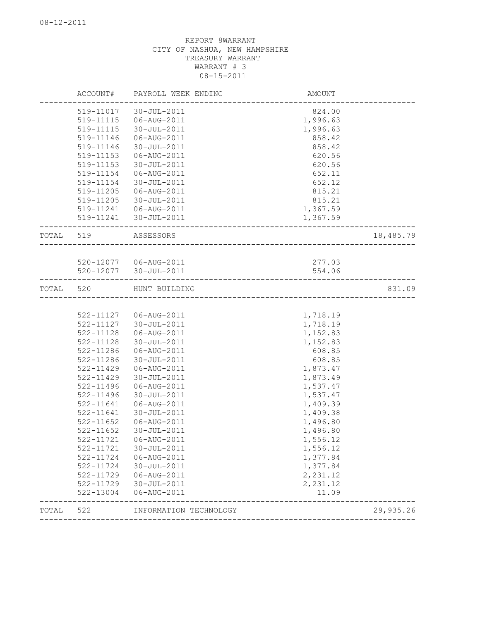|       | ACCOUNT#      | PAYROLL WEEK ENDING                                | AMOUNT                         |           |
|-------|---------------|----------------------------------------------------|--------------------------------|-----------|
|       | 519-11017     | 30-JUL-2011                                        | 824.00                         |           |
|       | 519-11115     | 06-AUG-2011                                        | 1,996.63                       |           |
|       | 519-11115     | 30-JUL-2011                                        | 1,996.63                       |           |
|       | 519-11146     | 06-AUG-2011                                        | 858.42                         |           |
|       | 519-11146     | 30-JUL-2011                                        | 858.42                         |           |
|       | 519-11153     | 06-AUG-2011                                        | 620.56                         |           |
|       | 519-11153     | 30-JUL-2011                                        | 620.56                         |           |
|       | 519-11154     | 06-AUG-2011                                        | 652.11                         |           |
|       | 519-11154     | 30-JUL-2011                                        | 652.12                         |           |
|       | 519-11205     | 06-AUG-2011                                        | 815.21                         |           |
|       | 519-11205     | 30-JUL-2011                                        | 815.21                         |           |
|       | 519-11241     | 06-AUG-2011                                        | 1,367.59                       |           |
|       | 519-11241     | 30-JUL-2011                                        | 1,367.59                       |           |
| TOTAL | 519           | ASSESSORS                                          |                                | 18,485.79 |
|       |               |                                                    |                                |           |
|       |               | 520-12077   06-AUG-2011<br>520-12077   30-JUL-2011 | 277.03                         |           |
|       |               |                                                    | 554.06                         |           |
| TOTAL | 520           | HUNT BUILDING                                      | ______________________________ | 831.09    |
|       |               |                                                    |                                |           |
|       |               | 522-11127 06-AUG-2011                              | 1,718.19                       |           |
|       | 522-11127     | 30-JUL-2011                                        | 1,718.19                       |           |
|       | 522-11128     | 06-AUG-2011                                        | 1,152.83                       |           |
|       | 522-11128     | 30-JUL-2011                                        | 1,152.83                       |           |
|       | 522-11286     | 06-AUG-2011                                        | 608.85                         |           |
|       | 522-11286     | 30-JUL-2011                                        | 608.85                         |           |
|       | 522-11429     | 06-AUG-2011                                        | 1,873.47                       |           |
|       | $522 - 11429$ | 30-JUL-2011                                        | 1,873.49                       |           |
|       | 522-11496     | 06-AUG-2011                                        | 1,537.47                       |           |
|       | 522-11496     | 30-JUL-2011                                        | 1,537.47                       |           |
|       | 522-11641     | 06-AUG-2011                                        | 1,409.39                       |           |
|       | 522-11641     | 30-JUL-2011                                        | 1,409.38                       |           |
|       | 522-11652     | 06-AUG-2011                                        | 1,496.80                       |           |
|       | 522-11652     | 30-JUL-2011                                        | 1,496.80                       |           |
|       | 522-11721     | 06-AUG-2011                                        | 1,556.12                       |           |
|       | 522-11721     | 30-JUL-2011                                        | 1,556.12                       |           |
|       | 522-11724     | 06-AUG-2011                                        | 1,377.84                       |           |
|       | 522-11724     | 30-JUL-2011                                        | 1,377.84                       |           |
|       | 522-11729     | 06-AUG-2011                                        | 2,231.12                       |           |
|       | 522-11729     | 30-JUL-2011                                        | 2,231.12                       |           |
|       | 522-13004     | 06-AUG-2011                                        | 11.09                          |           |
| TOTAL | 522           | INFORMATION TECHNOLOGY                             |                                | 29,935.26 |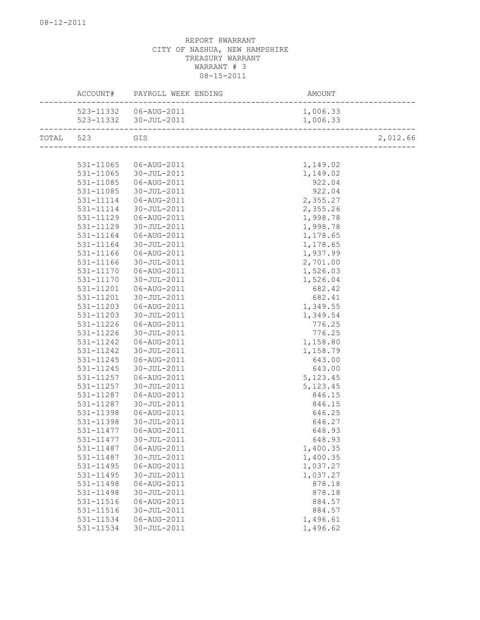|       | ACCOUNT#  | PAYROLL WEEK ENDING                                       | AMOUNT    |          |
|-------|-----------|-----------------------------------------------------------|-----------|----------|
|       |           | 523-11332   06-AUG-2011                                   | 1,006.33  |          |
|       |           | 523-11332 30-JUL-2011<br>________________________________ | 1,006.33  |          |
| TOTAL | 523       | GIS                                                       |           | 2,012.66 |
|       |           |                                                           |           |          |
|       | 531-11065 | 06-AUG-2011                                               | 1,149.02  |          |
|       | 531-11065 | 30-JUL-2011                                               | 1,149.02  |          |
|       | 531-11085 | 06-AUG-2011                                               | 922.04    |          |
|       | 531-11085 | 30-JUL-2011                                               | 922.04    |          |
|       | 531-11114 | 06-AUG-2011                                               | 2,355.27  |          |
|       | 531-11114 | 30-JUL-2011                                               | 2,355.26  |          |
|       | 531-11129 | 06-AUG-2011                                               | 1,998.78  |          |
|       | 531-11129 | 30-JUL-2011                                               | 1,998.78  |          |
|       | 531-11164 | 06-AUG-2011                                               | 1,178.65  |          |
|       | 531-11164 | 30-JUL-2011                                               | 1,178.65  |          |
|       | 531-11166 | 06-AUG-2011                                               | 1,937.99  |          |
|       | 531-11166 | 30-JUL-2011                                               | 2,701.00  |          |
|       | 531-11170 | 06-AUG-2011                                               | 1,526.03  |          |
|       | 531-11170 | 30-JUL-2011                                               | 1,526.04  |          |
|       | 531-11201 | 06-AUG-2011                                               | 682.42    |          |
|       | 531-11201 | 30-JUL-2011                                               | 682.41    |          |
|       | 531-11203 | 06-AUG-2011                                               | 1,349.55  |          |
|       | 531-11203 | 30-JUL-2011                                               | 1,349.54  |          |
|       | 531-11226 | 06-AUG-2011                                               | 776.25    |          |
|       | 531-11226 | 30-JUL-2011                                               | 776.25    |          |
|       | 531-11242 | 06-AUG-2011                                               | 1,158.80  |          |
|       | 531-11242 | 30-JUL-2011                                               | 1,158.79  |          |
|       | 531-11245 | 06-AUG-2011                                               | 643.00    |          |
|       | 531-11245 | 30-JUL-2011                                               | 643.00    |          |
|       | 531-11257 | 06-AUG-2011                                               | 5, 123.45 |          |
|       | 531-11257 | 30-JUL-2011                                               | 5, 123.45 |          |
|       | 531-11287 | 06-AUG-2011                                               | 846.15    |          |
|       | 531-11287 | 30-JUL-2011                                               | 846.15    |          |
|       | 531-11398 | 06-AUG-2011                                               | 646.25    |          |
|       | 531-11398 | 30-JUL-2011                                               | 646.27    |          |
|       | 531-11477 | 06-AUG-2011                                               | 648.93    |          |
|       | 531-11477 | 30-JUL-2011                                               | 648.93    |          |
|       | 531-11487 | 06-AUG-2011                                               | 1,400.35  |          |
|       | 531-11487 | 30-JUL-2011                                               | 1,400.35  |          |
|       | 531-11495 | 06-AUG-2011                                               | 1,037.27  |          |
|       | 531-11495 | 30-JUL-2011                                               | 1,037.27  |          |
|       | 531-11498 | 06-AUG-2011                                               | 878.18    |          |
|       | 531-11498 | 30-JUL-2011                                               | 878.18    |          |
|       | 531-11516 | 06-AUG-2011                                               | 884.57    |          |
|       | 531-11516 | 30-JUL-2011                                               | 884.57    |          |
|       | 531-11534 | 06-AUG-2011                                               | 1,496.61  |          |
|       | 531-11534 | 30-JUL-2011                                               | 1,496.62  |          |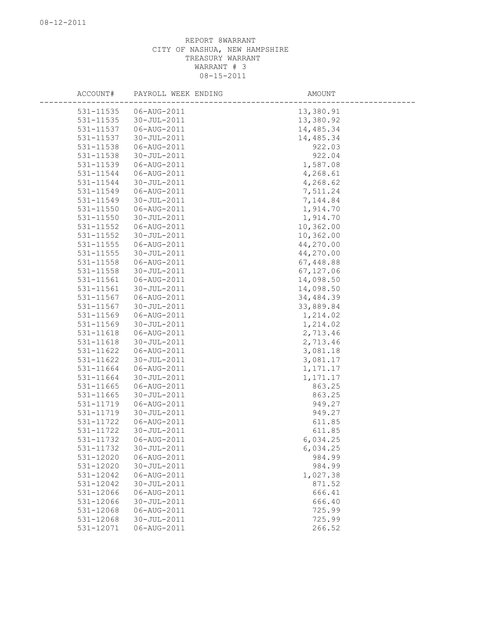| ACCOUNT#               | PAYROLL WEEK ENDING        | AMOUNT                |
|------------------------|----------------------------|-----------------------|
|                        |                            |                       |
| 531-11535              | 06-AUG-2011<br>30-JUL-2011 | 13,380.91             |
| 531-11535              |                            | 13,380.92             |
| 531-11537<br>531-11537 | 06-AUG-2011                | 14,485.34             |
| 531-11538              | 30-JUL-2011                | 14,485.34             |
|                        | 06-AUG-2011                | 922.03                |
| 531-11538              | 30-JUL-2011                | 922.04                |
| 531-11539              | 06-AUG-2011                | 1,587.08              |
| 531-11544<br>531-11544 | 06-AUG-2011<br>30-JUL-2011 | 4,268.61              |
|                        |                            | 4,268.62              |
| 531-11549<br>531-11549 | 06-AUG-2011<br>30-JUL-2011 | 7,511.24              |
|                        |                            | 7,144.84              |
| 531-11550              | 06-AUG-2011                | 1,914.70              |
| 531-11550<br>531-11552 | 30-JUL-2011<br>06-AUG-2011 | 1,914.70<br>10,362.00 |
| 531-11552              | 30-JUL-2011                | 10,362.00             |
| 531-11555              | 06-AUG-2011                | 44,270.00             |
| 531-11555              | $30 - JUL - 2011$          | 44,270.00             |
| 531-11558              | 06-AUG-2011                | 67,448.88             |
| 531-11558              | $30 - JUL - 2011$          | 67,127.06             |
| 531-11561              | 06-AUG-2011                | 14,098.50             |
| 531-11561              | $30 - JUL - 2011$          | 14,098.50             |
| 531-11567              | 06-AUG-2011                | 34,484.39             |
| 531-11567              | 30-JUL-2011                | 33,889.84             |
| 531-11569              | 06-AUG-2011                | 1,214.02              |
| 531-11569              | 30-JUL-2011                | 1,214.02              |
| $531 - 11618$          | 06-AUG-2011                | 2,713.46              |
| 531-11618              | 30-JUL-2011                | 2,713.46              |
| 531-11622              | 06-AUG-2011                | 3,081.18              |
| 531-11622              | 30-JUL-2011                | 3,081.17              |
| 531-11664              | 06-AUG-2011                | 1,171.17              |
| 531-11664              | 30-JUL-2011                | 1,171.17              |
| 531-11665              | 06-AUG-2011                | 863.25                |
| 531-11665              | 30-JUL-2011                | 863.25                |
| 531-11719              | 06-AUG-2011                | 949.27                |
| 531-11719              | 30-JUL-2011                | 949.27                |
| 531-11722              | 06-AUG-2011                | 611.85                |
| 531-11722              | 30-JUL-2011                | 611.85                |
| 531-11732              | 06-AUG-2011                | 6,034.25              |
| 531-11732              | 30-JUL-2011                | 6,034.25              |
| 531-12020              | 06-AUG-2011                | 984.99                |
| 531-12020              | $30 - JUL - 2011$          | 984.99                |
| 531-12042              | 06-AUG-2011                | 1,027.38              |
| 531-12042              | 30-JUL-2011                | 871.52                |
| 531-12066              | 06-AUG-2011                | 666.41                |
| 531-12066              | 30-JUL-2011                | 666.40                |
| 531-12068              | 06-AUG-2011                | 725.99                |
| 531-12068              | 30-JUL-2011                | 725.99                |
| 531-12071              | 06-AUG-2011                | 266.52                |
|                        |                            |                       |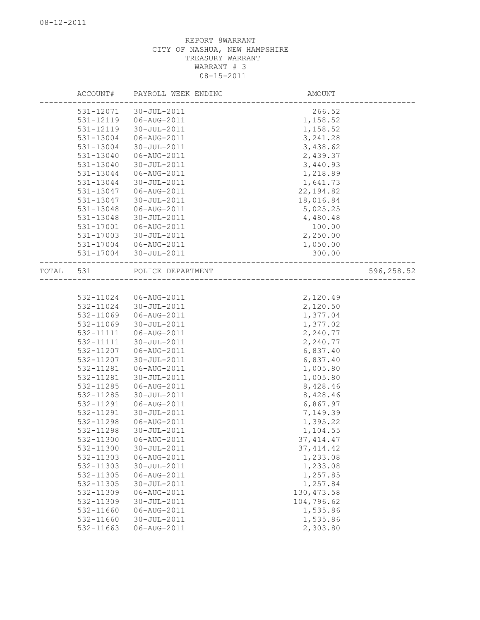|           | ACCOUNT#  | PAYROLL WEEK ENDING   | AMOUNT      |            |
|-----------|-----------|-----------------------|-------------|------------|
|           | 531-12071 | 30-JUL-2011           | 266.52      |            |
|           | 531-12119 | 06-AUG-2011           | 1,158.52    |            |
|           | 531-12119 | 30-JUL-2011           | 1,158.52    |            |
|           | 531-13004 | 06-AUG-2011           | 3, 241.28   |            |
|           | 531-13004 | 30-JUL-2011           | 3,438.62    |            |
|           | 531-13040 | 06-AUG-2011           | 2,439.37    |            |
|           | 531-13040 | 30-JUL-2011           | 3,440.93    |            |
|           | 531-13044 | 06-AUG-2011           | 1,218.89    |            |
|           | 531-13044 | 30-JUL-2011           | 1,641.73    |            |
|           | 531-13047 | 06-AUG-2011           | 22, 194.82  |            |
|           | 531-13047 | 30-JUL-2011           | 18,016.84   |            |
|           | 531-13048 | 06-AUG-2011           | 5,025.25    |            |
|           | 531-13048 | 30-JUL-2011           | 4,480.48    |            |
|           | 531-17001 | 06-AUG-2011           | 100.00      |            |
|           | 531-17003 | 30-JUL-2011           | 2,250.00    |            |
|           |           | 531-17004 06-AUG-2011 | 1,050.00    |            |
|           | 531-17004 | 30-JUL-2011           | 300.00      |            |
| TOTAL 531 |           | POLICE DEPARTMENT     |             | 596,258.52 |
|           |           |                       |             |            |
|           | 532-11024 | 06-AUG-2011           | 2,120.49    |            |
|           |           | 532-11024 30-JUL-2011 | 2,120.50    |            |
|           | 532-11069 | 06-AUG-2011           | 1,377.04    |            |
|           | 532-11069 | 30-JUL-2011           | 1,377.02    |            |
|           | 532-11111 | 06-AUG-2011           | 2,240.77    |            |
|           | 532-11111 | 30-JUL-2011           | 2,240.77    |            |
|           | 532-11207 | 06-AUG-2011           | 6,837.40    |            |
|           | 532-11207 | 30-JUL-2011           | 6,837.40    |            |
|           | 532-11281 | 06-AUG-2011           | 1,005.80    |            |
|           | 532-11281 | 30-JUL-2011           | 1,005.80    |            |
|           | 532-11285 | 06-AUG-2011           | 8,428.46    |            |
|           | 532-11285 | 30-JUL-2011           | 8,428.46    |            |
|           | 532-11291 | 06-AUG-2011           | 6,867.97    |            |
|           | 532-11291 | 30-JUL-2011           | 7,149.39    |            |
|           | 532-11298 | 06-AUG-2011           | 1,395.22    |            |
|           | 532-11298 | 30-JUL-2011           | 1,104.55    |            |
|           | 532-11300 | 06-AUG-2011           | 37, 414.47  |            |
|           | 532-11300 | 30-JUL-2011           | 37, 414.42  |            |
|           | 532-11303 | 06-AUG-2011           | 1,233.08    |            |
|           | 532-11303 | 30-JUL-2011           | 1,233.08    |            |
|           | 532-11305 | 06-AUG-2011           | 1,257.85    |            |
|           | 532-11305 | 30-JUL-2011           | 1,257.84    |            |
|           | 532-11309 | 06-AUG-2011           | 130, 473.58 |            |
|           | 532-11309 | 30-JUL-2011           | 104,796.62  |            |
|           | 532-11660 | 06-AUG-2011           | 1,535.86    |            |
|           | 532-11660 | 30-JUL-2011           | 1,535.86    |            |
|           | 532-11663 | 06-AUG-2011           | 2,303.80    |            |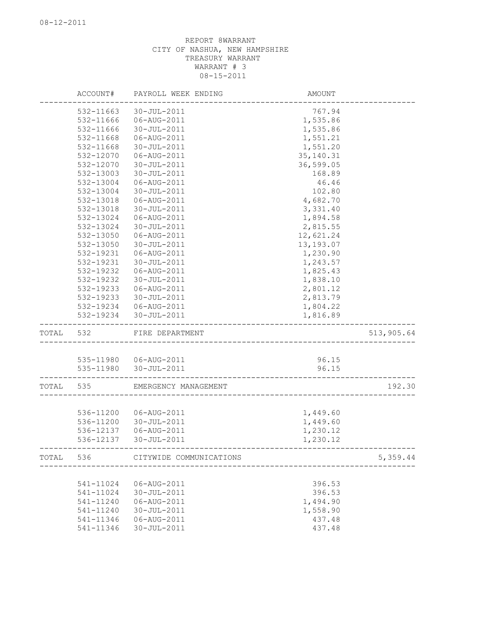|           | ACCOUNT#  | PAYROLL WEEK ENDING               | AMOUNT      |            |
|-----------|-----------|-----------------------------------|-------------|------------|
|           | 532-11663 | 30-JUL-2011                       | 767.94      |            |
|           | 532-11666 | 06-AUG-2011                       | 1,535.86    |            |
|           | 532-11666 | 30-JUL-2011                       | 1,535.86    |            |
|           | 532-11668 | 06-AUG-2011                       | 1,551.21    |            |
|           | 532-11668 | 30-JUL-2011                       | 1,551.20    |            |
|           | 532-12070 | 06-AUG-2011                       | 35, 140. 31 |            |
|           | 532-12070 | 30-JUL-2011                       | 36,599.05   |            |
|           | 532-13003 | 30-JUL-2011                       | 168.89      |            |
|           | 532-13004 | 06-AUG-2011                       | 46.46       |            |
|           | 532-13004 | 30-JUL-2011                       | 102.80      |            |
|           | 532-13018 | 06-AUG-2011                       | 4,682.70    |            |
|           | 532-13018 | 30-JUL-2011                       | 3,331.40    |            |
|           | 532-13024 | 06-AUG-2011                       | 1,894.58    |            |
|           | 532-13024 | 30-JUL-2011                       | 2,815.55    |            |
|           | 532-13050 | 06-AUG-2011                       | 12,621.24   |            |
|           | 532-13050 | 30-JUL-2011                       | 13,193.07   |            |
|           | 532-19231 | 06-AUG-2011                       | 1,230.90    |            |
|           | 532-19231 | 30-JUL-2011                       | 1,243.57    |            |
|           | 532-19232 | 06-AUG-2011                       | 1,825.43    |            |
|           | 532-19232 | 30-JUL-2011                       | 1,838.10    |            |
|           | 532-19233 | 06-AUG-2011                       | 2,801.12    |            |
|           | 532-19233 | 30-JUL-2011                       | 2,813.79    |            |
|           |           | 532-19234 06-AUG-2011             | 1,804.22    |            |
|           |           | 532-19234 30-JUL-2011             | 1,816.89    |            |
| TOTAL 532 |           | FIRE DEPARTMENT                   |             | 513,905.64 |
|           |           |                                   |             |            |
|           |           | 535-11980  06-AUG-2011            | 96.15       |            |
|           |           | 535-11980 30-JUL-2011             | 96.15       |            |
| TOTAL     | 535       | EMERGENCY MANAGEMENT              |             | 192.30     |
|           |           |                                   |             |            |
|           |           | 536-11200  06-AUG-2011            | 1,449.60    |            |
|           | 536-11200 | 30-JUL-2011                       | 1,449.60    |            |
|           | 536-12137 | 06-AUG-2011                       | 1,230.12    |            |
|           | 536-12137 | 30-JUL-2011                       | 1,230.12    |            |
|           |           | TOTAL 536 CITYWIDE COMMUNICATIONS |             | 5,359.44   |
|           |           |                                   |             |            |
|           | 541-11024 | 06-AUG-2011                       | 396.53      |            |
|           | 541-11024 | 30-JUL-2011                       | 396.53      |            |
|           | 541-11240 | 06-AUG-2011                       | 1,494.90    |            |
|           | 541-11240 | 30-JUL-2011                       | 1,558.90    |            |
|           | 541-11346 | 06-AUG-2011                       | 437.48      |            |
|           | 541-11346 | 30-JUL-2011                       | 437.48      |            |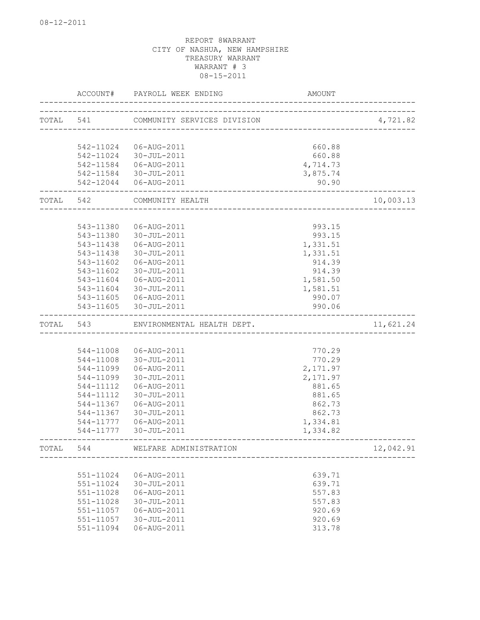|           | ACCOUNT#  | PAYROLL WEEK ENDING         | AMOUNT                 |           |
|-----------|-----------|-----------------------------|------------------------|-----------|
| TOTAL 541 |           | COMMUNITY SERVICES DIVISION |                        | 4,721.82  |
|           |           |                             | ---------------------- |           |
|           |           |                             |                        |           |
|           | 542-11024 | 06-AUG-2011                 | 660.88                 |           |
|           | 542-11024 | 30-JUL-2011                 | 660.88                 |           |
|           |           | 542-11584   06-AUG-2011     | 4,714.73               |           |
|           | 542-11584 | 30-JUL-2011                 | 3,875.74               |           |
|           |           | 542-12044   06-AUG-2011     | 90.90                  |           |
| TOTAL 542 |           | COMMUNITY HEALTH            |                        | 10,003.13 |
|           |           |                             |                        |           |
|           | 543-11380 | 06-AUG-2011                 | 993.15                 |           |
|           | 543-11380 | 30-JUL-2011                 | 993.15                 |           |
|           | 543-11438 | 06-AUG-2011                 | 1,331.51               |           |
|           | 543-11438 | 30-JUL-2011                 | 1,331.51               |           |
|           | 543-11602 | 06-AUG-2011                 | 914.39                 |           |
|           | 543-11602 | 30-JUL-2011                 | 914.39                 |           |
|           | 543-11604 | 06-AUG-2011                 | 1,581.50               |           |
|           | 543-11604 | 30-JUL-2011                 | 1,581.51               |           |
|           |           | 543-11605   06-AUG-2011     | 990.07                 |           |
|           | 543-11605 | 30-JUL-2011                 | 990.06                 |           |
| TOTAL     | 543       | ENVIRONMENTAL HEALTH DEPT.  |                        | 11,621.24 |
|           |           |                             |                        |           |
|           | 544-11008 | 06-AUG-2011                 | 770.29                 |           |
|           | 544-11008 | 30-JUL-2011                 | 770.29                 |           |
|           | 544-11099 | 06-AUG-2011                 | 2,171.97               |           |
|           | 544-11099 | 30-JUL-2011                 | 2,171.97               |           |
|           | 544-11112 | 06-AUG-2011                 | 881.65                 |           |
|           | 544-11112 | 30-JUL-2011                 | 881.65                 |           |
|           | 544-11367 | 06-AUG-2011                 | 862.73                 |           |
|           | 544-11367 | 30-JUL-2011                 | 862.73                 |           |
|           | 544-11777 | 06-AUG-2011                 | 1,334.81               |           |
|           | 544-11777 | 30-JUL-2011                 | 1,334.82               |           |
| TOTAL     | 544       | WELFARE ADMINISTRATION      |                        | 12,042.91 |
|           |           |                             |                        |           |
|           | 551-11024 | 06-AUG-2011                 | 639.71                 |           |
|           | 551-11024 | 30-JUL-2011                 | 639.71                 |           |
|           | 551-11028 | 06-AUG-2011                 | 557.83                 |           |
|           | 551-11028 | 30-JUL-2011                 | 557.83                 |           |
|           | 551-11057 | 06-AUG-2011                 | 920.69                 |           |
|           | 551-11057 | $30 - JUL - 2011$           | 920.69                 |           |
|           | 551-11094 | 06-AUG-2011                 | 313.78                 |           |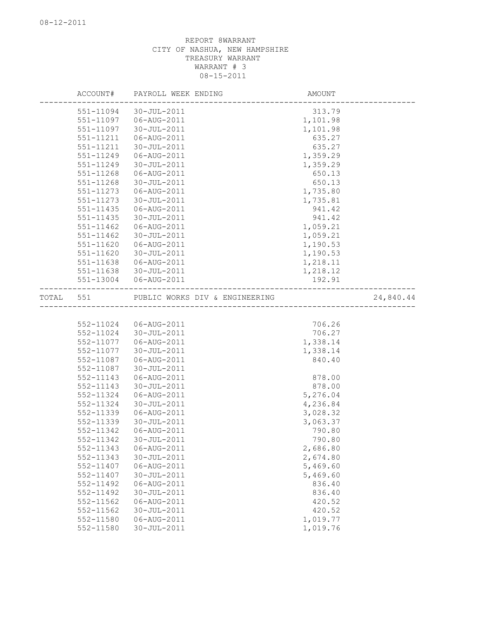|       | ACCOUNT#  | PAYROLL WEEK ENDING            | AMOUNT   |           |
|-------|-----------|--------------------------------|----------|-----------|
|       | 551-11094 | 30-JUL-2011                    | 313.79   |           |
|       | 551-11097 | 06-AUG-2011                    | 1,101.98 |           |
|       | 551-11097 | 30-JUL-2011                    | 1,101.98 |           |
|       | 551-11211 | 06-AUG-2011                    | 635.27   |           |
|       | 551-11211 | 30-JUL-2011                    | 635.27   |           |
|       | 551-11249 | 06-AUG-2011                    | 1,359.29 |           |
|       | 551-11249 | 30-JUL-2011                    | 1,359.29 |           |
|       | 551-11268 | 06-AUG-2011                    | 650.13   |           |
|       | 551-11268 | 30-JUL-2011                    | 650.13   |           |
|       | 551-11273 | 06-AUG-2011                    | 1,735.80 |           |
|       | 551-11273 | 30-JUL-2011                    | 1,735.81 |           |
|       | 551-11435 | 06-AUG-2011                    | 941.42   |           |
|       | 551-11435 | 30-JUL-2011                    | 941.42   |           |
|       | 551-11462 | 06-AUG-2011                    | 1,059.21 |           |
|       | 551-11462 | 30-JUL-2011                    | 1,059.21 |           |
|       | 551-11620 | 06-AUG-2011                    | 1,190.53 |           |
|       | 551-11620 | 30-JUL-2011                    | 1,190.53 |           |
|       | 551-11638 | 06-AUG-2011                    | 1,218.11 |           |
|       | 551-11638 | 30-JUL-2011                    | 1,218.12 |           |
|       |           | 551-13004 06-AUG-2011          | 192.91   |           |
| TOTAL | 551       | PUBLIC WORKS DIV & ENGINEERING |          | 24,840.44 |
|       |           |                                |          |           |
|       |           | 552-11024 06-AUG-2011          | 706.26   |           |
|       | 552-11024 | 30-JUL-2011                    | 706.27   |           |
|       | 552-11077 | 06-AUG-2011                    | 1,338.14 |           |
|       | 552-11077 | 30-JUL-2011                    | 1,338.14 |           |
|       | 552-11087 | 06-AUG-2011                    | 840.40   |           |
|       | 552-11087 | 30-JUL-2011                    |          |           |
|       | 552-11143 | 06-AUG-2011                    | 878.00   |           |
|       | 552-11143 | 30-JUL-2011                    | 878.00   |           |
|       | 552-11324 | 06-AUG-2011                    | 5,276.04 |           |
|       | 552-11324 | 30-JUL-2011                    | 4,236.84 |           |
|       | 552-11339 | 06-AUG-2011                    | 3,028.32 |           |
|       | 552-11339 | 30-JUL-2011                    | 3,063.37 |           |
|       | 552-11342 | 06-AUG-2011                    | 790.80   |           |
|       | 552-11342 | 30-JUL-2011                    | 790.80   |           |
|       | 552-11343 | 06-AUG-2011                    | 2,686.80 |           |
|       | 552-11343 | 30-JUL-2011                    | 2,674.80 |           |
|       | 552-11407 | 06-AUG-2011                    | 5,469.60 |           |
|       | 552-11407 | 30-JUL-2011                    | 5,469.60 |           |
|       | 552-11492 | 06-AUG-2011                    | 836.40   |           |
|       | 552-11492 | 30-JUL-2011                    | 836.40   |           |
|       | 552-11562 | 06-AUG-2011                    | 420.52   |           |
|       | 552-11562 | 30-JUL-2011                    | 420.52   |           |
|       | 552-11580 | 06-AUG-2011                    | 1,019.77 |           |
|       | 552-11580 | 30-JUL-2011                    | 1,019.76 |           |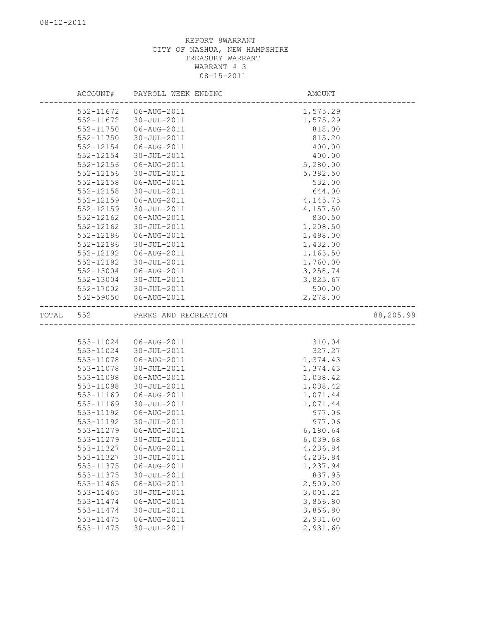|       | ACCOUNT#  | PAYROLL WEEK ENDING  | AMOUNT   |           |
|-------|-----------|----------------------|----------|-----------|
|       | 552-11672 | 06-AUG-2011          | 1,575.29 |           |
|       | 552-11672 | 30-JUL-2011          | 1,575.29 |           |
|       | 552-11750 | 06-AUG-2011          | 818.00   |           |
|       | 552-11750 | 30-JUL-2011          | 815.20   |           |
|       | 552-12154 | 06-AUG-2011          | 400.00   |           |
|       | 552-12154 | 30-JUL-2011          | 400.00   |           |
|       | 552-12156 | 06-AUG-2011          | 5,280.00 |           |
|       | 552-12156 | 30-JUL-2011          | 5,382.50 |           |
|       | 552-12158 | 06-AUG-2011          | 532.00   |           |
|       | 552-12158 | 30-JUL-2011          | 644.00   |           |
|       | 552-12159 | 06-AUG-2011          | 4,145.75 |           |
|       | 552-12159 | 30-JUL-2011          | 4,157.50 |           |
|       | 552-12162 | 06-AUG-2011          | 830.50   |           |
|       | 552-12162 | 30-JUL-2011          | 1,208.50 |           |
|       | 552-12186 | 06-AUG-2011          | 1,498.00 |           |
|       | 552-12186 | 30-JUL-2011          | 1,432.00 |           |
|       | 552-12192 | 06-AUG-2011          | 1,163.50 |           |
|       | 552-12192 | 30-JUL-2011          | 1,760.00 |           |
|       | 552-13004 | 06-AUG-2011          | 3,258.74 |           |
|       | 552-13004 | 30-JUL-2011          | 3,825.67 |           |
|       | 552-17002 | 30-JUL-2011          | 500.00   |           |
|       | 552-59050 | 06-AUG-2011          | 2,278.00 |           |
| TOTAL | 552       | PARKS AND RECREATION |          | 88,205.99 |
|       |           |                      |          |           |
|       | 553-11024 | 06-AUG-2011          | 310.04   |           |
|       | 553-11024 | 30-JUL-2011          | 327.27   |           |
|       | 553-11078 | 06-AUG-2011          | 1,374.43 |           |
|       | 553-11078 | 30-JUL-2011          | 1,374.43 |           |
|       | 553-11098 | 06-AUG-2011          | 1,038.42 |           |
|       | 553-11098 | 30-JUL-2011          | 1,038.42 |           |
|       | 553-11169 | 06-AUG-2011          | 1,071.44 |           |
|       | 553-11169 | 30-JUL-2011          | 1,071.44 |           |
|       | 553-11192 | 06-AUG-2011          | 977.06   |           |
|       | 553-11192 | 30-JUL-2011          | 977.06   |           |
|       | 553-11279 | 06-AUG-2011          | 6,180.64 |           |
|       | 553-11279 | $30 - JUL - 2011$    | 6,039.68 |           |
|       | 553-11327 | 06-AUG-2011          | 4,236.84 |           |
|       | 553-11327 | 30-JUL-2011          | 4,236.84 |           |
|       | 553-11375 | 06-AUG-2011          | 1,237.94 |           |
|       | 553-11375 | 30-JUL-2011          | 837.95   |           |
|       | 553-11465 | 06-AUG-2011          | 2,509.20 |           |
|       | 553-11465 | 30-JUL-2011          | 3,001.21 |           |
|       | 553-11474 | 06-AUG-2011          | 3,856.80 |           |
|       | 553-11474 | 30-JUL-2011          | 3,856.80 |           |
|       | 553-11475 | 06-AUG-2011          | 2,931.60 |           |
|       | 553-11475 | 30-JUL-2011          | 2,931.60 |           |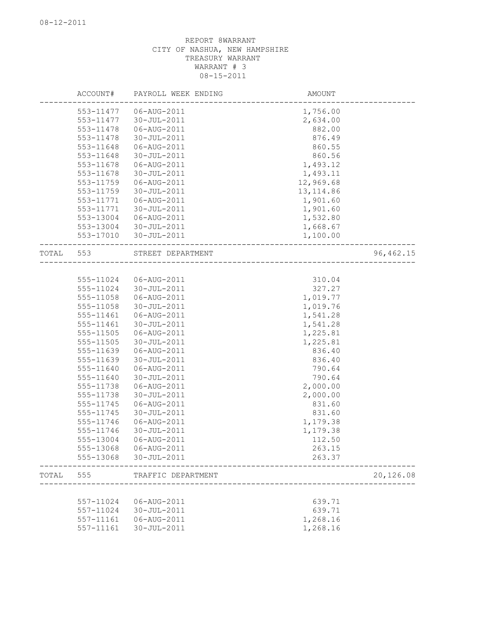|       | ACCOUNT#  | PAYROLL WEEK ENDING    | AMOUNT     |           |
|-------|-----------|------------------------|------------|-----------|
|       | 553-11477 | 06-AUG-2011            | 1,756.00   |           |
|       | 553-11477 | 30-JUL-2011            | 2,634.00   |           |
|       | 553-11478 | 06-AUG-2011            | 882.00     |           |
|       | 553-11478 | 30-JUL-2011            | 876.49     |           |
|       | 553-11648 | 06-AUG-2011            | 860.55     |           |
|       | 553-11648 | 30-JUL-2011            | 860.56     |           |
|       | 553-11678 | 06-AUG-2011            | 1,493.12   |           |
|       | 553-11678 | 30-JUL-2011            | 1,493.11   |           |
|       | 553-11759 | 06-AUG-2011            | 12,969.68  |           |
|       | 553-11759 | 30-JUL-2011            | 13, 114.86 |           |
|       | 553-11771 | 06-AUG-2011            | 1,901.60   |           |
|       | 553-11771 | 30-JUL-2011            | 1,901.60   |           |
|       | 553-13004 | 06-AUG-2011            | 1,532.80   |           |
|       | 553-13004 | 30-JUL-2011            | 1,668.67   |           |
|       | 553-17010 | 30-JUL-2011            | 1,100.00   |           |
|       |           |                        |            |           |
| TOTAL | 553       | STREET DEPARTMENT      |            | 96,462.15 |
|       |           |                        |            |           |
|       | 555-11024 | 06-AUG-2011            | 310.04     |           |
|       | 555-11024 | 30-JUL-2011            | 327.27     |           |
|       | 555-11058 | 06-AUG-2011            | 1,019.77   |           |
|       | 555-11058 | 30-JUL-2011            | 1,019.76   |           |
|       | 555-11461 | 06-AUG-2011            | 1,541.28   |           |
|       | 555-11461 | 30-JUL-2011            | 1,541.28   |           |
|       | 555-11505 | 06-AUG-2011            | 1,225.81   |           |
|       | 555-11505 | 30-JUL-2011            | 1,225.81   |           |
|       | 555-11639 | 06-AUG-2011            | 836.40     |           |
|       | 555-11639 | 30-JUL-2011            | 836.40     |           |
|       | 555-11640 | 06-AUG-2011            | 790.64     |           |
|       | 555-11640 | 30-JUL-2011            | 790.64     |           |
|       | 555-11738 | 06-AUG-2011            | 2,000.00   |           |
|       |           |                        |            |           |
|       | 555-11738 | 30-JUL-2011            | 2,000.00   |           |
|       | 555-11745 | 06-AUG-2011            | 831.60     |           |
|       | 555-11745 | 30-JUL-2011            | 831.60     |           |
|       | 555-11746 | 06-AUG-2011            | 1,179.38   |           |
|       | 555-11746 | 30-JUL-2011            | 1,179.38   |           |
|       |           | 555-13004 06-AUG-2011  | 112.50     |           |
|       |           | 555-13068  06-AUG-2011 | 263.15     |           |
|       | 555-13068 | 30-JUL-2011            | 263.37     |           |
| TOTAL | 555       | TRAFFIC DEPARTMENT     |            | 20,126.08 |
|       |           |                        |            |           |
|       | 557-11024 | 06-AUG-2011            | 639.71     |           |
|       | 557-11024 | 30-JUL-2011            | 639.71     |           |
|       | 557-11161 | 06-AUG-2011            | 1,268.16   |           |
|       | 557-11161 | 30-JUL-2011            | 1,268.16   |           |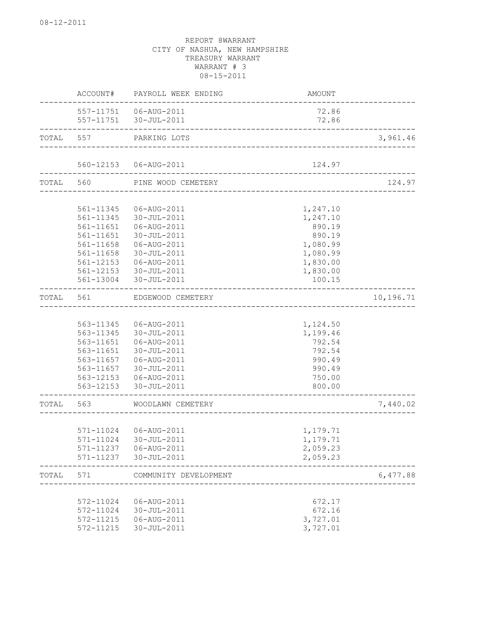|       | ACCOUNT#                  | PAYROLL WEEK ENDING                              | AMOUNT                                                           |           |
|-------|---------------------------|--------------------------------------------------|------------------------------------------------------------------|-----------|
|       |                           | 557-11751   06-AUG-2011<br>557-11751 30-JUL-2011 | 72.86<br>72.86                                                   |           |
| TOTAL | __________________<br>557 | PARKING LOTS                                     |                                                                  | 3,961.46  |
|       |                           | 560-12153  06-AUG-2011                           | 124.97                                                           |           |
| TOTAL | 560                       | PINE WOOD CEMETERY                               | ___________________________<br>_________________________________ | 124.97    |
|       |                           |                                                  |                                                                  |           |
|       | 561-11345                 | 06-AUG-2011                                      | 1,247.10                                                         |           |
|       | 561-11345                 | 30-JUL-2011                                      | 1,247.10                                                         |           |
|       | 561-11651                 | 06-AUG-2011                                      | 890.19                                                           |           |
|       | 561-11651                 | 30-JUL-2011                                      | 890.19                                                           |           |
|       | 561-11658                 | 06-AUG-2011                                      | 1,080.99                                                         |           |
|       | 561-11658                 | 30-JUL-2011                                      | 1,080.99                                                         |           |
|       | $561 - 12153$             | 06-AUG-2011                                      | 1,830.00                                                         |           |
|       | 561-12153                 | 30-JUL-2011                                      | 1,830.00                                                         |           |
|       | 561-13004                 | 30-JUL-2011                                      | 100.15                                                           |           |
| TOTAL | 561                       | EDGEWOOD CEMETERY                                |                                                                  | 10,196.71 |
|       |                           |                                                  |                                                                  |           |
|       | 563-11345                 | 06-AUG-2011                                      | 1,124.50                                                         |           |
|       | 563-11345                 | 30-JUL-2011                                      | 1,199.46                                                         |           |
|       | 563-11651                 | 06-AUG-2011                                      | 792.54                                                           |           |
|       | 563-11651                 | 30-JUL-2011                                      | 792.54                                                           |           |
|       | 563-11657                 | 06-AUG-2011                                      | 990.49                                                           |           |
|       | 563-11657                 | 30-JUL-2011                                      | 990.49                                                           |           |
|       |                           | 563-12153 06-AUG-2011                            | 750.00                                                           |           |
|       | 563-12153                 | 30-JUL-2011                                      | 800.00                                                           |           |
| TOTAL | 563                       | WOODLAWN CEMETERY                                |                                                                  | 7,440.02  |
|       |                           |                                                  |                                                                  |           |
|       |                           | 571-11024 06-AUG-2011                            | 1,179.71                                                         |           |
|       |                           | 571-11024 30-JUL-2011                            | 1,179.71                                                         |           |
|       |                           | 571-11237   06-AUG-2011                          | 2,059.23                                                         |           |
|       | 571-11237                 | $30 - JUL - 2011$                                | 2,059.23                                                         |           |
| TOTAL | 571                       | COMMUNITY DEVELOPMENT                            |                                                                  | 6,477.88  |
|       | 572-11024                 | 06-AUG-2011                                      | 672.17                                                           |           |
|       |                           |                                                  | 672.16                                                           |           |
|       | 572-11024<br>572-11215    | 30-JUL-2011<br>06-AUG-2011                       | 3,727.01                                                         |           |
|       | 572-11215                 | 30-JUL-2011                                      | 3,727.01                                                         |           |
|       |                           |                                                  |                                                                  |           |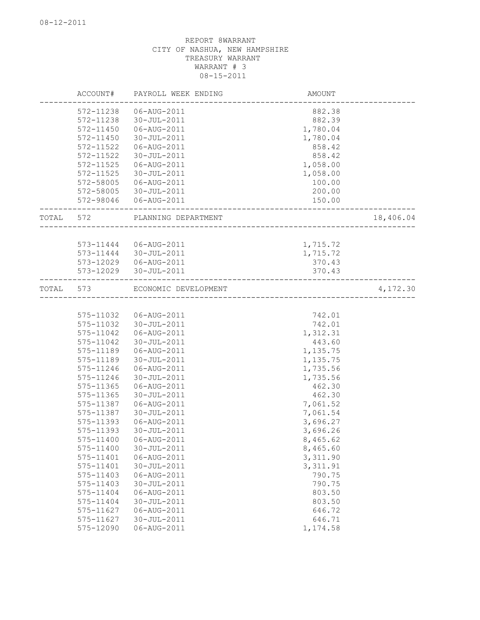|           | ACCOUNT#  | PAYROLL WEEK ENDING  | AMOUNT                    |           |
|-----------|-----------|----------------------|---------------------------|-----------|
|           | 572-11238 | 06-AUG-2011          | 882.38                    |           |
|           | 572-11238 | 30-JUL-2011          | 882.39                    |           |
|           | 572-11450 | 06-AUG-2011          | 1,780.04                  |           |
|           | 572-11450 | $30 - JUL - 2011$    | 1,780.04                  |           |
|           | 572-11522 | 06-AUG-2011          | 858.42                    |           |
|           | 572-11522 | 30-JUL-2011          | 858.42                    |           |
|           | 572-11525 | 06-AUG-2011          | 1,058.00                  |           |
|           | 572-11525 | 30-JUL-2011          | 1,058.00                  |           |
|           | 572-58005 | 06-AUG-2011          | 100.00                    |           |
|           | 572-58005 | 30-JUL-2011          | 200.00                    |           |
|           | 572-98046 | 06-AUG-2011          | 150.00                    |           |
| TOTAL     | 572       | PLANNING DEPARTMENT  | ----------------------    | 18,406.04 |
|           |           |                      |                           |           |
|           | 573-11444 | 06-AUG-2011          | 1,715.72                  |           |
|           | 573-11444 | 30-JUL-2011          | 1,715.72                  |           |
|           | 573-12029 | 06-AUG-2011          | 370.43                    |           |
|           | 573-12029 | 30-JUL-2011          | 370.43                    |           |
| TOTAL 573 |           | ECONOMIC DEVELOPMENT |                           | 4,172.30  |
|           |           |                      | _________________________ |           |
|           | 575-11032 | 06-AUG-2011          | 742.01                    |           |
|           | 575-11032 | 30-JUL-2011          | 742.01                    |           |
|           | 575-11042 | 06-AUG-2011          | 1,312.31                  |           |
|           | 575-11042 | 30-JUL-2011          | 443.60                    |           |
|           | 575-11189 | 06-AUG-2011          | 1,135.75                  |           |
|           | 575-11189 | 30-JUL-2011          | 1,135.75                  |           |
|           | 575-11246 | 06-AUG-2011          | 1,735.56                  |           |
|           | 575-11246 | 30-JUL-2011          | 1,735.56                  |           |
|           | 575-11365 | 06-AUG-2011          | 462.30                    |           |
|           | 575-11365 | 30-JUL-2011          | 462.30                    |           |
|           | 575-11387 | 06-AUG-2011          | 7,061.52                  |           |
|           | 575-11387 | 30-JUL-2011          | 7,061.54                  |           |
|           | 575-11393 | 06-AUG-2011          | 3,696.27                  |           |
|           | 575-11393 | 30-JUL-2011          | 3,696.26                  |           |
|           | 575-11400 | 06-AUG-2011          | 8,465.62                  |           |
|           | 575-11400 | 30-JUL-2011          | 8,465.60                  |           |
|           | 575-11401 | 06-AUG-2011          | 3,311.90                  |           |
|           | 575-11401 | 30-JUL-2011          | 3, 311.91                 |           |
|           | 575-11403 | 06-AUG-2011          | 790.75                    |           |
|           | 575-11403 | 30-JUL-2011          | 790.75                    |           |
|           | 575-11404 | 06-AUG-2011          | 803.50                    |           |
|           | 575-11404 | 30-JUL-2011          | 803.50                    |           |
|           | 575-11627 | 06-AUG-2011          | 646.72                    |           |
|           | 575-11627 | 30-JUL-2011          | 646.71                    |           |
|           | 575-12090 | 06-AUG-2011          | 1,174.58                  |           |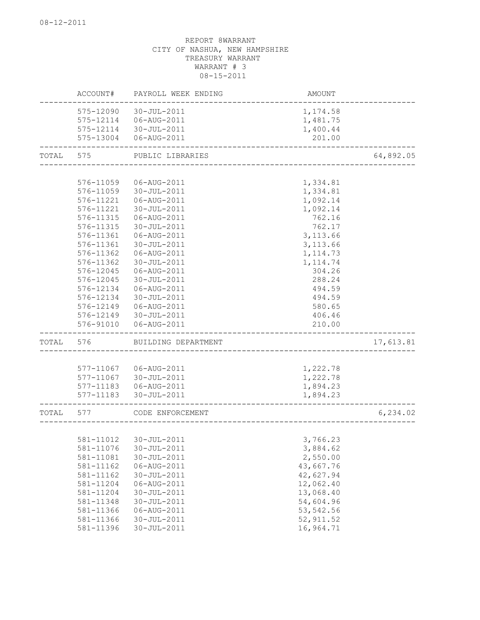|       | ACCOUNT#  | PAYROLL WEEK ENDING   | AMOUNT     |           |
|-------|-----------|-----------------------|------------|-----------|
|       | 575-12090 | 30-JUL-2011           | 1,174.58   |           |
|       | 575-12114 | 06-AUG-2011           | 1,481.75   |           |
|       | 575-12114 | 30-JUL-2011           | 1,400.44   |           |
|       | 575-13004 | 06-AUG-2011           | 201.00     |           |
| TOTAL | 575       | PUBLIC LIBRARIES      |            | 64,892.05 |
|       |           |                       |            |           |
|       | 576-11059 | 06-AUG-2011           | 1,334.81   |           |
|       | 576-11059 | 30-JUL-2011           | 1,334.81   |           |
|       | 576-11221 | 06-AUG-2011           | 1,092.14   |           |
|       | 576-11221 | 30-JUL-2011           | 1,092.14   |           |
|       | 576-11315 | 06-AUG-2011           | 762.16     |           |
|       | 576-11315 | 30-JUL-2011           | 762.17     |           |
|       | 576-11361 | 06-AUG-2011           | 3,113.66   |           |
|       | 576-11361 | 30-JUL-2011           | 3,113.66   |           |
|       | 576-11362 | 06-AUG-2011           | 1, 114.73  |           |
|       | 576-11362 | $30 - JUL - 2011$     | 1, 114.74  |           |
|       | 576-12045 | 06-AUG-2011           | 304.26     |           |
|       | 576-12045 | 30-JUL-2011           | 288.24     |           |
|       | 576-12134 | 06-AUG-2011           | 494.59     |           |
|       | 576-12134 | 30-JUL-2011           | 494.59     |           |
|       | 576-12149 | 06-AUG-2011           | 580.65     |           |
|       | 576-12149 | 30-JUL-2011           | 406.46     |           |
|       | 576-91010 | 06-AUG-2011           | 210.00     |           |
| TOTAL | 576       | BUILDING DEPARTMENT   |            | 17,613.81 |
|       |           |                       |            |           |
|       | 577-11067 | 06-AUG-2011           | 1,222.78   |           |
|       | 577-11067 | 30-JUL-2011           | 1,222.78   |           |
|       | 577-11183 | 06-AUG-2011           | 1,894.23   |           |
|       | 577-11183 | 30-JUL-2011           | 1,894.23   |           |
| TOTAL | 577       | CODE ENFORCEMENT      |            | 6, 234.02 |
|       |           |                       |            |           |
|       |           | 581-11012 30-JUL-2011 | 3,766.23   |           |
|       | 581-11076 | $30 - JUL - 2011$     | 3,884.62   |           |
|       | 581-11081 | 30-JUL-2011           | 2,550.00   |           |
|       | 581-11162 | 06-AUG-2011           | 43,667.76  |           |
|       | 581-11162 | 30-JUL-2011           | 42,627.94  |           |
|       | 581-11204 | 06-AUG-2011           | 12,062.40  |           |
|       | 581-11204 | 30-JUL-2011           | 13,068.40  |           |
|       | 581-11348 | 30-JUL-2011           | 54,604.96  |           |
|       | 581-11366 | 06-AUG-2011           | 53, 542.56 |           |
|       | 581-11366 | 30-JUL-2011           | 52, 911.52 |           |
|       | 581-11396 | 30-JUL-2011           | 16,964.71  |           |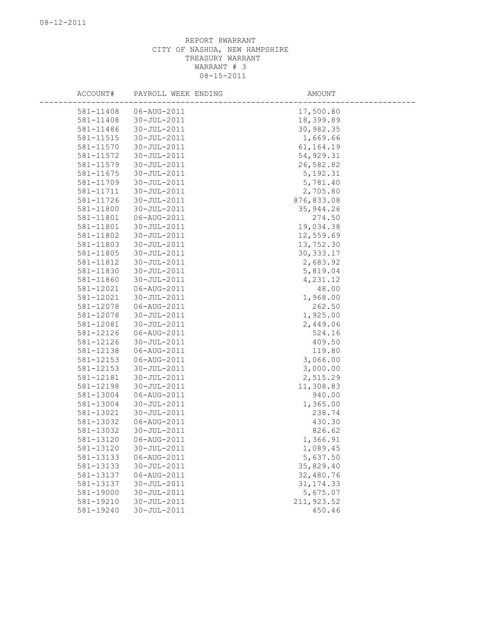| ACCOUNT#               | PAYROLL WEEK ENDING        | AMOUNT               |
|------------------------|----------------------------|----------------------|
| 581-11408              | 06-AUG-2011                | 17,500.80            |
| 581-11408              | $30 - JUL - 2011$          | 18,399.89            |
| 581-11486              | 30-JUL-2011                | 30,982.35            |
| 581-11515              | 30-JUL-2011                | 1,669.66             |
| 581-11570              | 30-JUL-2011                | 61, 164. 19          |
| 581-11572              | 30-JUL-2011                | 54,929.31            |
| 581-11579              | 30-JUL-2011                | 26,582.82            |
| 581-11675              | 30-JUL-2011                | 5, 192.31            |
| 581-11709              | 30-JUL-2011                | 5,781.40             |
| 581-11711              | 30-JUL-2011                | 2,705.80             |
| 581-11726              | 30-JUL-2011                | 876,833.08           |
| 581-11800              | 30-JUL-2011                | 35, 944.26           |
| 581-11801              | 06-AUG-2011                | 274.50               |
| 581-11801              | 30-JUL-2011                | 19,034.38            |
| 581-11802              | 30-JUL-2011                | 12,559.69            |
| 581-11803              | 30-JUL-2011                | 13,752.30            |
| 581-11805              | 30-JUL-2011                | 30, 333.17           |
| 581-11812              | 30-JUL-2011                | 2,683.92             |
| 581-11830              | $30 - JUL - 2011$          | 5,819.04             |
| 581-11860              | 30-JUL-2011                | 4,231.12             |
| 581-12021              | 06-AUG-2011                | 48.00                |
| 581-12021              | 30-JUL-2011                | 1,968.00             |
| 581-12078              | 06-AUG-2011                | 262.50               |
| 581-12078              | 30-JUL-2011                | 1,925.00             |
| 581-12081              | 30-JUL-2011                | 2,449.06             |
| 581-12126              | 06-AUG-2011                | 524.16               |
| 581-12126              | 30-JUL-2011                | 409.50               |
| 581-12138              | 06-AUG-2011                | 119.80               |
| 581-12153              | 06-AUG-2011                | 3,066.00             |
| 581-12153              | 30-JUL-2011                | 3,000.00             |
| 581-12181              | 30-JUL-2011                | 2,515.29             |
| 581-12198              | 30-JUL-2011                | 11,308.83            |
| 581-13004              | 06-AUG-2011                | 940.00               |
| 581-13004              | 30-JUL-2011                | 1,365.00             |
| 581-13021              | 30-JUL-2011                | 238.74               |
| 581-13032<br>581-13032 | 06-AUG-2011<br>30-JUL-2011 | 430.30               |
| 581-13120              | 06-AUG-2011                | 826.62<br>1,366.91   |
| 581-13120              | 30-JUL-2011                |                      |
| 581-13133              | 06-AUG-2011                | 1,089.45<br>5,637.50 |
| 581-13133              | 30-JUL-2011                | 35,829.40            |
| 581-13137              | 06-AUG-2011                | 32,480.76            |
| 581-13137              | 30-JUL-2011                | 31, 174.33           |
| 581-19000              | 30-JUL-2011                | 5,675.07             |
| 581-19210              | 30-JUL-2011                | 211, 923.52          |
| 581-19240              | 30-JUL-2011                | 450.46               |
|                        |                            |                      |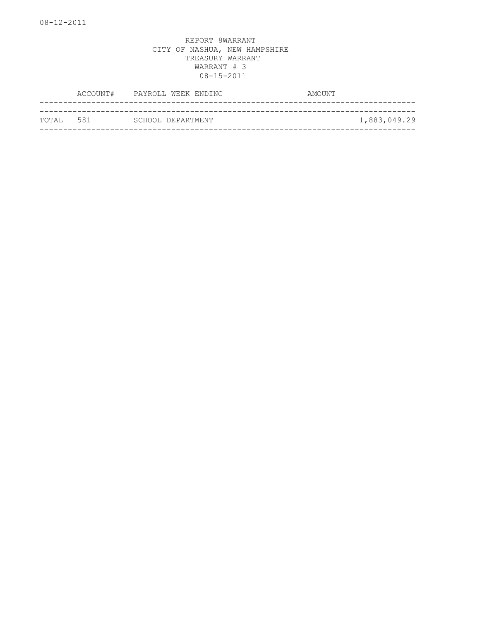|            | ACCOUNT# PAYROLL WEEK ENDING | AMOUNT       |
|------------|------------------------------|--------------|
|            |                              |              |
| ТОТАІ. 581 | SCHOOL DEPARTMENT            | 1,883,049.29 |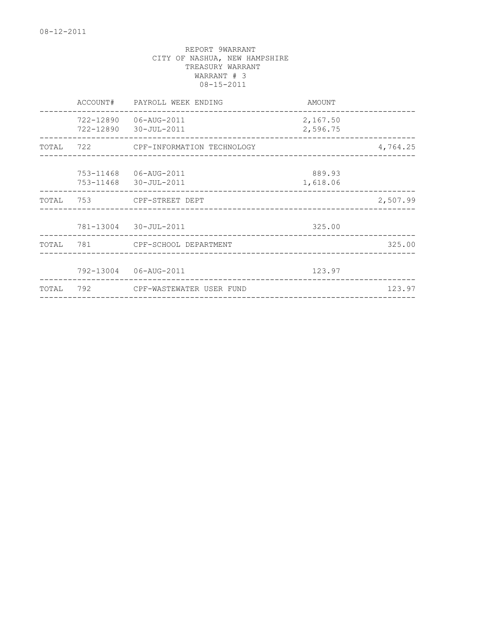|       | ACCOUNT# | PAYROLL WEEK ENDING                                                                | AMOUNT                          |          |
|-------|----------|------------------------------------------------------------------------------------|---------------------------------|----------|
|       |          | 722-12890 06-AUG-2011<br>722-12890 30-JUL-2011                                     | 2,167.50<br>2,596.75            |          |
| TOTAL |          |                                                                                    |                                 | 4,764.25 |
|       |          | 753-11468   06-AUG-2011<br>753-11468 30-JUL-2011<br>______________________________ | 889.93<br>1,618.06              |          |
|       |          | TOTAL 753 CPF-STREET DEPT                                                          |                                 | 2,507.99 |
|       |          | 781-13004 30-JUL-2011                                                              | 325.00                          |          |
| TOTAL |          |                                                                                    |                                 | 325.00   |
|       |          | 792-13004 06-AUG-2011                                                              | 123.97                          |          |
| TOTAL | 792      | CPF-WASTEWATER USER FUND                                                           | _______________________________ | 123.97   |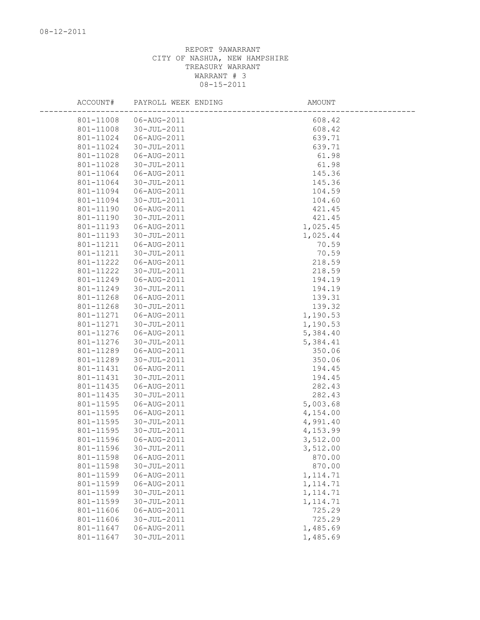| ACCOUNT#  | PAYROLL WEEK ENDING | AMOUNT    |
|-----------|---------------------|-----------|
| 801-11008 | 06-AUG-2011         | 608.42    |
| 801-11008 | 30-JUL-2011         | 608.42    |
| 801-11024 | 06-AUG-2011         | 639.71    |
| 801-11024 | 30-JUL-2011         | 639.71    |
| 801-11028 | 06-AUG-2011         | 61.98     |
| 801-11028 | 30-JUL-2011         | 61.98     |
| 801-11064 | 06-AUG-2011         | 145.36    |
| 801-11064 | 30-JUL-2011         | 145.36    |
| 801-11094 | 06-AUG-2011         | 104.59    |
| 801-11094 | 30-JUL-2011         | 104.60    |
| 801-11190 | 06-AUG-2011         | 421.45    |
| 801-11190 | 30-JUL-2011         | 421.45    |
| 801-11193 | 06-AUG-2011         | 1,025.45  |
| 801-11193 | 30-JUL-2011         | 1,025.44  |
| 801-11211 | 06-AUG-2011         | 70.59     |
| 801-11211 | 30-JUL-2011         | 70.59     |
| 801-11222 | 06-AUG-2011         | 218.59    |
| 801-11222 | 30-JUL-2011         | 218.59    |
| 801-11249 | 06-AUG-2011         | 194.19    |
| 801-11249 | 30-JUL-2011         | 194.19    |
| 801-11268 | 06-AUG-2011         | 139.31    |
| 801-11268 | 30-JUL-2011         | 139.32    |
| 801-11271 | 06-AUG-2011         | 1,190.53  |
| 801-11271 | 30-JUL-2011         | 1,190.53  |
| 801-11276 | 06-AUG-2011         | 5,384.40  |
| 801-11276 | 30-JUL-2011         | 5,384.41  |
| 801-11289 | 06-AUG-2011         | 350.06    |
| 801-11289 | 30-JUL-2011         | 350.06    |
| 801-11431 | 06-AUG-2011         | 194.45    |
| 801-11431 | 30-JUL-2011         | 194.45    |
| 801-11435 | 06-AUG-2011         | 282.43    |
| 801-11435 | 30-JUL-2011         | 282.43    |
| 801-11595 | 06-AUG-2011         | 5,003.68  |
| 801-11595 | 06-AUG-2011         | 4,154.00  |
| 801-11595 | 30-JUL-2011         | 4,991.40  |
| 801-11595 | 30-JUL-2011         | 4,153.99  |
| 801-11596 | 06-AUG-2011         | 3,512.00  |
| 801-11596 | 30-JUL-2011         | 3,512.00  |
| 801-11598 | 06-AUG-2011         | 870.00    |
| 801-11598 | 30-JUL-2011         | 870.00    |
| 801-11599 | 06-AUG-2011         | 1, 114.71 |
| 801-11599 | 06-AUG-2011         | 1, 114.71 |
| 801-11599 | 30-JUL-2011         | 1, 114.71 |
| 801-11599 | 30-JUL-2011         | 1, 114.71 |
| 801-11606 | 06-AUG-2011         | 725.29    |
| 801-11606 | 30-JUL-2011         | 725.29    |
| 801-11647 | 06-AUG-2011         | 1,485.69  |
| 801-11647 | 30-JUL-2011         | 1,485.69  |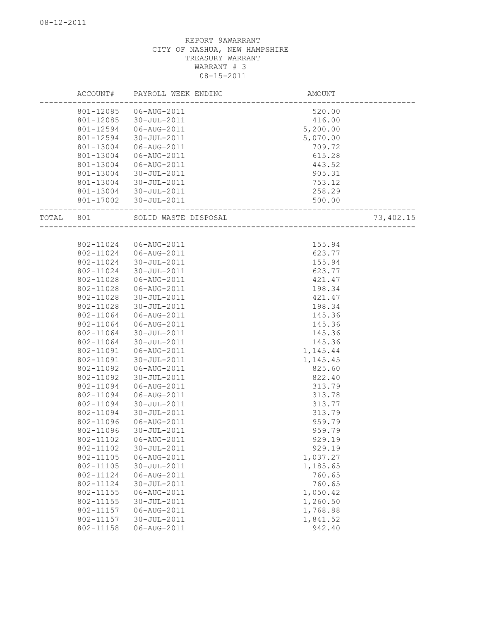|           | ACCOUNT#               | PAYROLL WEEK ENDING        | AMOUNT                                      |  |
|-----------|------------------------|----------------------------|---------------------------------------------|--|
|           | 801-12085              | 06-AUG-2011                | 520.00                                      |  |
|           | 801-12085              | 30-JUL-2011                | 416.00                                      |  |
|           | 801-12594              | 06-AUG-2011                | 5,200.00                                    |  |
|           | 801-12594              | 30-JUL-2011                | 5,070.00                                    |  |
|           | 801-13004              | 06-AUG-2011                | 709.72                                      |  |
|           | 801-13004              | 06-AUG-2011                | 615.28                                      |  |
|           | 801-13004              | 06-AUG-2011                | 443.52                                      |  |
|           | 801-13004              | 30-JUL-2011                | 905.31                                      |  |
|           | 801-13004              | 30-JUL-2011                | 753.12                                      |  |
|           |                        | 801-13004 30-JUL-2011      | 258.29                                      |  |
|           |                        | 801-17002 30-JUL-2011      | 500.00<br>500<br>-------------------------- |  |
| TOTAL 801 |                        | SOLID WASTE DISPOSAL       | 73,402.15<br>~~~<br>----------------------- |  |
|           |                        |                            |                                             |  |
|           | 802-11024              | 06-AUG-2011                | 155.94                                      |  |
|           |                        | 802-11024   06-AUG-2011    | 623.77                                      |  |
|           | 802-11024              | 30-JUL-2011                | 155.94                                      |  |
|           | 802-11024              | 30-JUL-2011                | 623.77                                      |  |
|           | 802-11028              | 06-AUG-2011                | 421.47                                      |  |
|           | 802-11028              | 06-AUG-2011                | 198.34                                      |  |
|           | 802-11028              | 30-JUL-2011                | 421.47                                      |  |
|           | 802-11028              | 30-JUL-2011                | 198.34                                      |  |
|           | 802-11064              | 06-AUG-2011                | 145.36                                      |  |
|           | 802-11064<br>802-11064 | 06-AUG-2011                | 145.36                                      |  |
|           | 802-11064              | 30-JUL-2011<br>30-JUL-2011 | 145.36<br>145.36                            |  |
|           | 802-11091              | 06-AUG-2011                | 1,145.44                                    |  |
|           | 802-11091              | 30-JUL-2011                | 1,145.45                                    |  |
|           | 802-11092              | 06-AUG-2011                | 825.60                                      |  |
|           | 802-11092              | 30-JUL-2011                | 822.40                                      |  |
|           | 802-11094              | 06-AUG-2011                | 313.79                                      |  |
|           | 802-11094              | 06-AUG-2011                | 313.78                                      |  |
|           | 802-11094              | 30-JUL-2011                | 313.77                                      |  |
|           | 802-11094              | 30-JUL-2011                | 313.79                                      |  |
|           | 802-11096              | 06-AUG-2011                | 959.79                                      |  |
|           | 802-11096              | 30-JUL-2011                | 959.79                                      |  |
|           |                        |                            | 929.19                                      |  |
|           | 802-11102              | 30-JUL-2011                | 929.19                                      |  |
|           | 802-11105              | 06-AUG-2011                | 1,037.27                                    |  |
|           | 802-11105              | 30-JUL-2011                | 1,185.65                                    |  |
|           | 802-11124              | 06-AUG-2011                | 760.65                                      |  |
|           | 802-11124              | 30-JUL-2011                | 760.65                                      |  |
|           | 802-11155              | 06-AUG-2011                | 1,050.42                                    |  |
|           | 802-11155              | $30 - JUL - 2011$          | 1,260.50                                    |  |
|           | 802-11157              | 06-AUG-2011                | 1,768.88                                    |  |
|           | 802-11157              | 30-JUL-2011                | 1,841.52                                    |  |
|           | 802-11158              | 06-AUG-2011                | 942.40                                      |  |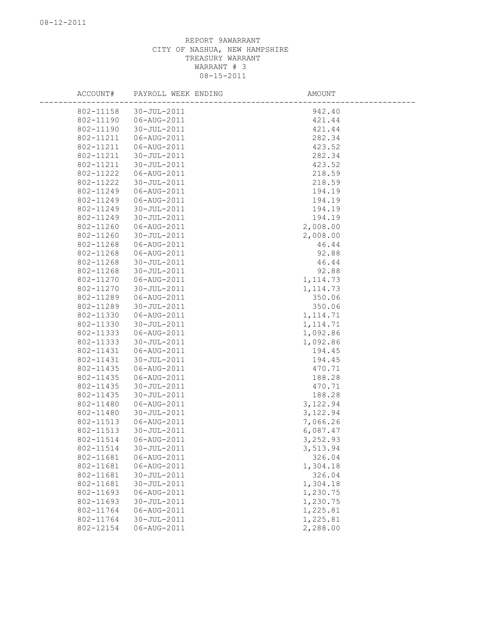| ACCOUNT#  | PAYROLL WEEK ENDING | AMOUNT    |
|-----------|---------------------|-----------|
| 802-11158 | 30-JUL-2011         | 942.40    |
| 802-11190 | 06-AUG-2011         | 421.44    |
| 802-11190 | 30-JUL-2011         | 421.44    |
| 802-11211 | 06-AUG-2011         | 282.34    |
| 802-11211 | 06-AUG-2011         | 423.52    |
| 802-11211 | 30-JUL-2011         | 282.34    |
| 802-11211 | 30-JUL-2011         | 423.52    |
| 802-11222 | 06-AUG-2011         | 218.59    |
| 802-11222 | 30-JUL-2011         | 218.59    |
| 802-11249 | 06-AUG-2011         | 194.19    |
| 802-11249 | 06-AUG-2011         | 194.19    |
| 802-11249 | 30-JUL-2011         | 194.19    |
| 802-11249 | 30-JUL-2011         | 194.19    |
| 802-11260 | 06-AUG-2011         | 2,008.00  |
| 802-11260 | 30-JUL-2011         | 2,008.00  |
| 802-11268 | 06-AUG-2011         | 46.44     |
| 802-11268 | 06-AUG-2011         | 92.88     |
| 802-11268 | $30 - JUL - 2011$   | 46.44     |
| 802-11268 | 30-JUL-2011         | 92.88     |
| 802-11270 | 06-AUG-2011         | 1, 114.73 |
| 802-11270 | $30 - JUL - 2011$   | 1, 114.73 |
| 802-11289 | 06-AUG-2011         | 350.06    |
| 802-11289 | 30-JUL-2011         | 350.06    |
| 802-11330 | 06-AUG-2011         | 1, 114.71 |
| 802-11330 | 30-JUL-2011         | 1, 114.71 |
| 802-11333 | 06-AUG-2011         | 1,092.86  |
| 802-11333 | 30-JUL-2011         | 1,092.86  |
| 802-11431 | 06-AUG-2011         | 194.45    |
| 802-11431 | 30-JUL-2011         | 194.45    |
| 802-11435 | 06-AUG-2011         | 470.71    |
| 802-11435 | 06-AUG-2011         | 188.28    |
| 802-11435 | 30-JUL-2011         | 470.71    |
| 802-11435 | 30-JUL-2011         | 188.28    |
| 802-11480 | 06-AUG-2011         | 3,122.94  |
| 802-11480 | $30 - JUL - 2011$   | 3,122.94  |
| 802-11513 | 06-AUG-2011         | 7,066.26  |
| 802-11513 | 30-JUL-2011         | 6,087.47  |
| 802-11514 | 06-AUG-2011         | 3,252.93  |
| 802-11514 | 30-JUL-2011         | 3,513.94  |
| 802-11681 | 06-AUG-2011         | 326.04    |
| 802-11681 | 06-AUG-2011         | 1,304.18  |
| 802-11681 | 30-JUL-2011         | 326.04    |
| 802-11681 | 30-JUL-2011         | 1,304.18  |
| 802-11693 | 06-AUG-2011         | 1,230.75  |
| 802-11693 | 30-JUL-2011         | 1,230.75  |
| 802-11764 | 06-AUG-2011         | 1,225.81  |
| 802-11764 | 30-JUL-2011         | 1,225.81  |
| 802-12154 | 06-AUG-2011         | 2,288.00  |